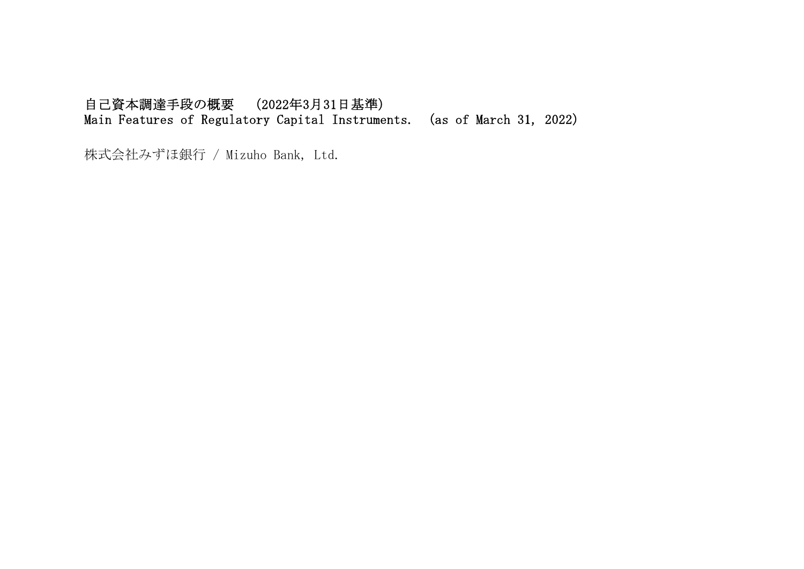## 自己資本調達手段の概要 (2022年3月31日基準) Main Features of Regulatory Capital Instruments. (as of March 31, 2022)

株式会社みずほ銀行 / Mizuho Bank, Ltd.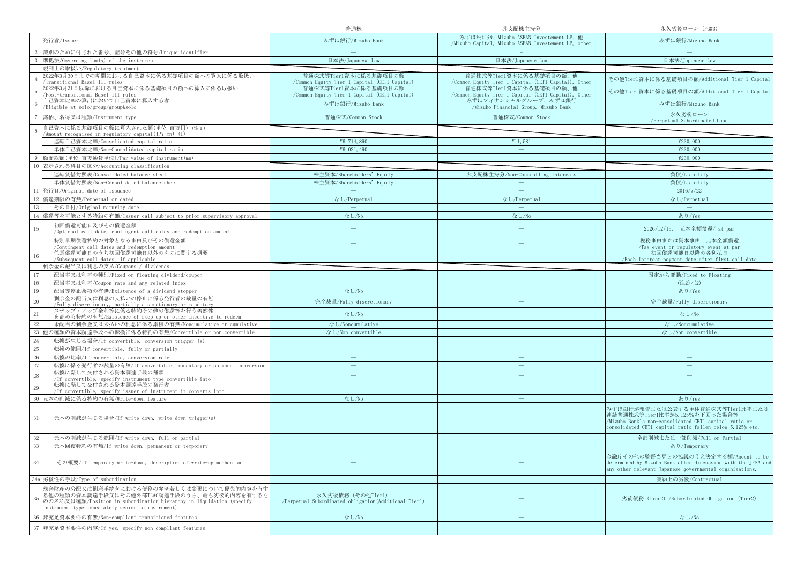|        |                                                                                                                                                                                                                       | 普通株                                                                       | 非支配株主持分                                                                                       | 永久劣後ローン (FG#3)                                                                                                                                                                         |
|--------|-----------------------------------------------------------------------------------------------------------------------------------------------------------------------------------------------------------------------|---------------------------------------------------------------------------|-----------------------------------------------------------------------------------------------|----------------------------------------------------------------------------------------------------------------------------------------------------------------------------------------|
|        | 発行者/Issuer                                                                                                                                                                                                            | みずほ銀行/Mizuho Bank                                                         | みずほキャピタル、Mizuho ASEAN Investement LP、他<br>/Mizuho Capital, Mizuho ASEAN Investement LP, other | みずほ銀行/Mizuho Bank                                                                                                                                                                      |
|        | 識別のために付された番号、記号その他の符号/Unique identifier                                                                                                                                                                               |                                                                           |                                                                                               |                                                                                                                                                                                        |
|        | 準拠法/Governing law(s) of the instrument                                                                                                                                                                                | 日本法/Japanese Law                                                          | 日本法/Japanese Law                                                                              | 日本法/Japanese Law                                                                                                                                                                       |
|        | 規制上の取扱い/Regulatory treatment                                                                                                                                                                                          |                                                                           |                                                                                               |                                                                                                                                                                                        |
|        | 2022年3月30日までの期間における自己資本に係る基礎項目の額への算入に係る取扱い<br>Transitional Basel III rules                                                                                                                                            | 普通株式等Tier1資本に係る基礎項目の額<br>/Common Equity Tier 1 Capital (CET1 Capital)     | 普通株式等Tier1資本に係る基礎項目の額、他<br>/Common Equity Tier 1 Capital (CET1 Capital), Other                | その他Tier1資本に係る基礎項目の額/Additional Tier 1 Capital                                                                                                                                          |
|        | 2022年3月31日以降における自己資本に係る基礎項目の額への算入に係る取扱い<br>Post-transitional Basel III rules                                                                                                                                          | 普通株式等Tier1資本に係る基礎項目の額<br>/Common Equity Tier 1 Capital (CET1 Capital)     | 普通株式等Tier1資本に係る基礎項目の額、他<br>/Common Equity Tier 1 Capital (CET1 Capital), Other                | その他Tier1資本に係る基礎項目の額/Additional Tier 1 Capital                                                                                                                                          |
|        | 自己資本比率の算出において自己資本に算入する者<br>/Eligible at solo/group/group&solo                                                                                                                                                         | みずほ銀行/Mizuho Bank                                                         | みずほフィナンシャルグループ、みずほ銀行<br>/Mizuho Financial Group, Mizuho Bank                                  | みずほ銀行/Mizuho Bank                                                                                                                                                                      |
|        | 銘柄、名称又は種類/Instrument type                                                                                                                                                                                             | 普通株式/Common Stock                                                         | 普通株式/Common Stock                                                                             | 永久劣後ローン<br>/Perpetual Subordinated Loan                                                                                                                                                |
|        | 自己資本に係る基礎項目の額に算入された額(単位:百万円)(注1)<br>Amount recognised in regulatory capital(JPY mn) (1)                                                                                                                               |                                                                           |                                                                                               |                                                                                                                                                                                        |
|        | 連結自己資本比率/Consolidated capital ratio                                                                                                                                                                                   | ¥6,714,890                                                                | ¥11,581                                                                                       | ¥230,000                                                                                                                                                                               |
|        | 単体自己資本比率/Non-Consolidated capital ratio                                                                                                                                                                               | ¥6, 021, 490                                                              | $\overline{\phantom{m}}$                                                                      | ¥230,000                                                                                                                                                                               |
| -9     | 額面総額(単位:百万通貨単位)/Par value of instrument(mn)                                                                                                                                                                           |                                                                           |                                                                                               | ¥230,000                                                                                                                                                                               |
| 10     | 表示される科目の区分/Accounting classification                                                                                                                                                                                  |                                                                           |                                                                                               |                                                                                                                                                                                        |
|        | 連結貸借対照表/Consolidated balance sheet                                                                                                                                                                                    | 株主資本/Shareholders' Equity                                                 | 非支配株主持分/Non-Controlling Interests                                                             | 負債/Liability                                                                                                                                                                           |
|        | 単体貸借対照表/Non-Consolidated balance sheet                                                                                                                                                                                | 株主資本/Shareholders' Equity                                                 |                                                                                               | 負債/Liability                                                                                                                                                                           |
| 11     | 発行日/Original date of issuance                                                                                                                                                                                         |                                                                           |                                                                                               | 2016/7/22                                                                                                                                                                              |
|        | 12 償還期限の有無/Perpetual or dated                                                                                                                                                                                         | なし/Perpetual                                                              | なし/Perpetual                                                                                  | なし/Perpetual                                                                                                                                                                           |
| 13     | その日付/Original maturity date                                                                                                                                                                                           | $\sim$                                                                    | $\overline{\phantom{a}}$                                                                      | $\sim$                                                                                                                                                                                 |
| 14     | 償還等を可能とする特約の有無/Issuer call subject to prior supervisory approval                                                                                                                                                      | なし/No                                                                     | なし/No                                                                                         | あり/Yes                                                                                                                                                                                 |
|        |                                                                                                                                                                                                                       |                                                                           |                                                                                               |                                                                                                                                                                                        |
| 15     | 初回償還可能日及びその償還金額<br>/Optional call date, contingent call dates and redemption amount                                                                                                                                   |                                                                           |                                                                                               | 2026/12/15、 元本全額償還/ at par                                                                                                                                                             |
|        | 特別早期償還特約の対象となる事由及びその償還金額<br>/Contingent call dates and redemption amount                                                                                                                                              |                                                                           |                                                                                               | 税務事由または資本事由:元本全額償還<br>Tax event or regulatory event at par                                                                                                                             |
| 16     | 任意償還可能日のうち初回償還可能日以外のものに関する概要<br>/Subsequent call dates if annlicable                                                                                                                                                  |                                                                           |                                                                                               | 初回償還可能日以降の各利払日<br>/Each interest payment date after first call date                                                                                                                    |
|        | 剰余金の配当又は利息の支払/Coupons / dividends                                                                                                                                                                                     |                                                                           |                                                                                               |                                                                                                                                                                                        |
| 17     | 配当率又は利率の種別/Fixed or floating dividend/coupon                                                                                                                                                                          |                                                                           |                                                                                               | 固定から変動/Fixed to Floating                                                                                                                                                               |
| 18     | 配当率又は利率/Coupon rate and any related index                                                                                                                                                                             |                                                                           |                                                                                               | $(\pm 2)/(2)$                                                                                                                                                                          |
| 19     | 配当等停止条項の有無/Existence of a dividend stopper                                                                                                                                                                            | なし/No                                                                     |                                                                                               | あり/Yes                                                                                                                                                                                 |
| $20\,$ | 剰余金の配当又は利息の支払いの停止に係る発行者の裁量の有無<br>/Fully discretionary, partially discretionary or mandatory                                                                                                                           | 完全裁量/Fully discretionary                                                  | $\overline{\phantom{0}}$                                                                      | 完全裁量/Fully discretionary                                                                                                                                                               |
| $21\,$ | ステップ・アップ金利等に係る特約その他の償還等を行う蓋然性<br>を高める特約の有無/Existence of step up or other incentive to redeem                                                                                                                          | なし/No                                                                     | $\frac{1}{2}$                                                                                 | なし/No                                                                                                                                                                                  |
| 22     | 未配当の剰余金又は未払いの利息に係る累積の有無/Noncumulative or cumulative                                                                                                                                                                   | なし/Noncumulative                                                          | $\qquad \qquad -$                                                                             | なし/Noncumulative                                                                                                                                                                       |
| 23     | 他の種類の資本調達手段への転換に係る特約の有無/Convertible or non-convertible                                                                                                                                                                | なし/Non-convertible                                                        | $\hspace{0.1mm}-\hspace{0.1mm}$                                                               | なし/Non-convertible                                                                                                                                                                     |
| 24     | 転換が生じる場合/If convertible, conversion trigger (s)                                                                                                                                                                       |                                                                           |                                                                                               |                                                                                                                                                                                        |
| $25\,$ | 転換の範囲/If convertible, fully or partially                                                                                                                                                                              | $\overline{\phantom{a}}$                                                  |                                                                                               | $\overline{\phantom{m}}$                                                                                                                                                               |
| 26     | 転換の比率/If convertible, conversion rate                                                                                                                                                                                 |                                                                           |                                                                                               |                                                                                                                                                                                        |
| $27\,$ | 転換に係る発行者の裁量の有無/If convertible, mandatory or optional conversion                                                                                                                                                       | $\sim$                                                                    | $\frac{1}{2}$                                                                                 | $\equiv$                                                                                                                                                                               |
| $28\,$ | 転換に際して交付される資本調達手段の種類                                                                                                                                                                                                  |                                                                           | $\equiv$                                                                                      |                                                                                                                                                                                        |
| 29     | /If convertible, specify instrument type convertible into<br>転換に際して交付される資本調達手段の発行者                                                                                                                                    |                                                                           | $\frac{1}{2}$                                                                                 |                                                                                                                                                                                        |
|        | /If convertible, specify issuer of instrument it converts into                                                                                                                                                        |                                                                           |                                                                                               |                                                                                                                                                                                        |
|        | 30 元本の削減に係る特約の有無/Write-down feature                                                                                                                                                                                   | なし/No                                                                     |                                                                                               | あり/Yes                                                                                                                                                                                 |
| 31     | 元本の削減が生じる場合/If write-down, write-down trigger(s)                                                                                                                                                                      |                                                                           |                                                                                               | みずほ銀行が報告または公表する単体普通株式等Tier1比率または<br>連結普通株式等Tier1比率が5.125%を下回った場合等<br>/Mizuho Bank's non-consolidated CET1 capital ratio or<br>consolidated CET1 capital ratio fallen below 5.125% etc. |
|        | 元本の削減が生じる範囲/If write-down, full or partial                                                                                                                                                                            |                                                                           |                                                                                               | 全部削減または一部削減/Full or Partial                                                                                                                                                            |
| 33     | 元本回復特約の有無/If write-down, permanent or temporary                                                                                                                                                                       |                                                                           |                                                                                               | あり/Temporary                                                                                                                                                                           |
| 34     | その概要/If temporary write-down, description of write-up mechanism                                                                                                                                                       |                                                                           |                                                                                               | 金融庁その他の監督当局との協議のうえ決定する額/Amount to be<br>determined by Mizuho Bank after discussion with the JFSA and<br>any other relevant Japanese governmental organizations.                        |
| 34a    | 劣後性の手段/Type of subordination                                                                                                                                                                                          |                                                                           |                                                                                               | 契約上の劣後/Contractual                                                                                                                                                                     |
| 35     | 残余財産の分配又は倒産手続きにおける債務の弁済若しくは変更について優先的内容を有す<br>る他の種類の資本調達手段又はその他外部TLAC調達手段のうち、最も劣後的内容を有するも<br>のの名称又は種類/Position in subordination hierarchy in liquidation (specify<br>instrument type immediately senior to instrument) | 永久劣後債務 (その他Tier1)<br>/Perpetual Subordinated obligation(Additional Tierl) |                                                                                               | 劣後債務 (Tier2) /Subordinated Obligation (Tier2)                                                                                                                                          |
| -36    | 非充足資本要件の有無/Non-compliant transitioned features                                                                                                                                                                        | なし/No                                                                     |                                                                                               | なし/No                                                                                                                                                                                  |
| 37     | 非充足資本要件の内容/If yes, specify non-compliant features                                                                                                                                                                     |                                                                           |                                                                                               |                                                                                                                                                                                        |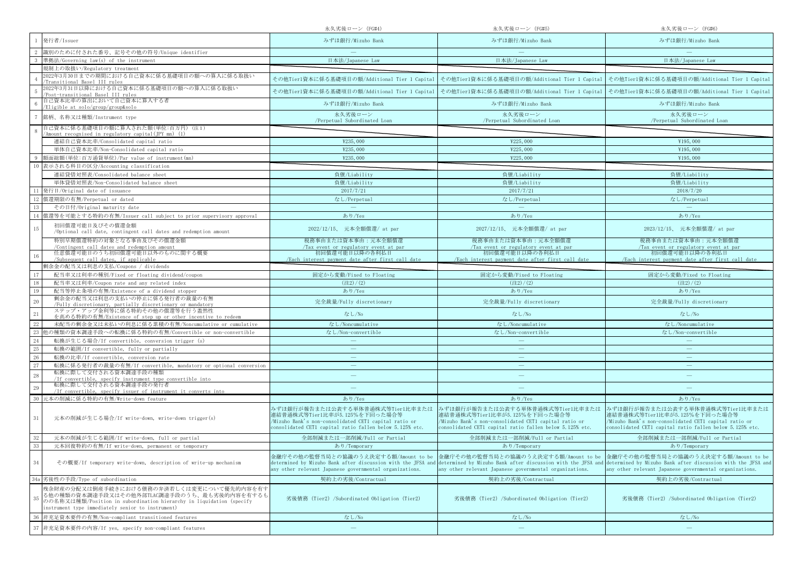|                                                                                                                                                                                                                             | 永久劣後ローン (FG#4)                                                                                                                                                                         | 永久劣後ローン (FG#5)                                                                                                                                                                         | 永久劣後ローン (FG#6)                                                                                                                                                                                                                                    |
|-----------------------------------------------------------------------------------------------------------------------------------------------------------------------------------------------------------------------------|----------------------------------------------------------------------------------------------------------------------------------------------------------------------------------------|----------------------------------------------------------------------------------------------------------------------------------------------------------------------------------------|---------------------------------------------------------------------------------------------------------------------------------------------------------------------------------------------------------------------------------------------------|
| 発行者/Issuer                                                                                                                                                                                                                  | みずほ銀行/Mizuho Bank                                                                                                                                                                      | みずほ銀行/Mizuho Bank                                                                                                                                                                      | みずほ銀行/Mizuho Bank                                                                                                                                                                                                                                 |
| 識別のために付された番号、記号その他の符号/Unique identifier                                                                                                                                                                                     |                                                                                                                                                                                        |                                                                                                                                                                                        |                                                                                                                                                                                                                                                   |
| 準拠法/Governing law(s) of the instrument                                                                                                                                                                                      | 日本法/Japanese Law                                                                                                                                                                       | 日本法/Japanese Law                                                                                                                                                                       | 日本法/Japanese Law                                                                                                                                                                                                                                  |
| 規制上の取扱い/Regulatory treatment                                                                                                                                                                                                |                                                                                                                                                                                        |                                                                                                                                                                                        |                                                                                                                                                                                                                                                   |
| 2022年3月30日までの期間における自己資本に係る基礎項目の額への算入に係る取扱い<br>Transitional Basel III rules                                                                                                                                                  |                                                                                                                                                                                        | その他Tier1資本に係る基礎項目の額/Additional Tier 1 Capital   その他Tier1資本に係る基礎項目の額/Additional Tier 1 Capital   その他Tier1資本に係る基礎項目の額/Additional Tier 1 Capital                                          |                                                                                                                                                                                                                                                   |
| 2022年3月31日以降における自己資本に係る基礎項目の額への算入に係る取扱い<br>Post-transitional Basel III rules                                                                                                                                                |                                                                                                                                                                                        | その他Tier1資本に係る基礎項目の額/Additional Tier 1 Capital   その他Tier1資本に係る基礎項目の額/Additional Tier 1 Capital   その他Tier1資本に係る基礎項目の額/Additional Tier 1 Capital                                          |                                                                                                                                                                                                                                                   |
| 自己資本比率の算出において自己資本に算入する者<br>Eligible at solo/group/group&solo                                                                                                                                                                | みずほ銀行/Mizuho Bank                                                                                                                                                                      | みずほ銀行/Mizuho Bank                                                                                                                                                                      | みずほ銀行/Mizuho Bank                                                                                                                                                                                                                                 |
| 銘柄、名称又は種類/Instrument type                                                                                                                                                                                                   | 永久劣後ローン<br>/Perpetual Subordinated Loan                                                                                                                                                | 永久劣後ローン<br>/Perpetual Subordinated Loan                                                                                                                                                | 永久劣後ローン<br>/Perpetual Subordinated Loan                                                                                                                                                                                                           |
| 自己資本に係る基礎項目の額に算入された額(単位:百万円)(注1)<br>'Amount recognised in regulatory capital(JPY mn) (1)                                                                                                                                    |                                                                                                                                                                                        |                                                                                                                                                                                        |                                                                                                                                                                                                                                                   |
| 連結自己資本比率/Consolidated capital ratio                                                                                                                                                                                         | ¥235,000                                                                                                                                                                               | ¥225,000                                                                                                                                                                               | ¥195,000                                                                                                                                                                                                                                          |
| 単体自己資本比率/Non-Consolidated capital ratio                                                                                                                                                                                     | ¥235,000                                                                                                                                                                               | ¥225,000                                                                                                                                                                               | ¥195,000                                                                                                                                                                                                                                          |
| 額面総額(単位:百万通貨単位)/Par value of instrument(mn)                                                                                                                                                                                 | ¥235,000                                                                                                                                                                               | ¥225,000                                                                                                                                                                               | ¥195,000                                                                                                                                                                                                                                          |
| 表示される科目の区分/Accounting classification                                                                                                                                                                                        |                                                                                                                                                                                        |                                                                                                                                                                                        |                                                                                                                                                                                                                                                   |
| 連結貸借対照表/Consolidated balance sheet                                                                                                                                                                                          | 負債/Liability                                                                                                                                                                           | 負債/Liability                                                                                                                                                                           | 負債/Liability                                                                                                                                                                                                                                      |
| 単体貸借対照表/Non-Consolidated balance sheet                                                                                                                                                                                      | 負債/Liability                                                                                                                                                                           | 負債/Liability                                                                                                                                                                           | 負債/Liability                                                                                                                                                                                                                                      |
| 発行日/Original date of issuance                                                                                                                                                                                               | 2017/7/21                                                                                                                                                                              | 2017/7/21                                                                                                                                                                              | 2018/7/20                                                                                                                                                                                                                                         |
| 償還期限の有無/Perpetual or dated                                                                                                                                                                                                  | なし/Perpetual                                                                                                                                                                           | なし/Perpetual                                                                                                                                                                           | なし/Perpetual                                                                                                                                                                                                                                      |
| その日付/Original maturity date                                                                                                                                                                                                 | $\equiv$                                                                                                                                                                               | $\equiv$                                                                                                                                                                               | $\equiv$                                                                                                                                                                                                                                          |
| 償還等を可能とする特約の有無/Issuer call subject to prior supervisory approval                                                                                                                                                            | あり/Yes                                                                                                                                                                                 | あり/Yes                                                                                                                                                                                 | あり/Yes                                                                                                                                                                                                                                            |
| 初回償還可能日及びその償還金額<br>15<br>/Optional call date, contingent call dates and redemption amount                                                                                                                                   | 2022/12/15、 元本全額償還/ at par                                                                                                                                                             | 2027/12/15、 元本全額償還/ at par                                                                                                                                                             | 2023/12/15、 元本全額償還/ at par                                                                                                                                                                                                                        |
| 特別早期償還特約の対象となる事由及びその償還金額                                                                                                                                                                                                    | 税務事由または資本事由:元本全額償還                                                                                                                                                                     | 税務事由または資本事由:元本全額償還                                                                                                                                                                     | 税務事由または資本事由:元本全額償還                                                                                                                                                                                                                                |
| /Contingent call dates and redemption amount<br>任意償還可能日のうち初回償還可能日以外のものに関する概要                                                                                                                                                | /Tax event or regulatory event at par                                                                                                                                                  | /Tax event or regulatory event at par<br>初回僧還可能日以降の各利払日                                                                                                                                | /Tax event or regulatory event at par                                                                                                                                                                                                             |
| /Subsequent call dates, if applicable                                                                                                                                                                                       | 初回償還可能日以降の各利払日<br>/Each interest navment date after first call date                                                                                                                    | /Each interest payment date after first call date                                                                                                                                      | 初回償還可能日以降の各利払日<br>/Each interest payment date after first call date                                                                                                                                                                               |
| 剰余金の配当又は利息の支払/Coupons / dividends                                                                                                                                                                                           |                                                                                                                                                                                        |                                                                                                                                                                                        |                                                                                                                                                                                                                                                   |
| 配当率又は利率の種別/Fixed or floating dividend/coupon                                                                                                                                                                                | 固定から変動/Fixed to Floating                                                                                                                                                               | 固定から変動/Fixed to Floating                                                                                                                                                               | 固定から変動/Fixed to Floating                                                                                                                                                                                                                          |
| 配当率又は利率/Coupon rate and any related index                                                                                                                                                                                   | (22)/(2)                                                                                                                                                                               | $(\pm 2)/(2)$                                                                                                                                                                          | $(\pm 2) / (2)$                                                                                                                                                                                                                                   |
| 19<br>配当等停止条項の有無/Existence of a dividend stopper                                                                                                                                                                            | あり/Yes                                                                                                                                                                                 | あり/Yes                                                                                                                                                                                 | あり/Yes                                                                                                                                                                                                                                            |
| 剰余金の配当又は利息の支払いの停止に係る発行者の裁量の有無<br>$20\,$<br>/Fully discretionary, partially discretionary or mandatory                                                                                                                       | 完全裁量/Fully discretionary                                                                                                                                                               | 完全裁量/Fully discretionary                                                                                                                                                               | 完全裁量/Fully discretionary                                                                                                                                                                                                                          |
| ステップ・アップ金利等に係る特約その他の償還等を行う蓋然性<br>21<br>を高める特約の有無/Existence of step up or other incentive to redeem                                                                                                                          | なし/No                                                                                                                                                                                  | なし/No                                                                                                                                                                                  | なし/No                                                                                                                                                                                                                                             |
| 未配当の剰余金又は未払いの利息に係る累積の有無/Noncumulative or cumulative                                                                                                                                                                         | なし/Noncumulative                                                                                                                                                                       | なし/Noncumulative                                                                                                                                                                       | なし/Noncumulative                                                                                                                                                                                                                                  |
| 也の種類の資本調達手段への転換に係る特約の有無/Convertible or non-convertible                                                                                                                                                                      | なし/Non-convertible                                                                                                                                                                     | なし/Non-convertible                                                                                                                                                                     | なし/Non-convertible                                                                                                                                                                                                                                |
| 転換が生じる場合/If convertible, conversion trigger (s)<br>24                                                                                                                                                                       |                                                                                                                                                                                        |                                                                                                                                                                                        |                                                                                                                                                                                                                                                   |
| 25<br>転換の範囲/If convertible, fully or partially                                                                                                                                                                              |                                                                                                                                                                                        | $\overline{\phantom{m}}$                                                                                                                                                               | $\overline{\phantom{0}}$                                                                                                                                                                                                                          |
| $26\,$<br>転換の比率/If convertible, conversion rate                                                                                                                                                                             | $\overline{\phantom{m}}$                                                                                                                                                               | $\overline{\phantom{m}}$                                                                                                                                                               | $\overline{\phantom{m}}$                                                                                                                                                                                                                          |
| 27<br>転換に係る発行者の裁量の有無/If convertible, mandatory or optional conversion                                                                                                                                                       |                                                                                                                                                                                        |                                                                                                                                                                                        |                                                                                                                                                                                                                                                   |
| 転換に際して交付される資本調達手段の種類<br>$28\,$                                                                                                                                                                                              |                                                                                                                                                                                        | $\overline{\phantom{m}}$                                                                                                                                                               |                                                                                                                                                                                                                                                   |
| /If convertible, specify instrument type convertible into<br>転換に際して交付される資本調達手段の発行者<br>29                                                                                                                                    |                                                                                                                                                                                        |                                                                                                                                                                                        |                                                                                                                                                                                                                                                   |
| /If convertible, specify issuer of instrument it converts into<br>元本の削減に係る特約の有無/Write-down feature                                                                                                                          | あり/Yes                                                                                                                                                                                 | あり/Yes                                                                                                                                                                                 | あり/Yes                                                                                                                                                                                                                                            |
|                                                                                                                                                                                                                             |                                                                                                                                                                                        |                                                                                                                                                                                        |                                                                                                                                                                                                                                                   |
| $31\,$<br>元本の削減が生じる場合/If write-down, write-down trigger(s)                                                                                                                                                                  | みずほ銀行が報告または公表する単体普通株式等Tier1比率または<br>連結普通株式等Tier1比率が5.125%を下回った場合等<br>/Mizuho Bank's non-consolidated CET1 capital ratio or<br>consolidated CET1 capital ratio fallen below 5.125% etc. | みずほ銀行が報告または公表する単体普通株式等Tier1比率または<br>連結普通株式等Tier1比率が5.125%を下回った場合等<br>/Mizuho Bank's non-consolidated CET1 capital ratio or<br>consolidated CET1 capital ratio fallen below 5.125% etc. | みずほ銀行が報告または公表する単体普通株式等Tier1比率または<br>連結普通株式等Tier1比率が5.125%を下回った場合等<br>/Mizuho Bank's non-consolidated CET1 capital ratio or<br>consolidated CET1 capital ratio fallen below 5.125% etc.                                                            |
| 元本の削減が生じる範囲/If write-down, full or partial                                                                                                                                                                                  | 全部削減または一部削減/Full or Partial                                                                                                                                                            | 全部削減または一部削減/Full or Partial                                                                                                                                                            | 全部削減または一部削減/Full or Partial                                                                                                                                                                                                                       |
| 元本回復特約の有無/If write-down, permanent or temporary                                                                                                                                                                             | あり/Temporary                                                                                                                                                                           | あり/Temporary                                                                                                                                                                           | あり/Temporary                                                                                                                                                                                                                                      |
| 34<br>その概要/If temporary write-down, description of write-up mechanism                                                                                                                                                       | any other relevant Japanese governmental organizations.                                                                                                                                | 金融庁その他の監督当局との協議のうえ決定する額/Amount to be  金融庁その他の監督当局との協議のうえ決定する額/Amount to be  金融庁その他の監督当局との協議のうえ決定する額/Amount to be<br>any other relevant Japanese governmental organizations.            | determined by Mizuho Bank after discussion with the JFSA and determined by Mizuho Bank after discussion with the JFSA and determined by Mizuho Bank after discussion with the JFSA and<br>any other relevant Japanese governmental organizations. |
| 劣後性の手段/Type of subordination<br>34a                                                                                                                                                                                         | 契約上の劣後/Contractual                                                                                                                                                                     | 契約上の劣後/Contractual                                                                                                                                                                     | 契約上の劣後/Contractual                                                                                                                                                                                                                                |
| 残余財産の分配又は倒産手続きにおける債務の弁済若しくは変更について優先的内容を有す<br>る他の種類の資本調達手段又はその他外部TLAC調達手段のうち、最も劣後的内容を有するも<br>35<br>のの名称又は種類/Position in subordination hierarchy in liquidation (specify<br>instrument type immediately senior to instrument) | 劣後債務 (Tier2) /Subordinated Obligation (Tier2)                                                                                                                                          | 劣後債務 (Tier2) /Subordinated Obligation (Tier2)                                                                                                                                          | 劣後債務 (Tier2) /Subordinated Obligation (Tier2)                                                                                                                                                                                                     |
| 非充足資本要件の有無/Non-compliant transitioned features                                                                                                                                                                              | なし/No                                                                                                                                                                                  | なし/No                                                                                                                                                                                  | なし/No                                                                                                                                                                                                                                             |
| 非充足資本要件の内容/If yes, specify non-compliant features<br>37                                                                                                                                                                     | $\overline{\phantom{m}}$                                                                                                                                                               | $\overline{\phantom{m}}$                                                                                                                                                               |                                                                                                                                                                                                                                                   |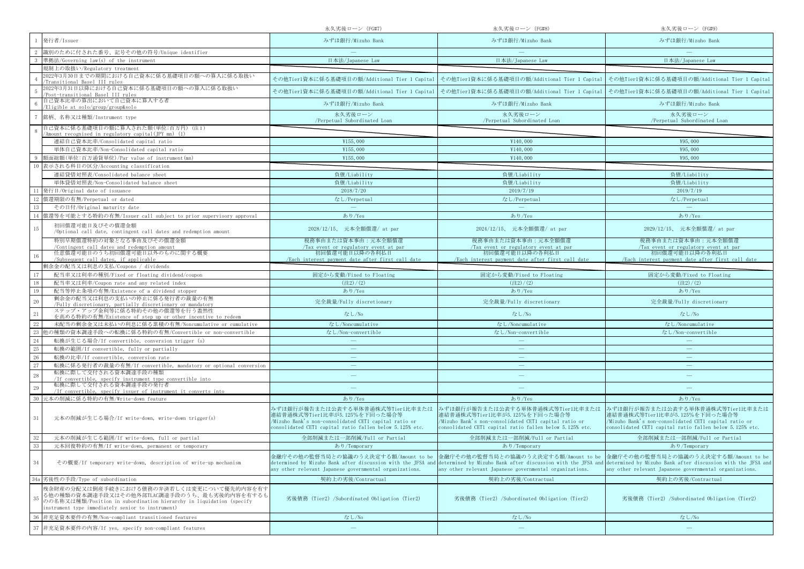|                                                                                                                                                                                                                             | 永久劣後ローン (FG#7)                                                                                                                                                                         | 永久劣後ローン (FG#8)                                                                                                                                                                         | 永久劣後ローン (FG#9)                                                                                                                                                                                                                                    |
|-----------------------------------------------------------------------------------------------------------------------------------------------------------------------------------------------------------------------------|----------------------------------------------------------------------------------------------------------------------------------------------------------------------------------------|----------------------------------------------------------------------------------------------------------------------------------------------------------------------------------------|---------------------------------------------------------------------------------------------------------------------------------------------------------------------------------------------------------------------------------------------------|
| 発行者/Issuer                                                                                                                                                                                                                  | みずほ銀行/Mizuho Bank                                                                                                                                                                      | みずほ銀行/Mizuho Bank                                                                                                                                                                      | みずほ銀行/Mizuho Bank                                                                                                                                                                                                                                 |
| 識別のために付された番号、記号その他の符号/Unique identifier                                                                                                                                                                                     |                                                                                                                                                                                        |                                                                                                                                                                                        |                                                                                                                                                                                                                                                   |
| 準拠法/Governing law(s) of the instrument                                                                                                                                                                                      | 日本法/Japanese Law                                                                                                                                                                       | 日本法/Japanese Law                                                                                                                                                                       | 日本法/Japanese Law                                                                                                                                                                                                                                  |
| 規制上の取扱い/Regulatory treatment                                                                                                                                                                                                |                                                                                                                                                                                        |                                                                                                                                                                                        |                                                                                                                                                                                                                                                   |
| 2022年3月30日までの期間における自己資本に係る基礎項目の額への算入に係る取扱い<br>Transitional Basel III rules                                                                                                                                                  |                                                                                                                                                                                        | その他Tier1資本に係る基礎項目の額/Additional Tier 1 Capital   その他Tier1資本に係る基礎項目の額/Additional Tier 1 Capital   その他Tier1資本に係る基礎項目の額/Additional Tier 1 Capital                                          |                                                                                                                                                                                                                                                   |
| 2022年3月31日以降における自己資本に係る基礎項目の額への算入に係る取扱い<br>Post-transitional Basel III rules                                                                                                                                                |                                                                                                                                                                                        | その他Tier1資本に係る基礎項目の額/Additional Tier 1 Capital   その他Tier1資本に係る基礎項目の額/Additional Tier 1 Capital   その他Tier1資本に係る基礎項目の額/Additional Tier 1 Capital                                          |                                                                                                                                                                                                                                                   |
| 自己資本比率の算出において自己資本に算入する者<br>Eligible at solo/group/group&solo                                                                                                                                                                | みずほ銀行/Mizuho Bank                                                                                                                                                                      | みずほ銀行/Mizuho Bank                                                                                                                                                                      | みずほ銀行/Mizuho Bank                                                                                                                                                                                                                                 |
| 銘柄、名称又は種類/Instrument type                                                                                                                                                                                                   | 永久劣後ローン<br>/Perpetual Subordinated Loan                                                                                                                                                | 永久劣後ローン<br>/Perpetual Subordinated Loan                                                                                                                                                | 永久劣後ローン<br>/Perpetual Subordinated Loan                                                                                                                                                                                                           |
| 自己資本に係る基礎項目の額に算入された額(単位:百万円)(注1)<br>'Amount recognised in regulatory capital(JPY mn) (1)                                                                                                                                    |                                                                                                                                                                                        |                                                                                                                                                                                        |                                                                                                                                                                                                                                                   |
| 連結自己資本比率/Consolidated capital ratio                                                                                                                                                                                         | ¥155,000                                                                                                                                                                               | ¥140,000                                                                                                                                                                               | ¥95,000                                                                                                                                                                                                                                           |
| 単体自己資本比率/Non-Consolidated capital ratio                                                                                                                                                                                     | ¥155,000                                                                                                                                                                               | ¥140,000                                                                                                                                                                               | ¥95,000                                                                                                                                                                                                                                           |
| 額面総額(単位:百万通貨単位)/Par value of instrument(mn)                                                                                                                                                                                 | ¥155,000                                                                                                                                                                               | ¥140,000                                                                                                                                                                               | ¥95,000                                                                                                                                                                                                                                           |
| 表示される科目の区分/Accounting classification                                                                                                                                                                                        |                                                                                                                                                                                        |                                                                                                                                                                                        |                                                                                                                                                                                                                                                   |
| 連結貸借対照表/Consolidated balance sheet                                                                                                                                                                                          | 負債/Liability                                                                                                                                                                           | 負債/Liability                                                                                                                                                                           | 負債/Liability                                                                                                                                                                                                                                      |
| 単体貸借対照表/Non-Consolidated balance sheet                                                                                                                                                                                      | 負債/Liability                                                                                                                                                                           | 負債/Liability                                                                                                                                                                           | 負債/Liability                                                                                                                                                                                                                                      |
| 発行日/Original date of issuance                                                                                                                                                                                               | 2018/7/20                                                                                                                                                                              | 2019/7/19                                                                                                                                                                              | 2019/7/19                                                                                                                                                                                                                                         |
| 償還期限の有無/Perpetual or dated                                                                                                                                                                                                  | なし/Perpetual                                                                                                                                                                           | なし/Perpetual                                                                                                                                                                           | なし/Perpetual                                                                                                                                                                                                                                      |
| その日付/Original maturity date                                                                                                                                                                                                 | $\equiv$                                                                                                                                                                               | $\equiv$                                                                                                                                                                               | $\equiv$                                                                                                                                                                                                                                          |
| 償還等を可能とする特約の有無/Issuer call subject to prior supervisory approval                                                                                                                                                            | あり/Yes                                                                                                                                                                                 | あり/Yes                                                                                                                                                                                 | あり/Yes                                                                                                                                                                                                                                            |
| 初回償還可能日及びその償還金額<br>15<br>/Optional call date, contingent call dates and redemption amount                                                                                                                                   | 2028/12/15、 元本全額償還/ at par                                                                                                                                                             | 2024/12/15、 元本全額償還/ at par                                                                                                                                                             | 2029/12/15、 元本全額償還/ at par                                                                                                                                                                                                                        |
| 特別早期償還特約の対象となる事由及びその償還金額                                                                                                                                                                                                    | 税務事由または資本事由:元本全額償還                                                                                                                                                                     | 税務事由または資本事由:元本全額償還                                                                                                                                                                     | 税務事由または資本事由:元本全額償還                                                                                                                                                                                                                                |
| /Contingent call dates and redemption amount                                                                                                                                                                                | /Tax event or regulatory event at par                                                                                                                                                  | /Tax event or regulatory event at par<br>初回僧還可能日以降の各利払日                                                                                                                                | /Tax event or regulatory event at par                                                                                                                                                                                                             |
| 任意償還可能日のうち初回償還可能日以外のものに関する概要<br>/Subsequent call dates, if applicable                                                                                                                                                       | 初回償還可能日以降の各利払日<br>/Each interest navment date after first call date                                                                                                                    | /Each interest payment date after first call date                                                                                                                                      | 初回償還可能日以降の各利払日<br>/Each interest payment date after first call date                                                                                                                                                                               |
| 剰余金の配当又は利息の支払/Coupons / dividends                                                                                                                                                                                           |                                                                                                                                                                                        |                                                                                                                                                                                        |                                                                                                                                                                                                                                                   |
| 配当率又は利率の種別/Fixed or floating dividend/coupon                                                                                                                                                                                | 固定から変動/Fixed to Floating                                                                                                                                                               | 固定から変動/Fixed to Floating                                                                                                                                                               | 固定から変動/Fixed to Floating                                                                                                                                                                                                                          |
| 配当率又は利率/Coupon rate and any related index                                                                                                                                                                                   | (22)/(2)                                                                                                                                                                               | $(\pm 2)/(2)$                                                                                                                                                                          | $(\pm 2) / (2)$                                                                                                                                                                                                                                   |
| 19<br>配当等停止条項の有無/Existence of a dividend stopper                                                                                                                                                                            | あり/Yes                                                                                                                                                                                 | あり/Yes                                                                                                                                                                                 | あり/Yes                                                                                                                                                                                                                                            |
| 剰余金の配当又は利息の支払いの停止に係る発行者の裁量の有無<br>$20\,$<br>/Fully discretionary, partially discretionary or mandatory                                                                                                                       | 完全裁量/Fully discretionary                                                                                                                                                               | 完全裁量/Fully discretionary                                                                                                                                                               | 完全裁量/Fully discretionary                                                                                                                                                                                                                          |
| ステップ・アップ金利等に係る特約その他の償還等を行う蓋然性<br>21<br>を高める特約の有無/Existence of step up or other incentive to redeem                                                                                                                          | なし/No                                                                                                                                                                                  | なし/No                                                                                                                                                                                  | なし/No                                                                                                                                                                                                                                             |
| 未配当の剰余金又は未払いの利息に係る累積の有無/Noncumulative or cumulative                                                                                                                                                                         | なし/Noncumulative                                                                                                                                                                       | なし/Noncumulative                                                                                                                                                                       | なし/Noncumulative                                                                                                                                                                                                                                  |
| 也の種類の資本調達手段への転換に係る特約の有無/Convertible or non-convertible                                                                                                                                                                      | なし/Non-convertible                                                                                                                                                                     | なし/Non-convertible                                                                                                                                                                     | なし/Non-convertible                                                                                                                                                                                                                                |
| 転換が生じる場合/If convertible, conversion trigger (s)<br>24                                                                                                                                                                       |                                                                                                                                                                                        |                                                                                                                                                                                        |                                                                                                                                                                                                                                                   |
| 25<br>転換の範囲/If convertible, fully or partially                                                                                                                                                                              |                                                                                                                                                                                        | $\overline{\phantom{m}}$                                                                                                                                                               | $\overline{\phantom{0}}$                                                                                                                                                                                                                          |
| $26\,$<br>転換の比率/If convertible, conversion rate                                                                                                                                                                             | $\overline{\phantom{m}}$                                                                                                                                                               | $\overline{\phantom{m}}$                                                                                                                                                               | $\overline{\phantom{m}}$                                                                                                                                                                                                                          |
| 27<br>転換に係る発行者の裁量の有無/If convertible, mandatory or optional conversion                                                                                                                                                       |                                                                                                                                                                                        |                                                                                                                                                                                        |                                                                                                                                                                                                                                                   |
| 転換に際して交付される資本調達手段の種類<br>$28\,$<br>/If convertible, specify instrument type convertible into                                                                                                                                 |                                                                                                                                                                                        | $\overline{\phantom{m}}$                                                                                                                                                               |                                                                                                                                                                                                                                                   |
| 転換に際して交付される資本調達手段の発行者<br>29<br>/If convertible, specify issuer of instrument it converts into                                                                                                                               |                                                                                                                                                                                        |                                                                                                                                                                                        |                                                                                                                                                                                                                                                   |
| 元本の削減に係る特約の有無/Write-down feature                                                                                                                                                                                            | あり/Yes                                                                                                                                                                                 | あり/Yes                                                                                                                                                                                 | あり/Yes                                                                                                                                                                                                                                            |
| $31\,$<br>元本の削減が生じる場合/If write-down, write-down trigger(s)                                                                                                                                                                  | みずほ銀行が報告または公表する単体普通株式等Tier1比率または<br>連結普通株式等Tier1比率が5.125%を下回った場合等<br>/Mizuho Bank's non-consolidated CET1 capital ratio or<br>consolidated CET1 capital ratio fallen below 5.125% etc. | みずほ銀行が報告または公表する単体普通株式等Tier1比率または<br>連結普通株式等Tier1比率が5.125%を下回った場合等<br>/Mizuho Bank's non-consolidated CET1 capital ratio or<br>consolidated CET1 capital ratio fallen below 5.125% etc. | みずほ銀行が報告または公表する単体普通株式等Tier1比率または<br>連結普通株式等Tier1比率が5.125%を下回った場合等<br>/Mizuho Bank's non-consolidated CET1 capital ratio or<br>consolidated CET1 capital ratio fallen below 5.125% etc.                                                            |
| 元本の削減が生じる範囲/If write-down, full or partial                                                                                                                                                                                  | 全部削減または一部削減/Full or Partial                                                                                                                                                            | 全部削減または一部削減/Full or Partial                                                                                                                                                            | 全部削減または一部削減/Full or Partial                                                                                                                                                                                                                       |
| 元本回復特約の有無/If write-down, permanent or temporary                                                                                                                                                                             | あり/Temporary                                                                                                                                                                           | あり/Temporary                                                                                                                                                                           | あり/Temporary                                                                                                                                                                                                                                      |
| 34<br>その概要/If temporary write-down, description of write-up mechanism                                                                                                                                                       | any other relevant Japanese governmental organizations.                                                                                                                                | 金融庁その他の監督当局との協議のうえ決定する額/Amount to be  金融庁その他の監督当局との協議のうえ決定する額/Amount to be  金融庁その他の監督当局との協議のうえ決定する額/Amount to be<br>any other relevant Japanese governmental organizations.            | determined by Mizuho Bank after discussion with the JFSA and determined by Mizuho Bank after discussion with the JFSA and determined by Mizuho Bank after discussion with the JFSA and<br>any other relevant Japanese governmental organizations. |
| 劣後性の手段/Type of subordination<br>34a                                                                                                                                                                                         | 契約上の劣後/Contractual                                                                                                                                                                     | 契約上の劣後/Contractual                                                                                                                                                                     | 契約上の劣後/Contractual                                                                                                                                                                                                                                |
| 残余財産の分配又は倒産手続きにおける債務の弁済若しくは変更について優先的内容を有す<br>る他の種類の資本調達手段又はその他外部TLAC調達手段のうち、最も劣後的内容を有するも<br>35<br>のの名称又は種類/Position in subordination hierarchy in liquidation (specify<br>instrument type immediately senior to instrument) | 劣後債務 (Tier2) /Subordinated Obligation (Tier2)                                                                                                                                          | 劣後債務 (Tier2) /Subordinated Obligation (Tier2)                                                                                                                                          | 劣後債務 (Tier2) /Subordinated Obligation (Tier2)                                                                                                                                                                                                     |
| 非充足資本要件の有無/Non-compliant transitioned features                                                                                                                                                                              | なし/No                                                                                                                                                                                  | なし/No                                                                                                                                                                                  | なし/No                                                                                                                                                                                                                                             |
| 非充足資本要件の内容/If yes, specify non-compliant features<br>37                                                                                                                                                                     | $\overline{\phantom{m}}$                                                                                                                                                               | $\overline{\phantom{m}}$                                                                                                                                                               |                                                                                                                                                                                                                                                   |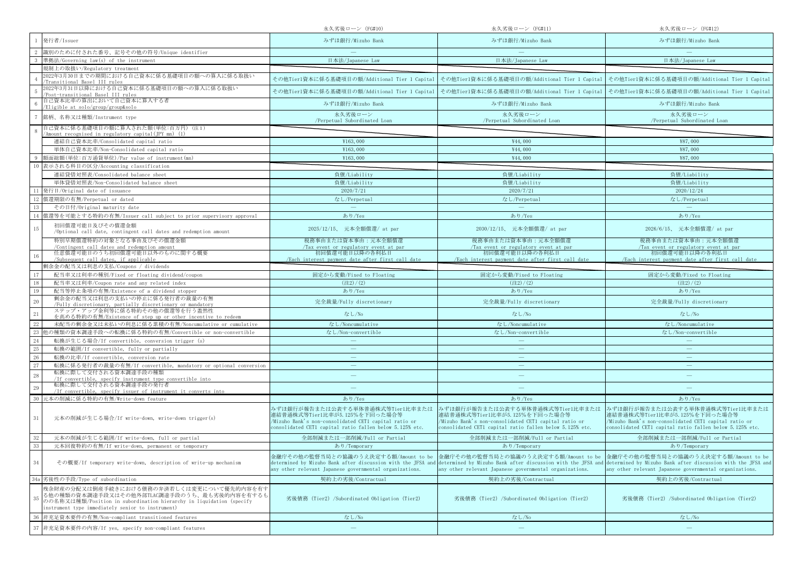|                                                                                                                                                                                                                             | 永久劣後ローン (FG#10)                                                                                                                                                                        | 永久劣後ローン (FG#11)                                                                                                                                                                        | 永久劣後ローン (FG#12)                                                                                                                                                                                                                                   |
|-----------------------------------------------------------------------------------------------------------------------------------------------------------------------------------------------------------------------------|----------------------------------------------------------------------------------------------------------------------------------------------------------------------------------------|----------------------------------------------------------------------------------------------------------------------------------------------------------------------------------------|---------------------------------------------------------------------------------------------------------------------------------------------------------------------------------------------------------------------------------------------------|
| 発行者/Issuer                                                                                                                                                                                                                  | みずほ銀行/Mizuho Bank                                                                                                                                                                      | みずほ銀行/Mizuho Bank                                                                                                                                                                      | みずほ銀行/Mizuho Bank                                                                                                                                                                                                                                 |
| 識別のために付された番号、記号その他の符号/Unique identifier                                                                                                                                                                                     |                                                                                                                                                                                        |                                                                                                                                                                                        |                                                                                                                                                                                                                                                   |
| 準拠法/Governing law(s) of the instrument                                                                                                                                                                                      | 日本法/Japanese Law                                                                                                                                                                       | 日本法/Japanese Law                                                                                                                                                                       | 日本法/Japanese Law                                                                                                                                                                                                                                  |
| 規制上の取扱い/Regulatory treatment                                                                                                                                                                                                |                                                                                                                                                                                        |                                                                                                                                                                                        |                                                                                                                                                                                                                                                   |
| 2022年3月30日までの期間における自己資本に係る基礎項目の額への算入に係る取扱い<br>Transitional Basel III rules                                                                                                                                                  |                                                                                                                                                                                        | その他Tier1資本に係る基礎項目の額/Additional Tier 1 Capital   その他Tier1資本に係る基礎項目の額/Additional Tier 1 Capital   その他Tier1資本に係る基礎項目の額/Additional Tier 1 Capital                                          |                                                                                                                                                                                                                                                   |
| 2022年3月31日以降における自己資本に係る基礎項目の額への算入に係る取扱い<br>Post-transitional Basel III rules                                                                                                                                                |                                                                                                                                                                                        | その他Tier1資本に係る基礎項目の額/Additional Tier 1 Capital   その他Tier1資本に係る基礎項目の額/Additional Tier 1 Capital   その他Tier1資本に係る基礎項目の額/Additional Tier 1 Capital                                          |                                                                                                                                                                                                                                                   |
| 自己資本比率の算出において自己資本に算入する者<br>Eligible at solo/group/group&solo                                                                                                                                                                | みずほ銀行/Mizuho Bank                                                                                                                                                                      | みずほ銀行/Mizuho Bank                                                                                                                                                                      | みずほ銀行/Mizuho Bank                                                                                                                                                                                                                                 |
| 銘柄、名称又は種類/Instrument type                                                                                                                                                                                                   | 永久劣後ローン<br>/Perpetual Subordinated Loan                                                                                                                                                | 永久劣後ローン<br>/Perpetual Subordinated Loan                                                                                                                                                | 永久劣後ローン<br>/Perpetual Subordinated Loan                                                                                                                                                                                                           |
| 自己資本に係る基礎項目の額に算入された額(単位:百万円)(注1)<br>(Amount recognised in regulatory capital(IPY mn) (1)                                                                                                                                    |                                                                                                                                                                                        |                                                                                                                                                                                        |                                                                                                                                                                                                                                                   |
| 連結自己資本比率/Consolidated capital ratio                                                                                                                                                                                         | ¥163,000                                                                                                                                                                               | ¥44,000                                                                                                                                                                                | ¥87,000                                                                                                                                                                                                                                           |
| 単体自己資本比率/Non-Consolidated capital ratio                                                                                                                                                                                     | ¥163,000                                                                                                                                                                               | ¥44,000                                                                                                                                                                                | ¥87,000                                                                                                                                                                                                                                           |
| 額面総額(単位:百万通貨単位)/Par value of instrument(mn)                                                                                                                                                                                 | ¥163,000                                                                                                                                                                               | ¥44,000                                                                                                                                                                                | ¥87,000                                                                                                                                                                                                                                           |
| 表示される科目の区分/Accounting classification                                                                                                                                                                                        |                                                                                                                                                                                        |                                                                                                                                                                                        |                                                                                                                                                                                                                                                   |
| 連結貸借対照表/Consolidated balance sheet                                                                                                                                                                                          | 負債/Liability                                                                                                                                                                           | 負債/Liability                                                                                                                                                                           | 負債/Liability                                                                                                                                                                                                                                      |
| 単体貸借対照表/Non-Consolidated balance sheet                                                                                                                                                                                      | 負債/Liability                                                                                                                                                                           | 負債/Liability                                                                                                                                                                           | 負債/Liability                                                                                                                                                                                                                                      |
| 発行日/Original date of issuance                                                                                                                                                                                               | 2020/7/21                                                                                                                                                                              | 2020/7/21                                                                                                                                                                              | 2020/12/24                                                                                                                                                                                                                                        |
| 償還期限の有無/Perpetual or dated                                                                                                                                                                                                  | なし/Perpetual                                                                                                                                                                           | なし/Perpetual                                                                                                                                                                           | なし/Perpetual                                                                                                                                                                                                                                      |
| その日付/Original maturity date                                                                                                                                                                                                 | $\equiv$                                                                                                                                                                               | $\equiv$                                                                                                                                                                               | $\equiv$                                                                                                                                                                                                                                          |
| 償還等を可能とする特約の有無/Issuer call subject to prior supervisory approval                                                                                                                                                            | あり/Yes                                                                                                                                                                                 | あり/Yes                                                                                                                                                                                 | あり/Yes                                                                                                                                                                                                                                            |
| 初回償還可能日及びその償還金額<br>15<br>/Optional call date, contingent call dates and redemption amount                                                                                                                                   | 2025/12/15、 元本全額償還/ at par                                                                                                                                                             | 2030/12/15、 元本全額償還/ at par                                                                                                                                                             | 2026/6/15、 元本全額償還/ at par                                                                                                                                                                                                                         |
| 特別早期償還特約の対象となる事由及びその償還金額                                                                                                                                                                                                    | 税務事由または資本事由:元本全額償還                                                                                                                                                                     | 税務事由または資本事由:元本全額償還                                                                                                                                                                     | 税務事由または資本事由:元本全額償還                                                                                                                                                                                                                                |
| /Contingent call dates and redemption amount                                                                                                                                                                                | /Tax event or regulatory event at par                                                                                                                                                  | Tax event or regulatory event at par                                                                                                                                                   | /Tax event or regulatory event at par                                                                                                                                                                                                             |
| 任意償還可能日のうち初回償還可能日以外のものに関する概要<br>/Subsequent call dates, if applicable                                                                                                                                                       | 初回償還可能日以降の各利払日<br>/Each interest navment date after first call date                                                                                                                    | 初回僧還可能日以降の各利払日<br>/Each interest payment date after first call date                                                                                                                    | 初回償還可能日以降の各利払日<br>/Each interest payment date after first call date                                                                                                                                                                               |
| 剰余金の配当又は利息の支払/Coupons / dividends                                                                                                                                                                                           |                                                                                                                                                                                        |                                                                                                                                                                                        |                                                                                                                                                                                                                                                   |
| 配当率又は利率の種別/Fixed or floating dividend/coupon                                                                                                                                                                                | 固定から変動/Fixed to Floating                                                                                                                                                               | 固定から変動/Fixed to Floating                                                                                                                                                               | 固定から変動/Fixed to Floating                                                                                                                                                                                                                          |
| 配当率又は利率/Coupon rate and any related index                                                                                                                                                                                   | (22)/(2)                                                                                                                                                                               | $(\pm 2)/(2)$                                                                                                                                                                          | $(\pm 2) / (2)$                                                                                                                                                                                                                                   |
| 19<br>配当等停止条項の有無/Existence of a dividend stopper                                                                                                                                                                            | あり/Yes                                                                                                                                                                                 | あり/Yes                                                                                                                                                                                 | あり/Yes                                                                                                                                                                                                                                            |
| 剰余金の配当又は利息の支払いの停止に係る発行者の裁量の有無<br>$20\,$<br>/Fully discretionary, partially discretionary or mandatory                                                                                                                       | 完全裁量/Fully discretionary                                                                                                                                                               | 完全裁量/Fully discretionary                                                                                                                                                               | 完全裁量/Fully discretionary                                                                                                                                                                                                                          |
| ステップ・アップ金利等に係る特約その他の償還等を行う蓋然性<br>21<br>を高める特約の有無/Existence of step up or other incentive to redeem                                                                                                                          | なし/No                                                                                                                                                                                  | なし/No                                                                                                                                                                                  | なし/No                                                                                                                                                                                                                                             |
| 未配当の剰余金又は未払いの利息に係る累積の有無/Noncumulative or cumulative                                                                                                                                                                         | なし/Noncumulative                                                                                                                                                                       | なし/Noncumulative                                                                                                                                                                       | なし/Noncumulative                                                                                                                                                                                                                                  |
| 也の種類の資本調達手段への転換に係る特約の有無/Convertible or non-convertible                                                                                                                                                                      | なし/Non-convertible                                                                                                                                                                     | なし/Non-convertible                                                                                                                                                                     | なし/Non-convertible                                                                                                                                                                                                                                |
| 転換が生じる場合/If convertible, conversion trigger (s)<br>24                                                                                                                                                                       |                                                                                                                                                                                        |                                                                                                                                                                                        |                                                                                                                                                                                                                                                   |
| 25<br>転換の範囲/If convertible, fully or partially                                                                                                                                                                              |                                                                                                                                                                                        | $\overline{\phantom{m}}$                                                                                                                                                               | $\overline{\phantom{0}}$                                                                                                                                                                                                                          |
| $26\,$<br>転換の比率/If convertible, conversion rate                                                                                                                                                                             | $\overline{\phantom{m}}$                                                                                                                                                               | $\overline{\phantom{m}}$                                                                                                                                                               | $\overline{\phantom{m}}$                                                                                                                                                                                                                          |
| 27<br>転換に係る発行者の裁量の有無/If convertible, mandatory or optional conversion                                                                                                                                                       |                                                                                                                                                                                        |                                                                                                                                                                                        |                                                                                                                                                                                                                                                   |
| 転換に際して交付される資本調達手段の種類<br>$28\,$<br>/If convertible, specify instrument type convertible into                                                                                                                                 |                                                                                                                                                                                        | $\overline{\phantom{m}}$                                                                                                                                                               |                                                                                                                                                                                                                                                   |
| 転換に際して交付される資本調達手段の発行者<br>29<br>/If convertible, specify issuer of instrument it converts into                                                                                                                               |                                                                                                                                                                                        |                                                                                                                                                                                        |                                                                                                                                                                                                                                                   |
| 元本の削減に係る特約の有無/Write-down feature                                                                                                                                                                                            | あり/Yes                                                                                                                                                                                 | あり/Yes                                                                                                                                                                                 | あり/Yes                                                                                                                                                                                                                                            |
| $31\,$<br>元本の削減が生じる場合/If write-down, write-down trigger(s)                                                                                                                                                                  | みずほ銀行が報告または公表する単体普通株式等Tier1比率または<br>連結普通株式等Tier1比率が5.125%を下回った場合等<br>/Mizuho Bank's non-consolidated CET1 capital ratio or<br>consolidated CET1 capital ratio fallen below 5.125% etc. | みずほ銀行が報告または公表する単体普通株式等Tier1比率または<br>連結普通株式等Tier1比率が5.125%を下回った場合等<br>/Mizuho Bank's non-consolidated CET1 capital ratio or<br>consolidated CET1 capital ratio fallen below 5.125% etc. | みずほ銀行が報告または公表する単体普通株式等Tier1比率または<br>連結普通株式等Tier1比率が5.125%を下回った場合等<br>/Mizuho Bank's non-consolidated CET1 capital ratio or<br>consolidated CET1 capital ratio fallen below 5.125% etc.                                                            |
| 元本の削減が生じる範囲/If write-down, full or partial                                                                                                                                                                                  | 全部削減または一部削減/Full or Partial                                                                                                                                                            | 全部削減または一部削減/Full or Partial                                                                                                                                                            | 全部削減または一部削減/Full or Partial                                                                                                                                                                                                                       |
| 元本回復特約の有無/If write-down, permanent or temporary                                                                                                                                                                             | あり/Temporary                                                                                                                                                                           | あり/Temporary                                                                                                                                                                           | あり/Temporary                                                                                                                                                                                                                                      |
| 34<br>その概要/If temporary write-down, description of write-up mechanism                                                                                                                                                       | any other relevant Japanese governmental organizations.                                                                                                                                | 金融庁その他の監督当局との協議のうえ決定する額/Amount to be  金融庁その他の監督当局との協議のうえ決定する額/Amount to be  金融庁その他の監督当局との協議のうえ決定する額/Amount to be<br>any other relevant Japanese governmental organizations.            | determined by Mizuho Bank after discussion with the JFSA and determined by Mizuho Bank after discussion with the JFSA and determined by Mizuho Bank after discussion with the JFSA and<br>any other relevant Japanese governmental organizations. |
| 劣後性の手段/Type of subordination<br>34a                                                                                                                                                                                         | 契約上の劣後/Contractual                                                                                                                                                                     | 契約上の劣後/Contractual                                                                                                                                                                     | 契約上の劣後/Contractual                                                                                                                                                                                                                                |
| 残余財産の分配又は倒産手続きにおける債務の弁済若しくは変更について優先的内容を有す<br>る他の種類の資本調達手段又はその他外部TLAC調達手段のうち、最も劣後的内容を有するも<br>35<br>のの名称又は種類/Position in subordination hierarchy in liquidation (specify<br>instrument type immediately senior to instrument) | 劣後債務 (Tier2) /Subordinated Obligation (Tier2)                                                                                                                                          | 劣後債務 (Tier2) /Subordinated Obligation (Tier2)                                                                                                                                          | 劣後債務 (Tier2) /Subordinated Obligation (Tier2)                                                                                                                                                                                                     |
| 非充足資本要件の有無/Non-compliant transitioned features                                                                                                                                                                              | なし/No                                                                                                                                                                                  | なし/No                                                                                                                                                                                  | なし/No                                                                                                                                                                                                                                             |
| 非充足資本要件の内容/If yes, specify non-compliant features<br>37                                                                                                                                                                     | $\overline{\phantom{m}}$                                                                                                                                                               | $\overline{\phantom{m}}$                                                                                                                                                               |                                                                                                                                                                                                                                                   |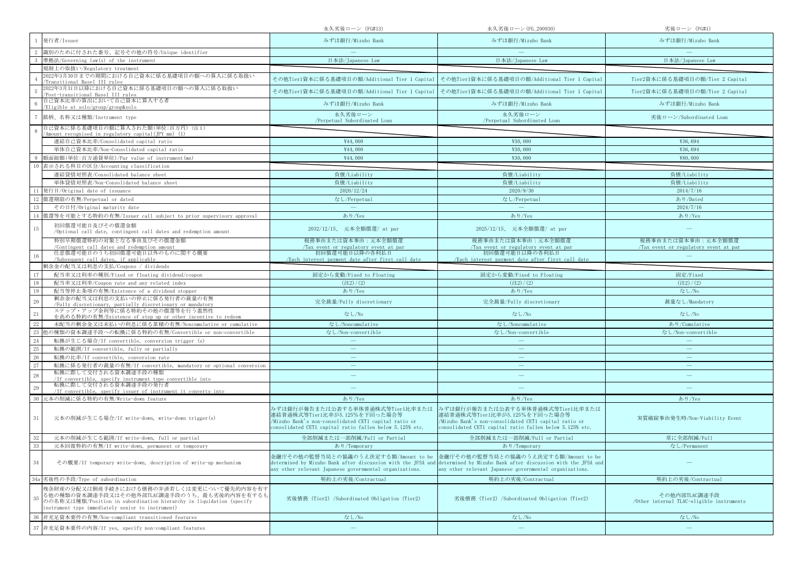|                                                                                                                                                                                                                             | 永久劣後ローン (FG#13)                                                                                                                                                                        | 永久劣後ローン(FG_200930)                                                                                                                                                                     | 劣後ローン (FG#1)                                               |
|-----------------------------------------------------------------------------------------------------------------------------------------------------------------------------------------------------------------------------|----------------------------------------------------------------------------------------------------------------------------------------------------------------------------------------|----------------------------------------------------------------------------------------------------------------------------------------------------------------------------------------|------------------------------------------------------------|
| 発行者/Issuer                                                                                                                                                                                                                  | みずほ銀行/Mizuho Bank                                                                                                                                                                      | みずほ銀行/Mizuho Bank                                                                                                                                                                      | みずほ銀行/Mizuho Bank                                          |
| 識別のために付された番号、記号その他の符号/Unique identifier                                                                                                                                                                                     |                                                                                                                                                                                        |                                                                                                                                                                                        |                                                            |
| 準拠法/Governing law(s) of the instrument                                                                                                                                                                                      | 日本法/Japanese Law                                                                                                                                                                       | 日本法/Japanese Law                                                                                                                                                                       | 日本法/Japanese Law                                           |
| 規制上の取扱い/Regulatory treatment                                                                                                                                                                                                |                                                                                                                                                                                        |                                                                                                                                                                                        |                                                            |
| 2022年3月30日までの期間における自己資本に係る基礎項目の額への算入に係る取扱い<br>Transitional Basel III rules                                                                                                                                                  | その他Tier1資本に係る基礎項目の額/Additional Tier 1 Capital                                                                                                                                          | その他Tier1資本に係る基礎項目の額/Additional Tier 1 Capital                                                                                                                                          | Tier2資本に係る基礎項目の額/Tier 2 Capital                            |
| 2022年3月31日以降における自己資本に係る基礎項目の額への算入に係る取扱い<br>Post-transitional Basel III rules                                                                                                                                                | その他Tier1資本に係る基礎項目の額/Additional Tier 1 Capital                                                                                                                                          | その他Tier1資本に係る基礎項目の額/Additional Tier 1 Capital                                                                                                                                          | Tier2資本に係る基礎項目の額/Tier 2 Capital                            |
| 自己資本比率の算出において自己資本に算入する者<br>Eligible at solo/group/group&solo                                                                                                                                                                | みずほ銀行/Mizuho Bank                                                                                                                                                                      | みずほ銀行/Mizuho Bank                                                                                                                                                                      | みずほ銀行/Mizuho Bank                                          |
| 銘柄、名称又は種類/Instrument type                                                                                                                                                                                                   | 永久劣後ローン<br>/Perpetual Subordinated Loan                                                                                                                                                | 永久劣後ローン<br>/Perpetual Subordinated Loan                                                                                                                                                | 劣後ローン/Subordinated Loan                                    |
| 自己資本に係る基礎項目の額に算入された額(単位:百万円)(注1)                                                                                                                                                                                            |                                                                                                                                                                                        |                                                                                                                                                                                        |                                                            |
| 'Amount recognised in regulatory capital(JPY mn) (1)                                                                                                                                                                        | ¥44,000                                                                                                                                                                                |                                                                                                                                                                                        |                                                            |
| 連結自己資本比率/Consolidated capital ratio                                                                                                                                                                                         |                                                                                                                                                                                        | ¥30,000                                                                                                                                                                                | ¥36,694                                                    |
| 単体自己資本比率/Non-Consolidated capital ratio                                                                                                                                                                                     | ¥44,000                                                                                                                                                                                | ¥30,000                                                                                                                                                                                | ¥36,694                                                    |
| 額面総額(単位:百万通貨単位)/Par value of instrument(mn)                                                                                                                                                                                 | ¥44,000                                                                                                                                                                                | ¥30,000                                                                                                                                                                                | ¥80,000                                                    |
| 表示される科目の区分/Accounting classification<br>10                                                                                                                                                                                  |                                                                                                                                                                                        |                                                                                                                                                                                        |                                                            |
| 連結貸借対照表/Consolidated balance sheet                                                                                                                                                                                          | 負債/Liability                                                                                                                                                                           | 負債/Liability                                                                                                                                                                           | 負債/Liability                                               |
| 単体貸借対照表/Non-Consolidated balance sheet                                                                                                                                                                                      | 負債/Liability                                                                                                                                                                           | 負債/Liability                                                                                                                                                                           | 負債/Liability                                               |
| 発行日/Original date of issuance                                                                                                                                                                                               | 2020/12/24                                                                                                                                                                             | 2020/9/30                                                                                                                                                                              | 2014/7/16                                                  |
| 償還期限の有無/Perpetual or dated<br>12                                                                                                                                                                                            | なし/Perpetual                                                                                                                                                                           | なし/Perpetual                                                                                                                                                                           | あり/Dated                                                   |
| その日付/Original maturity date                                                                                                                                                                                                 |                                                                                                                                                                                        | $\overline{\phantom{m}}$                                                                                                                                                               | 2024/7/16                                                  |
| 償還等を可能とする特約の有無/Issuer call subject to prior supervisory approval                                                                                                                                                            | あり/Yes                                                                                                                                                                                 | あり/Yes                                                                                                                                                                                 | あり/Yes                                                     |
| 初回償還可能日及びその償還金額<br>15<br>/Optional call date, contingent call dates and redemption amount                                                                                                                                   | 2032/12/15、 元本全額償還/ at par                                                                                                                                                             | 2025/12/15、 元本全額償還/ at par                                                                                                                                                             |                                                            |
| 特別早期償還特約の対象となる事由及びその償還金額                                                                                                                                                                                                    | 税務事由または資本事由:元本全額償還                                                                                                                                                                     | 税務事由または資本事由:元本全額償還                                                                                                                                                                     | 税務事由または資本事由:元本全額償還                                         |
| /Contingent call dates and redemption amount                                                                                                                                                                                | Tax event or regulatory event at par                                                                                                                                                   | Tax event or regulatory event at par                                                                                                                                                   | /Tax event or regulatory event at par                      |
| 任意償還可能日のうち初回償還可能日以外のものに関する概要<br>/Subsequent call dates, if applicable                                                                                                                                                       | 初回償還可能日以降の各利払日<br>/Each interest payment date after first call date                                                                                                                    | 初回償還可能日以降の各利払日<br>/Each interest payment date after first call date                                                                                                                    |                                                            |
| 剰余金の配当又は利息の支払/Coupons / dividends                                                                                                                                                                                           |                                                                                                                                                                                        |                                                                                                                                                                                        |                                                            |
| 配当率又は利率の種別/Fixed or floating dividend/coupon                                                                                                                                                                                | 固定から変動/Fixed to Floating                                                                                                                                                               | 固定から変動/Fixed to Floating                                                                                                                                                               | 固定/Fixed                                                   |
| 配当率又は利率/Coupon rate and any related index                                                                                                                                                                                   | $(\pm 2) / (2)$                                                                                                                                                                        | $(\pm 2) / (2)$                                                                                                                                                                        | $(\pm 2) / (2)$                                            |
| 19<br>配当等停止条項の有無/Existence of a dividend stopper                                                                                                                                                                            | あり/Yes                                                                                                                                                                                 | あり/Yes                                                                                                                                                                                 | なし/No                                                      |
| 剰余金の配当又は利息の支払いの停止に係る発行者の裁量の有無                                                                                                                                                                                               |                                                                                                                                                                                        |                                                                                                                                                                                        |                                                            |
| $20\,$<br>/Fully discretionary, partially discretionary or mandatory<br>ステップ・アップ金利等に係る特約その他の償還等を行う蓋然性                                                                                                                       | 完全裁量/Fully discretionary                                                                                                                                                               | 完全裁量/Fully discretionary                                                                                                                                                               | 裁量なし/Mandatory                                             |
| 21<br>を高める特約の有無/Existence of step up or other incentive to redeem                                                                                                                                                           | なし/No                                                                                                                                                                                  | なし/No                                                                                                                                                                                  | なし/No                                                      |
| 未配当の剰余金又は未払いの利息に係る累積の有無/Noncumulative or cumulative                                                                                                                                                                         | なし/Noncumulative                                                                                                                                                                       | なし/Noncumulative                                                                                                                                                                       | あり/Cumulative                                              |
| 也の種類の資本調達手段への転換に係る特約の有無/Convertible or non-convertible                                                                                                                                                                      | なし/Non-convertible                                                                                                                                                                     | なし/Non-convertible                                                                                                                                                                     | なし/Non-convertible                                         |
| 転換が生じる場合/If convertible, conversion trigger (s)                                                                                                                                                                             |                                                                                                                                                                                        |                                                                                                                                                                                        |                                                            |
| 25<br>転換の範囲/If convertible, fully or partially                                                                                                                                                                              |                                                                                                                                                                                        | $\sim$                                                                                                                                                                                 | $\sim$                                                     |
| 26<br>転換の比率/If convertible, conversion rate                                                                                                                                                                                 |                                                                                                                                                                                        | $\qquad \qquad -$                                                                                                                                                                      |                                                            |
| $27\,$<br>転換に係る発行者の裁量の有無/If convertible, mandatory or optional conversion                                                                                                                                                   |                                                                                                                                                                                        | $\qquad \qquad -$                                                                                                                                                                      |                                                            |
| 転換に際して交付される資本調達手段の種類<br>$\bf 28$                                                                                                                                                                                            |                                                                                                                                                                                        |                                                                                                                                                                                        |                                                            |
| /If convertible, specify instrument type convertible into<br>転換に際して交付される資本調達手段の発行者                                                                                                                                          |                                                                                                                                                                                        |                                                                                                                                                                                        |                                                            |
| 29<br>/If convertible, specify issuer of instrument it converts into                                                                                                                                                        |                                                                                                                                                                                        |                                                                                                                                                                                        |                                                            |
| 元本の削減に係る特約の有無/Write-down feature                                                                                                                                                                                            | あり/Yes                                                                                                                                                                                 | あり/Yes                                                                                                                                                                                 | あり/Yes                                                     |
| 31<br>元本の削減が生じる場合/If write-down, write-down trigger(s)                                                                                                                                                                      | みずほ銀行が報告または公表する単体普通株式等Tier1比率または<br>連結普通株式等Tier1比率が5.125%を下回った場合等<br>'Mizuho Bank's non-consolidated CET1 capital ratio or<br>consolidated CET1 capital ratio fallen below 5.125% etc. | みずほ銀行が報告または公表する単体普通株式等Tier1比率または<br>連結普通株式等Tier1比率が5.125%を下回った場合等<br>/Mizuho Bank's non-consolidated CET1 capital ratio or<br>consolidated CET1 capital ratio fallen below 5.125% etc. | 実質破綻事由発生時/Non-Viability Event                              |
| 元本の削減が生じる範囲/If write-down, full or partial                                                                                                                                                                                  | 全部削減または一部削減/Full or Partial                                                                                                                                                            | 全部削減または一部削減/Full or Partial                                                                                                                                                            | 常に全部削減/Full                                                |
| 33<br>元本回復特約の有無/If write-down, permanent or temporary                                                                                                                                                                       | あり/Temporary                                                                                                                                                                           | あり/Temporary                                                                                                                                                                           | なし/Permanent                                               |
| 34<br>その概要/If temporary write-down, description of write-up mechanism                                                                                                                                                       | 金融庁その他の監督当局との協議のうえ決定する額/Amount to be  金融庁その他の監督当局との協議のうえ決定する額/Amount to be<br>any other relevant Japanese governmental organizations.                                                  | determined by Mizuho Bank after discussion with the JFSA and determined by Mizuho Bank after discussion with the JFSA and<br>any other relevant Japanese governmental organizations.   |                                                            |
| 34a 劣後性の手段/Type of subordination                                                                                                                                                                                            | 契約上の劣後/Contractual                                                                                                                                                                     | 契約上の劣後/Contractual                                                                                                                                                                     | 契約上の劣後/Contractual                                         |
| 残余財産の分配又は倒産手続きにおける債務の弁済若しくは変更について優先的内容を有す<br>る他の種類の資本調達手段又はその他外部TLAC調達手段のうち、最も劣後的内容を有するも<br>35<br>のの名称又は種類/Position in subordination hierarchy in liquidation (specify<br>instrument type immediately senior to instrument) | 劣後債務 (Tier2) /Subordinated Obligation (Tier2)                                                                                                                                          | 劣後債務 (Tier2) /Subordinated Obligation (Tier2)                                                                                                                                          | その他内部TLAC調達手段<br>/Other internal TLAC-eligible instruments |
| 非充足資本要件の有無/Non-compliant transitioned features                                                                                                                                                                              | なし/No                                                                                                                                                                                  | なし/No                                                                                                                                                                                  | なし/No                                                      |
| 非充足資本要件の内容/If yes, specify non-compliant features<br>37                                                                                                                                                                     |                                                                                                                                                                                        | $\overline{\phantom{m}}$                                                                                                                                                               |                                                            |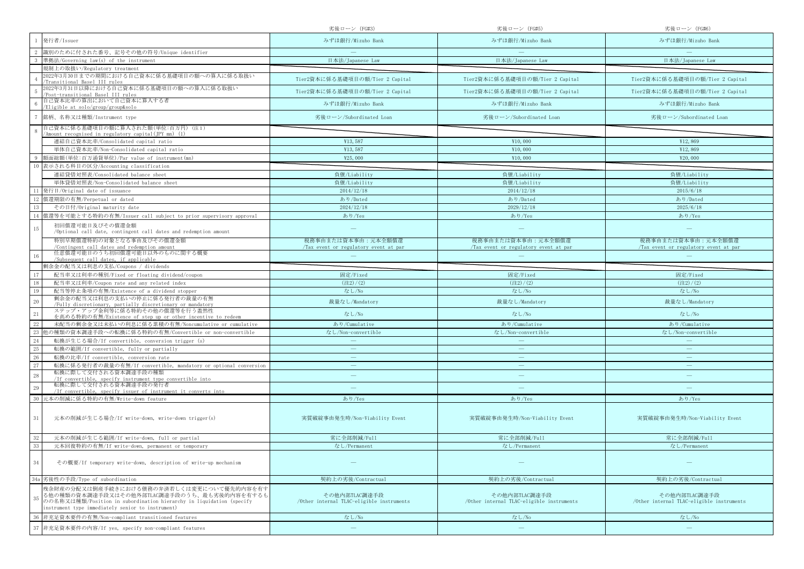|                                                                                                                                                                                                                             | 劣後ローン (FG#3)                                               | 劣後ローン (FG#5)                                                | 劣後ローン(FG#6)                                                |
|-----------------------------------------------------------------------------------------------------------------------------------------------------------------------------------------------------------------------------|------------------------------------------------------------|-------------------------------------------------------------|------------------------------------------------------------|
| 発行者/Issuer                                                                                                                                                                                                                  | みずほ銀行/Mizuho Bank                                          | みずほ銀行/Mizuho Bank                                           | みずほ銀行/Mizuho Bank                                          |
| 識別のために付された番号、記号その他の符号/Unique identifier                                                                                                                                                                                     |                                                            |                                                             |                                                            |
| 準拠法/Governing law(s) of the instrument                                                                                                                                                                                      | 日本法/Japanese Law                                           | 日本法/Japanese Law                                            | 日本法/Japanese Law                                           |
| 規制上の取扱い/Regulatory treatment                                                                                                                                                                                                |                                                            |                                                             |                                                            |
| 2022年3月30日までの期間における自己資本に係る基礎項目の額への算入に係る取扱い<br>Transitional Basel III rules                                                                                                                                                  | Tier2資本に係る基礎項目の額/Tier 2 Capital                            | Tier2資本に係る基礎項目の額/Tier 2 Capital                             | Tier2資本に係る基礎項目の額/Tier 2 Capital                            |
| 2022年3月31日以降における自己資本に係る基礎項目の額への算入に係る取扱い<br>Post-transitional Basel III rules                                                                                                                                                | Tier2資本に係る基礎項目の額/Tier 2 Capital                            | Tier2資本に係る基礎項目の額/Tier 2 Capital                             | Tier2資本に係る基礎項目の額/Tier 2 Capital                            |
| 自己資本比率の算出において自己資本に算入する者<br>Eligible at solo/group/group&solo                                                                                                                                                                | みずほ銀行/Mizuho Bank                                          | みずほ銀行/Mizuho Bank                                           | みずほ銀行/Mizuho Bank                                          |
| 銘柄、名称又は種類/Instrument type                                                                                                                                                                                                   | 劣後ローン/Subordinated Loan                                    | 劣後ローン/Subordinated Loan                                     | 劣後ローン/Subordinated Loan                                    |
| 自己資本に係る基礎項目の額に算入された額(単位:百万円)(注1)<br>'Amount recognised in regulatory capital(IPY mn) (1)                                                                                                                                    |                                                            |                                                             |                                                            |
| 連結自己資本比率/Consolidated capital ratio                                                                                                                                                                                         | ¥13,587                                                    | ¥10,000                                                     | ¥12,869                                                    |
| 単体自己資本比率/Non-Consolidated capital ratio                                                                                                                                                                                     | ¥13,587                                                    | ¥10,000                                                     | ¥12,869                                                    |
| 額面総額(単位:百万通貨単位)/Par value of instrument(mn)                                                                                                                                                                                 | ¥25,000                                                    | ¥10,000                                                     | ¥20,000                                                    |
| 表示される科目の区分/Accounting classification                                                                                                                                                                                        |                                                            |                                                             |                                                            |
| 連結貸借対照表/Consolidated balance sheet                                                                                                                                                                                          | 負債/Liability                                               | 負債/Liability                                                | 負債/Liability                                               |
| 単体貸借対照表/Non-Consolidated balance sheet                                                                                                                                                                                      | 負債/Liability                                               | 負債/Liability                                                | 負債/Liability                                               |
| 発行日/Original date of issuance                                                                                                                                                                                               | 2014/12/18                                                 | 2014/12/18                                                  | 2015/6/18                                                  |
| 償還期限の有無/Perpetual or dated                                                                                                                                                                                                  | あり/Dated                                                   | あり/Dated                                                    | あり/Dated                                                   |
| その日付/Original maturity date                                                                                                                                                                                                 | 2024/12/18                                                 | 2029/12/18                                                  | 2025/6/18                                                  |
| 償還等を可能とする特約の有無/Issuer call subject to prior supervisory approval                                                                                                                                                            | あり/Yes                                                     | あり/Yes                                                      | あり/Yes                                                     |
| 初回償還可能日及びその償還金額<br>15<br>/Optional call date, contingent call dates and redemption amount                                                                                                                                   |                                                            |                                                             |                                                            |
| 特別早期償還特約の対象となる事由及びその償還金額<br>/Contingent call dates and redemption amount                                                                                                                                                    | 税務事由または資本事由:元本全額償還                                         | 税務事由または資本事由:元本全額償還<br>/Tax event or regulatory event at par | 税務事由または資本事由:元本全額償還                                         |
| 任意償還可能日のうち初回償還可能日以外のものに関する概要<br>/Subsequent call dates, if applicable                                                                                                                                                       | Tax event or regulatory event at par                       |                                                             | Tax event or regulatory event at par                       |
| 剰余金の配当又は利息の支払/Coupons / dividends                                                                                                                                                                                           |                                                            |                                                             |                                                            |
| 配当率又は利率の種別/Fixed or floating dividend/coupon                                                                                                                                                                                | 固定/Fixed                                                   | 固定/Fixed                                                    | 固定/Fixed                                                   |
| 配当率又は利率/Coupon rate and any related index                                                                                                                                                                                   | (22)/(2)                                                   | $(\pm 2)/(2)$                                               | (22)/(2)                                                   |
| 配当等停止条項の有無/Existence of a dividend stopper<br>19                                                                                                                                                                            | なし/No                                                      | なし/No                                                       | なし/No                                                      |
| 剰余金の配当又は利息の支払いの停止に係る発行者の裁量の有無<br>20<br>/Fully discretionary, partially discretionary or mandatory                                                                                                                           | 裁量なし/Mandatory                                             | 裁量なし/Mandatory                                              | 裁量なし/Mandatory                                             |
| ステップ・アップ金利等に係る特約その他の償還等を行う蓋然性<br>21<br>を高める特約の有無/Existence of step up or other incentive to redeem                                                                                                                          | なし/No                                                      | なし/No                                                       | なし/No                                                      |
| 未配当の剰余金又は未払いの利息に係る累積の有無/Noncumulative or cumulative                                                                                                                                                                         | あり/Cumulative                                              | あり/Cumulative                                               | あり/Cumulative                                              |
| 23<br>也の種類の資本調達手段への転換に係る特約の有無/Convertible or non-convertible                                                                                                                                                                | なし/Non-convertible                                         | なし/Non-convertible                                          | なし/Non-convertible                                         |
| 24<br>転換が生じる場合/If convertible, conversion trigger (s)                                                                                                                                                                       |                                                            |                                                             |                                                            |
| 25<br>転換の範囲/If convertible, fully or partially                                                                                                                                                                              |                                                            | $\overline{\phantom{m}}$                                    | $\overline{\phantom{0}}$                                   |
| 26<br>転換の比率/If convertible, conversion rate                                                                                                                                                                                 | $\overline{\phantom{m}}$                                   | $\overline{\phantom{m}}$                                    | $\overline{\phantom{m}}$                                   |
| 27<br>転換に係る発行者の裁量の有無/If convertible, mandatory or optional conversion                                                                                                                                                       |                                                            | $\overline{\phantom{0}}$                                    |                                                            |
| 転換に際して交付される資本調達手段の種類<br>28<br>/If convertible, specify instrument type convertible into                                                                                                                                     |                                                            | $\overline{\phantom{m}}$                                    |                                                            |
| 転換に際して交付される資本調達手段の発行者<br>29<br>/If convertible, specify issuer of instrument it converts into                                                                                                                               |                                                            |                                                             |                                                            |
| 元本の削減に係る特約の有無/Write-down feature                                                                                                                                                                                            | あり/Yes                                                     | あり/Yes                                                      | あり/Yes                                                     |
| $31\,$<br>元本の削減が生じる場合/If write-down, write-down trigger(s)                                                                                                                                                                  | 実質破綻事由発生時/Non-Viability Event                              | 実質破綻事由発生時/Non-Viability Event                               | 実質破綻事由発生時/Non-Viability Event                              |
|                                                                                                                                                                                                                             |                                                            |                                                             |                                                            |
| 元本の削減が生じる範囲/If write-down, full or partial                                                                                                                                                                                  | 常に全部削減/Full                                                | 常に全部削減/Full                                                 | 常に全部削減/Full                                                |
| 元本回復特約の有無/If write-down, permanent or temporary                                                                                                                                                                             | なし/Permanent                                               | なし/Permanent                                                | なし/Permanent                                               |
| 34<br>その概要/If temporary write-down, description of write-up mechanism                                                                                                                                                       |                                                            |                                                             |                                                            |
| 劣後性の手段/Type of subordination<br>34a                                                                                                                                                                                         | 契約上の劣後/Contractual                                         | 契約上の劣後/Contractual                                          | 契約上の劣後/Contractual                                         |
| 残余財産の分配又は倒産手続きにおける債務の弁済若しくは変更について優先的内容を有す<br>る他の種類の資本調達手段又はその他外部TLAC調達手段のうち、最も劣後的内容を有するも<br>35<br>のの名称又は種類/Position in subordination hierarchy in liquidation (specify<br>instrument type immediately senior to instrument) | その他内部TLAC調達手段<br>/Other internal TLAC-eligible instruments | その他内部TLAC調達手段<br>/Other internal TLAC-eligible instruments  | その他内部TLAC調達手段<br>/Other internal TLAC-eligible instruments |
| 非充足資本要件の有無/Non-compliant transitioned features                                                                                                                                                                              | なし/No                                                      | なし/No                                                       | なし/No                                                      |
| 非充足資本要件の内容/If yes, specify non-compliant features                                                                                                                                                                           | $\overline{\phantom{m}}$                                   | $\qquad \qquad =$                                           |                                                            |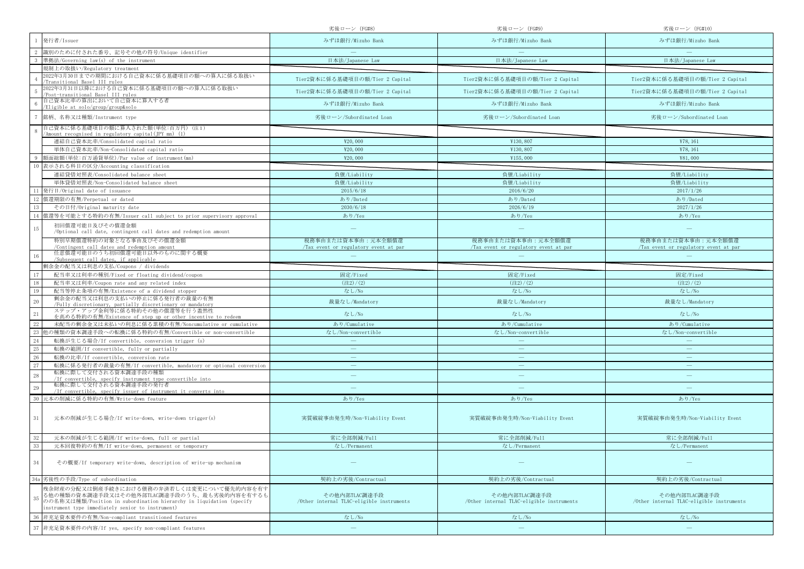|                                                                                                                                                                                                                             | 劣後ローン (FG#8)                                               | 劣後ローン (FG#9)                                               | 劣後ローン (FG#10)                                              |
|-----------------------------------------------------------------------------------------------------------------------------------------------------------------------------------------------------------------------------|------------------------------------------------------------|------------------------------------------------------------|------------------------------------------------------------|
| 発行者/Issuer                                                                                                                                                                                                                  | みずほ銀行/Mizuho Bank                                          | みずほ銀行/Mizuho Bank                                          | みずほ銀行/Mizuho Bank                                          |
| 識別のために付された番号、記号その他の符号/Unique identifier                                                                                                                                                                                     |                                                            |                                                            |                                                            |
| 準拠法/Governing law(s) of the instrument                                                                                                                                                                                      | 日本法/Japanese Law                                           | 日本法/Japanese Law                                           | 日本法/Japanese Law                                           |
| 規制上の取扱い/Regulatory treatment                                                                                                                                                                                                |                                                            |                                                            |                                                            |
| 2022年3月30日までの期間における自己資本に係る基礎項目の額への算入に係る取扱い<br>Transitional Basel III rules                                                                                                                                                  | Tier2資本に係る基礎項目の額/Tier 2 Capital                            | Tier2資本に係る基礎項目の額/Tier 2 Capital                            | Tier2資本に係る基礎項目の額/Tier 2 Capital                            |
| 2022年3月31日以降における自己資本に係る基礎項目の額への算入に係る取扱い<br>Post-transitional Basel III rules                                                                                                                                                | Tier2資本に係る基礎項目の額/Tier 2 Capital                            | Tier2資本に係る基礎項目の額/Tier 2 Capital                            | Tier2資本に係る基礎項目の額/Tier 2 Capital                            |
| 自己資本比率の算出において自己資本に算入する者<br>Eligible at solo/group/group&solo                                                                                                                                                                | みずほ銀行/Mizuho Bank                                          | みずほ銀行/Mizuho Bank                                          | みずほ銀行/Mizuho Bank                                          |
| 銘柄、名称又は種類/Instrument type                                                                                                                                                                                                   | 劣後ローン/Subordinated Loan                                    | 劣後ローン/Subordinated Loan                                    | 劣後ローン/Subordinated Loan                                    |
| 自己資本に係る基礎項目の額に算入された額(単位:百万円)(注1)<br>'Amount recognised in regulatory capital(IPY mn) (1)                                                                                                                                    |                                                            |                                                            |                                                            |
| 連結自己資本比率/Consolidated capital ratio                                                                                                                                                                                         | ¥20,000                                                    | ¥130,807                                                   | ¥78, 161                                                   |
| 単体自己資本比率/Non-Consolidated capital ratio                                                                                                                                                                                     | ¥20,000                                                    | ¥130,807                                                   | ¥78, 161                                                   |
| 額面総額(単位:百万通貨単位)/Par value of instrument(mn)                                                                                                                                                                                 | ¥20,000                                                    | ¥155,000                                                   | ¥81,000                                                    |
| 表示される科目の区分/Accounting classification                                                                                                                                                                                        |                                                            |                                                            |                                                            |
| 連結貸借対照表/Consolidated balance sheet                                                                                                                                                                                          | 負債/Liability                                               | 負債/Liability                                               | 負債/Liability                                               |
| 単体貸借対照表/Non-Consolidated balance sheet                                                                                                                                                                                      | 負債/Liability                                               | 負債/Liability                                               | 負債/Liability                                               |
| 発行日/Original date of issuance                                                                                                                                                                                               | 2015/6/18                                                  | 2016/6/20                                                  | 2017/1/26                                                  |
| 償還期限の有無/Perpetual or dated                                                                                                                                                                                                  | あり/Dated                                                   | あり/Dated                                                   | あり/Dated                                                   |
| その日付/Original maturity date                                                                                                                                                                                                 | 2030/6/18                                                  | 2026/6/19                                                  | 2027/1/26                                                  |
| 償還等を可能とする特約の有無/Issuer call subject to prior supervisory approval                                                                                                                                                            | あり/Yes                                                     | あり/Yes                                                     | あり/Yes                                                     |
| 初回償還可能日及びその償還金額<br>15                                                                                                                                                                                                       |                                                            | $\overline{\phantom{m}}$                                   |                                                            |
| /Optional call date, contingent call dates and redemption amount<br>特別早期償還特約の対象となる事由及びその償還金額                                                                                                                                | 税務事由または資本事由:元本全額償還                                         | 税務事由または資本事由:元本全額償還                                         | 税務事由または資本事由:元本全額償還                                         |
| /Contingent call dates and redemption amount                                                                                                                                                                                | Tax event or regulatory event at par                       | /Tax event or regulatory event at par                      | Tax event or regulatory event at par                       |
| 任意償還可能日のうち初回償還可能日以外のものに関する概要<br>/Subsequent call dates, if applicable                                                                                                                                                       |                                                            |                                                            |                                                            |
| 剰余金の配当又は利息の支払/Coupons / dividends                                                                                                                                                                                           |                                                            |                                                            |                                                            |
| 配当率又は利率の種別/Fixed or floating dividend/coupon                                                                                                                                                                                | 固定/Fixed                                                   | 固定/Fixed                                                   | 固定/Fixed                                                   |
| 配当率又は利率/Coupon rate and any related index                                                                                                                                                                                   | (22)/(2)                                                   | $(\pm 2)/(2)$                                              | (22)/(2)                                                   |
| 配当等停止条項の有無/Existence of a dividend stopper<br>19                                                                                                                                                                            | なし/No                                                      | なし/No                                                      | なし/No                                                      |
| 剰余金の配当又は利息の支払いの停止に係る発行者の裁量の有無<br>20<br>/Fully discretionary, partially discretionary or mandatory                                                                                                                           | 裁量なし/Mandatory                                             | 裁量なし/Mandatory                                             | 裁量なし/Mandatory                                             |
| ステップ・アップ金利等に係る特約その他の償還等を行う蓋然性<br>21<br>を高める特約の有無/Existence of step up or other incentive to redeem                                                                                                                          | なし/No                                                      | なし/No                                                      | なし/No                                                      |
| 未配当の剰余金又は未払いの利息に係る累積の有無/Noncumulative or cumulative                                                                                                                                                                         | あり/Cumulative                                              | あり/Cumulative                                              | あり/Cumulative                                              |
| 23<br>也の種類の資本調達手段への転換に係る特約の有無/Convertible or non-convertible                                                                                                                                                                | なし/Non-convertible                                         | なし/Non-convertible                                         | なし/Non-convertible                                         |
| 24<br>転換が生じる場合/If convertible, conversion trigger (s)                                                                                                                                                                       |                                                            |                                                            |                                                            |
| 25<br>転換の範囲/If convertible, fully or partially                                                                                                                                                                              |                                                            | $\overline{\phantom{m}}$                                   | $\overline{\phantom{0}}$                                   |
| 26<br>転換の比率/If convertible, conversion rate                                                                                                                                                                                 | $\overline{\phantom{m}}$                                   | $\overline{\phantom{m}}$                                   | $\overline{\phantom{m}}$                                   |
| 27<br>転換に係る発行者の裁量の有無/If convertible, mandatory or optional conversion                                                                                                                                                       |                                                            | $\overline{\phantom{0}}$                                   |                                                            |
| 転換に際して交付される資本調達手段の種類<br>28<br>/If convertible, specify instrument type convertible into                                                                                                                                     |                                                            | $\overline{\phantom{m}}$                                   |                                                            |
| 転換に際して交付される資本調達手段の発行者<br>29<br>/If convertible, specify issuer of instrument it converts into                                                                                                                               |                                                            |                                                            |                                                            |
| 元本の削減に係る特約の有無/Write-down feature                                                                                                                                                                                            | あり/Yes                                                     | あり/Yes                                                     | あり/Yes                                                     |
| $31\,$<br>元本の削減が生じる場合/If write-down, write-down trigger(s)                                                                                                                                                                  | 実質破綻事由発生時/Non-Viability Event                              | 実質破綻事由発生時/Non-Viability Event                              | 実質破綻事由発生時/Non-Viability Event                              |
| 元本の削減が生じる範囲/If write-down, full or partial                                                                                                                                                                                  |                                                            |                                                            |                                                            |
| 33<br>元本回復特約の有無/If write-down, permanent or temporary                                                                                                                                                                       | 常に全部削減/Full<br>なし/Permanent                                | 常に全部削減/Full<br>なし/Permanent                                | 常に全部削減/Full<br>なし/Permanent                                |
|                                                                                                                                                                                                                             |                                                            |                                                            |                                                            |
| 34<br>その概要/If temporary write-down, description of write-up mechanism                                                                                                                                                       |                                                            |                                                            |                                                            |
| 劣後性の手段/Type of subordination<br>34a                                                                                                                                                                                         | 契約上の劣後/Contractual                                         | 契約上の劣後/Contractual                                         | 契約上の劣後/Contractual                                         |
| 残余財産の分配又は倒産手続きにおける債務の弁済若しくは変更について優先的内容を有す<br>る他の種類の資本調達手段又はその他外部TLAC調達手段のうち、最も劣後的内容を有するも<br>35<br>のの名称又は種類/Position in subordination hierarchy in liquidation (specify<br>instrument type immediately senior to instrument) | その他内部TLAC調達手段<br>/Other internal TLAC-eligible instruments | その他内部TLAC調達手段<br>/Other internal TLAC-eligible instruments | その他内部TLAC調達手段<br>/Other internal TLAC-eligible instruments |
| 非充足資本要件の有無/Non-compliant transitioned features                                                                                                                                                                              | なし/No                                                      | なし/No                                                      | なし/No                                                      |
| 非充足資本要件の内容/If yes, specify non-compliant features                                                                                                                                                                           | $\overline{\phantom{m}}$                                   | $\qquad \qquad =$                                          |                                                            |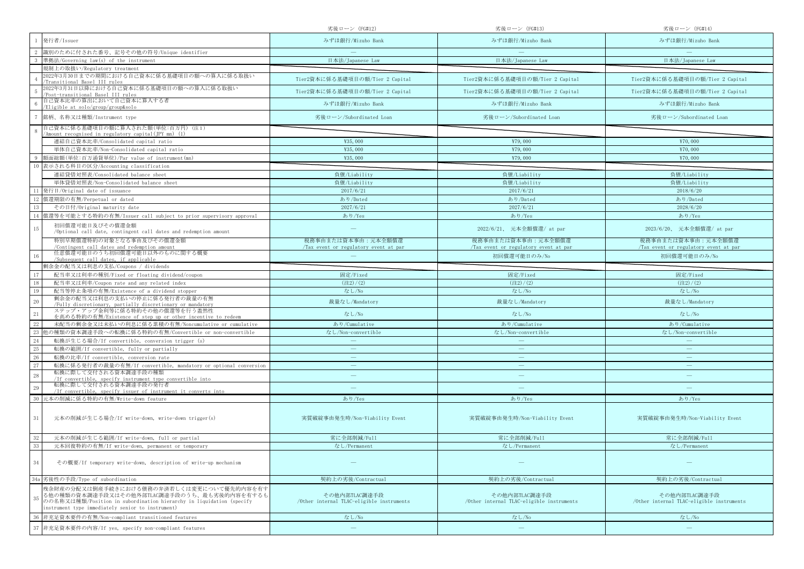|                                                                                                                                                                                                                             | 劣後ローン (FG#12)                                              | 劣後ローン (FG#13)                                              | 劣後ローン(FG#14)                                               |
|-----------------------------------------------------------------------------------------------------------------------------------------------------------------------------------------------------------------------------|------------------------------------------------------------|------------------------------------------------------------|------------------------------------------------------------|
| 発行者/Issuer                                                                                                                                                                                                                  | みずほ銀行/Mizuho Bank                                          | みずほ銀行/Mizuho Bank                                          | みずほ銀行/Mizuho Bank                                          |
| 識別のために付された番号、記号その他の符号/Unique identifier                                                                                                                                                                                     |                                                            |                                                            |                                                            |
| 準拠法/Governing law(s) of the instrument                                                                                                                                                                                      | 日本法/Japanese Law                                           | 日本法/Japanese Law                                           | 日本法/Japanese Law                                           |
| 規制上の取扱い/Regulatory treatment                                                                                                                                                                                                |                                                            |                                                            |                                                            |
| 2022年3月30日までの期間における自己資本に係る基礎項目の額への算入に係る取扱い<br>Transitional Basel III rules                                                                                                                                                  | Tier2資本に係る基礎項目の額/Tier 2 Capital                            | Tier2資本に係る基礎項目の額/Tier 2 Capital                            | Tier2資本に係る基礎項目の額/Tier 2 Capital                            |
| 2022年3月31日以降における自己資本に係る基礎項目の額への算入に係る取扱い<br>Post-transitional Basel III rules                                                                                                                                                | Tier2資本に係る基礎項目の額/Tier 2 Capital                            | Tier2資本に係る基礎項目の額/Tier 2 Capital                            | Tier2資本に係る基礎項目の額/Tier 2 Capital                            |
| 自己資本比率の算出において自己資本に算入する者<br>Eligible at solo/group/group&solo                                                                                                                                                                | みずほ銀行/Mizuho Bank                                          | みずほ銀行/Mizuho Bank                                          | みずほ銀行/Mizuho Bank                                          |
| 銘柄、名称又は種類/Instrument type                                                                                                                                                                                                   | 劣後ローン/Subordinated Loan                                    | 劣後ローン/Subordinated Loan                                    | 劣後ローン/Subordinated Loan                                    |
| 自己資本に係る基礎項目の額に算入された額(単位:百万円)(注1)<br>'Amount recognised in regulatory capital(IPY mn) (1)                                                                                                                                    |                                                            |                                                            |                                                            |
| 連結自己資本比率/Consolidated capital ratio                                                                                                                                                                                         | ¥35,000                                                    | ¥79,000                                                    | ¥70,000                                                    |
| 単体自己資本比率/Non-Consolidated capital ratio                                                                                                                                                                                     | ¥35,000                                                    | ¥79,000                                                    | ¥70,000                                                    |
| 額面総額(単位:百万通貨単位)/Par value of instrument(mn)                                                                                                                                                                                 | ¥35,000                                                    | ¥79,000                                                    | ¥70,000                                                    |
| 表示される科目の区分/Accounting classification                                                                                                                                                                                        |                                                            |                                                            |                                                            |
| 連結貸借対照表/Consolidated balance sheet                                                                                                                                                                                          | 負債/Liability                                               | 負債/Liability                                               | 負債/Liability                                               |
| 単体貸借対照表/Non-Consolidated balance sheet                                                                                                                                                                                      | 負債/Liability                                               | 負債/Liability                                               | 負債/Liability                                               |
| 発行日/Original date of issuance                                                                                                                                                                                               | 2017/6/21                                                  | 2017/6/21                                                  | 2018/6/20                                                  |
| 償還期限の有無/Perpetual or dated                                                                                                                                                                                                  | あり/Dated                                                   | あり/Dated                                                   | あり/Dated                                                   |
| その日付/Original maturity date                                                                                                                                                                                                 | 2027/6/21                                                  | 2027/6/21                                                  | 2028/6/20                                                  |
| 償還等を可能とする特約の有無/Issuer call subject to prior supervisory approval                                                                                                                                                            | あり/Yes                                                     | あり/Yes                                                     | あり/Yes                                                     |
| 初回償還可能日及びその償還金額<br>15                                                                                                                                                                                                       |                                                            | 2022/6/21、 元本全額償還/ at par                                  | 2023/6/20、 元本全額償還/ at par                                  |
| /Optional call date, contingent call dates and redemption amount<br>特別早期償還特約の対象となる事由及びその償還金額                                                                                                                                | 税務事由または資本事由:元本全額償還                                         | 税務事由または資本事由:元本全額償還                                         | 税務事由または資本事由:元本全額償還                                         |
| /Contingent call dates and redemption amount<br>任意償還可能日のうち初回償還可能日以外のものに関する概要                                                                                                                                                | Tax event or regulatory event at par                       | /Tax event or regulatory event at par                      | /Tax event or regulatory event at par                      |
| /Subsequent call dates, if applicable                                                                                                                                                                                       |                                                            | 初回償還可能日のみ/No                                               | 初回償還可能日のみ/No                                               |
| 剰余金の配当又は利息の支払/Coupons / dividends                                                                                                                                                                                           |                                                            |                                                            |                                                            |
| 配当率又は利率の種別/Fixed or floating dividend/coupon                                                                                                                                                                                | 固定/Fixed                                                   | 固定/Fixed                                                   | 固定/Fixed                                                   |
| 配当率又は利率/Coupon rate and any related index                                                                                                                                                                                   | (22)/(2)                                                   | (22)/(2)                                                   | (22)/(2)                                                   |
| 配当等停止条項の有無/Existence of a dividend stopper<br>19                                                                                                                                                                            | なし/No                                                      | なし/No                                                      | なし/No                                                      |
| 剰余金の配当又は利息の支払いの停止に係る発行者の裁量の有無<br>20<br>/Fully discretionary, partially discretionary or mandatory                                                                                                                           | 裁量なし/Mandatory                                             | 裁量なし/Mandatory                                             | 裁量なし/Mandatory                                             |
| ステップ・アップ金利等に係る特約その他の償還等を行う蓋然性<br>21<br>を高める特約の有無/Existence of step up or other incentive to redeem                                                                                                                          | なし/No                                                      | なし/No                                                      | なし/No                                                      |
| 未配当の剰余金又は未払いの利息に係る累積の有無/Noncumulative or cumulative                                                                                                                                                                         | あり/Cumulative                                              | あり/Cumulative                                              | あり/Cumulative                                              |
| 也の種類の資本調達手段への転換に係る特約の有無/Convertible or non-convertible                                                                                                                                                                      | なし/Non-convertible                                         | なし/Non-convertible                                         | なし/Non-convertible                                         |
| 24<br>転換が生じる場合/If convertible, conversion trigger (s)                                                                                                                                                                       |                                                            |                                                            |                                                            |
| 25<br>転換の範囲/If convertible, fully or partially                                                                                                                                                                              |                                                            |                                                            |                                                            |
| 26<br>転換の比率/If convertible, conversion rate                                                                                                                                                                                 | $\overline{\phantom{m}}$                                   | $\overline{\phantom{m}}$                                   | $\overline{\phantom{m}}$                                   |
| 27<br>転換に係る発行者の裁量の有無/If convertible, mandatory or optional conversion                                                                                                                                                       |                                                            |                                                            |                                                            |
| 転換に際して交付される資本調達手段の種類<br>28<br>/If convertible, specify instrument type convertible into                                                                                                                                     |                                                            | $\qquad \qquad -$                                          | $\qquad \qquad$                                            |
| 転換に際して交付される資本調達手段の発行者<br>29<br>/If convertible, specify issuer of instrument it converts into                                                                                                                               |                                                            |                                                            |                                                            |
| 元本の削減に係る特約の有無/Write-down feature                                                                                                                                                                                            | あり/Yes                                                     | あり/Yes                                                     | あり/Yes                                                     |
| $31\,$<br>元本の削減が生じる場合/If write-down, write-down trigger(s)                                                                                                                                                                  | 実質破綻事由発生時/Non-Viability Event                              | 実質破綻事由発生時/Non-Viability Event                              | 実質破綻事由発生時/Non-Viability Event                              |
| 元本の削減が生じる範囲/If write-down, full or partial                                                                                                                                                                                  | 常に全部削減/Full                                                | 常に全部削減/Full                                                | 常に全部削減/Full                                                |
|                                                                                                                                                                                                                             | なし/Permanent                                               | なし/Permanent                                               | なし/Permanent                                               |
| 元本回復特約の有無/If write-down, permanent or temporary                                                                                                                                                                             |                                                            |                                                            |                                                            |
| 34<br>その概要/If temporary write-down, description of write-up mechanism                                                                                                                                                       |                                                            |                                                            |                                                            |
| 劣後性の手段/Type of subordination<br>34a                                                                                                                                                                                         | 契約上の劣後/Contractual                                         | 契約上の劣後/Contractual                                         | 契約上の劣後/Contractual                                         |
| 残余財産の分配又は倒産手続きにおける債務の弁済若しくは変更について優先的内容を有す<br>る他の種類の資本調達手段又はその他外部TLAC調達手段のうち、最も劣後的内容を有するも<br>35<br>のの名称又は種類/Position in subordination hierarchy in liquidation (specify<br>instrument type immediately senior to instrument) | その他内部TLAC調達手段<br>/Other internal TLAC-eligible instruments | その他内部TLAC調達手段<br>/Other internal TLAC-eligible instruments | その他内部TLAC調達手段<br>/Other internal TLAC-eligible instruments |
| 非充足資本要件の有無/Non-compliant transitioned features                                                                                                                                                                              | なし/No                                                      | なし/No                                                      | なし/No                                                      |
| 非充足資本要件の内容/If yes, specify non-compliant features                                                                                                                                                                           | $\overline{\phantom{m}}$                                   | $\qquad \qquad -$                                          |                                                            |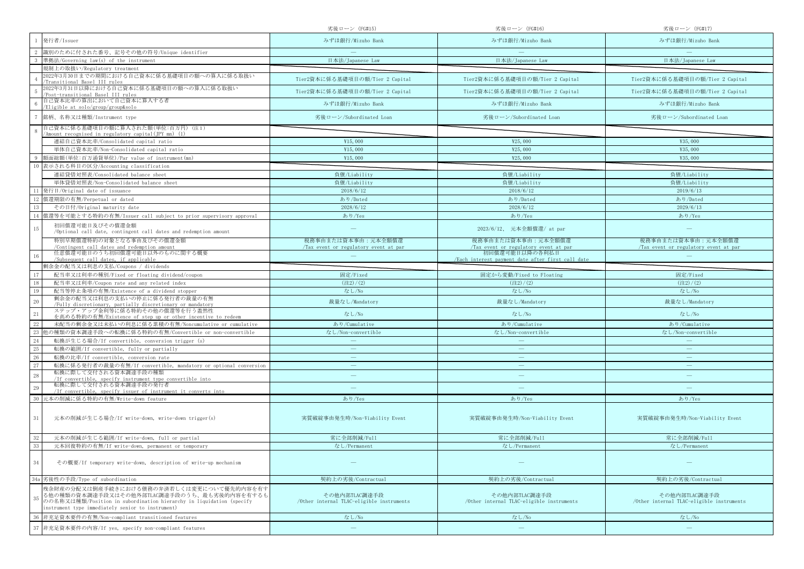|                                                                                                                                                                                                                             | 劣後ローン(FG#15)                                               | 劣後ローン (FG#16)                                                       | 劣後ローン (FG#17)                                              |
|-----------------------------------------------------------------------------------------------------------------------------------------------------------------------------------------------------------------------------|------------------------------------------------------------|---------------------------------------------------------------------|------------------------------------------------------------|
| 発行者/Issuer                                                                                                                                                                                                                  | みずほ銀行/Mizuho Bank                                          | みずほ銀行/Mizuho Bank                                                   | みずほ銀行/Mizuho Bank                                          |
| 識別のために付された番号、記号その他の符号/Unique identifier                                                                                                                                                                                     |                                                            |                                                                     |                                                            |
| 準拠法/Governing law(s) of the instrument                                                                                                                                                                                      | 日本法/Japanese Law                                           | 日本法/Japanese Law                                                    | 日本法/Japanese Law                                           |
| 規制上の取扱い/Regulatory treatment                                                                                                                                                                                                |                                                            |                                                                     |                                                            |
| 2022年3月30日までの期間における自己資本に係る基礎項目の額への算入に係る取扱い<br>Transitional Basel III rules                                                                                                                                                  | Tier2資本に係る基礎項目の額/Tier 2 Capital                            | Tier2資本に係る基礎項目の額/Tier 2 Capital                                     | Tier2資本に係る基礎項目の額/Tier 2 Capital                            |
| 2022年3月31日以降における自己資本に係る基礎項目の額への算入に係る取扱い<br>Post-transitional Basel III rules                                                                                                                                                | Tier2資本に係る基礎項目の額/Tier 2 Capital                            | Tier2資本に係る基礎項目の額/Tier 2 Capital                                     | Tier2資本に係る基礎項目の額/Tier 2 Capital                            |
| 自己資本比率の算出において自己資本に算入する者<br>Eligible at solo/group/group&solo                                                                                                                                                                | みずほ銀行/Mizuho Bank                                          | みずほ銀行/Mizuho Bank                                                   | みずほ銀行/Mizuho Bank                                          |
| 銘柄、名称又は種類/Instrument type                                                                                                                                                                                                   | 劣後ローン/Subordinated Loan                                    | 劣後ローン/Subordinated Loan                                             | 劣後ローン/Subordinated Loan                                    |
| 自己資本に係る基礎項目の額に算入された額(単位:百万円)(注1)<br>'Amount recognised in regulatory capital(JPY mn) (1)                                                                                                                                    |                                                            |                                                                     |                                                            |
| 連結自己資本比率/Consolidated capital ratio                                                                                                                                                                                         | ¥15,000                                                    | ¥25,000                                                             | ¥35,000                                                    |
| 単体自己資本比率/Non-Consolidated capital ratio                                                                                                                                                                                     | ¥15,000                                                    | ¥25,000                                                             | ¥35,000                                                    |
| 額面総額(単位:百万通貨単位)/Par value of instrument(mn)                                                                                                                                                                                 | ¥15,000                                                    | ¥25,000                                                             | ¥35,000                                                    |
| 表示される科目の区分/Accounting classification                                                                                                                                                                                        |                                                            |                                                                     |                                                            |
| 連結貸借対照表/Consolidated balance sheet                                                                                                                                                                                          | 負債/Liability                                               | 負債/Liability                                                        | 負債/Liability                                               |
| 単体貸借対照表/Non-Consolidated balance sheet                                                                                                                                                                                      | 負債/Liability                                               | 負債/Liability                                                        | 負債/Liability                                               |
| 発行日/Original date of issuance                                                                                                                                                                                               | 2018/6/12                                                  | 2018/6/12                                                           | 2019/6/13                                                  |
| 償還期限の有無/Perpetual or dated                                                                                                                                                                                                  | あり/Dated                                                   | あり/Dated                                                            | あり/Dated                                                   |
| その日付/Original maturity date                                                                                                                                                                                                 | 2028/6/12                                                  | 2028/6/12                                                           | 2029/6/13                                                  |
| 償還等を可能とする特約の有無/Issuer call subject to prior supervisory approval                                                                                                                                                            | あり/Yes                                                     | あり/Yes                                                              | あり/Yes                                                     |
| 初回償還可能日及びその償還金額<br>15                                                                                                                                                                                                       |                                                            | 2023/6/12、 元本全額償還/ at par                                           |                                                            |
| /Optional call date, contingent call dates and redemption amount                                                                                                                                                            |                                                            |                                                                     |                                                            |
| 特別早期償還特約の対象となる事由及びその償還金額<br>/Contingent call dates and redemption amount                                                                                                                                                    | 税務事由または資本事由:元本全額償還<br>Tax event or regulatory event at par | 税務事由または資本事由:元本全額償還<br>/Tax event or regulatory event at par         | 税務事由または資本事由:元本全額償還<br>Tax event or regulatory event at par |
| 任意償還可能日のうち初回償還可能日以外のものに関する概要<br>/Subsequent call dates, if applicable                                                                                                                                                       |                                                            | 初回償還可能日以降の各利払日<br>/Each interest payment date after first call date |                                                            |
| 剰余金の配当又は利息の支払/Coupons / dividends                                                                                                                                                                                           |                                                            |                                                                     |                                                            |
| 配当率又は利率の種別/Fixed or floating dividend/coupon                                                                                                                                                                                | 固定/Fixed                                                   | 固定から変動/Fixed to Floating                                            | 固定/Fixed                                                   |
| 配当率又は利率/Coupon rate and any related index                                                                                                                                                                                   | (22)/(2)                                                   | $(\pm 2)/(2)$                                                       | (22)/(2)                                                   |
| 配当等停止条項の有無/Existence of a dividend stopper<br>19                                                                                                                                                                            | なし/No                                                      | なし/No                                                               | なし/No                                                      |
| 剰余金の配当又は利息の支払いの停止に係る発行者の裁量の有無<br>20<br>/Fully discretionary, partially discretionary or mandatory                                                                                                                           | 裁量なし/Mandatory                                             | 裁量なし/Mandatory                                                      | 裁量なし/Mandatory                                             |
| ステップ・アップ金利等に係る特約その他の償還等を行う蓋然性<br>21<br>を高める特約の有無/Existence of step up or other incentive to redeem                                                                                                                          | なし/No                                                      | なし/No                                                               | なし/No                                                      |
| 未配当の剰余金又は未払いの利息に係る累積の有無/Noncumulative or cumulative                                                                                                                                                                         | あり/Cumulative                                              | あり/Cumulative                                                       | あり/Cumulative                                              |
| 23<br>也の種類の資本調達手段への転換に係る特約の有無/Convertible or non-convertible                                                                                                                                                                | なし/Non-convertible                                         | なし/Non-convertible                                                  | なし/Non-convertible                                         |
| 24<br>転換が生じる場合/If convertible, conversion trigger (s)                                                                                                                                                                       |                                                            |                                                                     |                                                            |
| 25<br>転換の範囲/If convertible, fully or partially                                                                                                                                                                              |                                                            | $\overline{\phantom{m}}$                                            | $\overline{\phantom{0}}$                                   |
| 26<br>転換の比率/If convertible, conversion rate                                                                                                                                                                                 | $\overline{\phantom{m}}$                                   | $\overline{\phantom{m}}$                                            | $\overline{\phantom{m}}$                                   |
| 27<br>転換に係る発行者の裁量の有無/If convertible, mandatory or optional conversion                                                                                                                                                       |                                                            | $\overline{\phantom{0}}$                                            |                                                            |
| 転換に際して交付される資本調達手段の種類<br>28<br>/If convertible, specify instrument type convertible into                                                                                                                                     |                                                            | $\overline{\phantom{m}}$                                            |                                                            |
| 転換に際して交付される資本調達手段の発行者<br>29<br>/If convertible, specify issuer of instrument it converts into                                                                                                                               |                                                            |                                                                     |                                                            |
| 元本の削減に係る特約の有無/Write-down feature                                                                                                                                                                                            | あり/Yes                                                     | あり/Yes                                                              | あり/Yes                                                     |
|                                                                                                                                                                                                                             |                                                            |                                                                     |                                                            |
| $31\,$<br>元本の削減が生じる場合/If write-down, write-down trigger(s)                                                                                                                                                                  | 実質破綻事由発生時/Non-Viability Event                              | 実質破綻事由発生時/Non-Viability Event                                       | 実質破綻事由発生時/Non-Viability Event                              |
| 元本の削減が生じる範囲/If write-down, full or partial                                                                                                                                                                                  | 常に全部削減/Full                                                | 常に全部削減/Full                                                         | 常に全部削減/Full                                                |
| 元本回復特約の有無/If write-down, permanent or temporary                                                                                                                                                                             | なし/Permanent                                               | なし/Permanent                                                        | なし/Permanent                                               |
| 34<br>その概要/If temporary write-down, description of write-up mechanism                                                                                                                                                       |                                                            |                                                                     |                                                            |
| 劣後性の手段/Type of subordination<br>34a                                                                                                                                                                                         | 契約上の劣後/Contractual                                         | 契約上の劣後/Contractual                                                  | 契約上の劣後/Contractual                                         |
| 残余財産の分配又は倒産手続きにおける債務の弁済若しくは変更について優先的内容を有す<br>る他の種類の資本調達手段又はその他外部TLAC調達手段のうち、最も劣後的内容を有するも<br>35<br>のの名称又は種類/Position in subordination hierarchy in liquidation (specify<br>instrument type immediately senior to instrument) | その他内部TLAC調達手段<br>/Other internal TLAC-eligible instruments | その他内部TLAC調達手段<br>/Other internal TLAC-eligible instruments          | その他内部TLAC調達手段<br>/Other internal TLAC-eligible instruments |
| 非充足資本要件の有無/Non-compliant transitioned features                                                                                                                                                                              | なし/No                                                      | なし/No                                                               | なし/No                                                      |
| 非充足資本要件の内容/If yes, specify non-compliant features                                                                                                                                                                           | $\overline{\phantom{m}}$                                   | $\qquad \qquad =$                                                   |                                                            |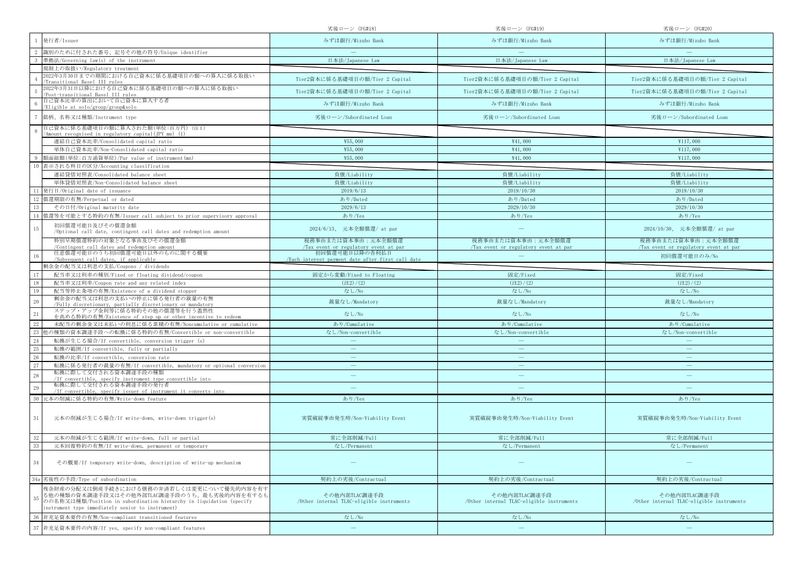|                                                                                                                                                                                                                             | 劣後ローン (FG#18)                                              | 劣後ローン (FG#19)                                              | 劣後ローン (FG#20)                                              |
|-----------------------------------------------------------------------------------------------------------------------------------------------------------------------------------------------------------------------------|------------------------------------------------------------|------------------------------------------------------------|------------------------------------------------------------|
| 発行者/Issuer                                                                                                                                                                                                                  | みずほ銀行/Mizuho Bank                                          | みずほ銀行/Mizuho Bank                                          | みずほ銀行/Mizuho Bank                                          |
| 識別のために付された番号、記号その他の符号/Unique identifier                                                                                                                                                                                     |                                                            |                                                            |                                                            |
| 準拠法/Governing law(s) of the instrument                                                                                                                                                                                      | 日本法/Japanese Law                                           | 日本法/Japanese Law                                           | 日本法/Japanese Law                                           |
| 規制上の取扱い/Regulatory treatment                                                                                                                                                                                                |                                                            |                                                            |                                                            |
| 2022年3月30日までの期間における自己資本に係る基礎項目の額への算入に係る取扱い<br>Transitional Basel III rules                                                                                                                                                  | Tier2資本に係る基礎項目の額/Tier 2 Capital                            | Tier2資本に係る基礎項目の額/Tier 2 Capital                            | Tier2資本に係る基礎項目の額/Tier 2 Capital                            |
| 2022年3月31日以降における自己資本に係る基礎項目の額への算入に係る取扱い<br>Post-transitional Basel III rules                                                                                                                                                | Tier2資本に係る基礎項目の額/Tier 2 Capital                            | Tier2資本に係る基礎項目の額/Tier 2 Capital                            | Tier2資本に係る基礎項目の額/Tier 2 Capital                            |
| 自己資本比率の算出において自己資本に算入する者<br>Eligible at solo/group/group&solo                                                                                                                                                                | みずほ銀行/Mizuho Bank                                          | みずほ銀行/Mizuho Bank                                          | みずほ銀行/Mizuho Bank                                          |
| 銘柄、名称又は種類/Instrument type                                                                                                                                                                                                   | 劣後ローン/Subordinated Loan                                    | 劣後ローン/Subordinated Loan                                    | 劣後ローン/Subordinated Loan                                    |
| 自己資本に係る基礎項目の額に算入された額(単位:百万円)(注1)<br>'Amount recognised in regulatory capital(JPY mn) (1)                                                                                                                                    |                                                            |                                                            |                                                            |
| 連結自己資本比率/Consolidated capital ratio                                                                                                                                                                                         | ¥55,000                                                    | ¥41,000                                                    | ¥117,000                                                   |
| 単体自己資本比率/Non-Consolidated capital ratio                                                                                                                                                                                     | ¥55,000                                                    | ¥41,000                                                    | ¥117,000                                                   |
| 額面総額(単位:百万通貨単位)/Par value of instrument(mn)                                                                                                                                                                                 | ¥55,000                                                    | ¥41,000                                                    | ¥117,000                                                   |
| 表示される科目の区分/Accounting classification                                                                                                                                                                                        |                                                            |                                                            |                                                            |
| 連結貸借対照表/Consolidated balance sheet                                                                                                                                                                                          | 負債/Liability                                               | 負債/Liability                                               | 負債/Liability                                               |
| 単体貸借対照表/Non-Consolidated balance sheet                                                                                                                                                                                      | 負債/Liability                                               | 負債/Liability                                               | 負債/Liability                                               |
| 発行日/Original date of issuance                                                                                                                                                                                               | 2019/6/13                                                  | 2019/10/30                                                 | 2019/10/30                                                 |
| 償還期限の有無/Perpetual or dated                                                                                                                                                                                                  | あり/Dated                                                   | あり/Dated                                                   | あり/Dated                                                   |
| その日付/Original maturity date                                                                                                                                                                                                 | 2029/6/13                                                  | 2029/10/30                                                 | 2029/10/30                                                 |
| 償還等を可能とする特約の有無/Issuer call subject to prior supervisory approval                                                                                                                                                            | あり/Yes                                                     | あり/Yes                                                     | あり/Yes                                                     |
| 初回償還可能日及びその償還金額<br>15<br>/Optional call date, contingent call dates and redemption amount                                                                                                                                   | 2024/6/13、 元本全額償還/ at par                                  |                                                            | 2024/10/30、 元本全額償還/ at par                                 |
| 特別早期償還特約の対象となる事由及びその償還金額                                                                                                                                                                                                    | 税務事由または資本事由:元本全額償還                                         | 税務事由または資本事由:元本全額償還                                         | 税務事由または資本事由:元本全額償還                                         |
| /Contingent call dates and redemption amount<br>任意償還可能日のうち初回償還可能日以外のものに関する概要                                                                                                                                                | /Tax event or regulatory event at par<br>初回償還可能日以降の各利払日    | /Tax event or regulatory event at par                      | /Tax event or regulatory event at par                      |
| /Subsequent call dates, if applicable                                                                                                                                                                                       | /Each interest navment date after first call date          |                                                            | 初回償還可能日のみ/No                                               |
| 剰余金の配当又は利息の支払/Coupons / dividends                                                                                                                                                                                           |                                                            |                                                            |                                                            |
| 配当率又は利率の種別/Fixed or floating dividend/coupon                                                                                                                                                                                | 固定から変動/Fixed to Floating                                   | 固定/Fixed                                                   | 固定/Fixed                                                   |
| 18<br>配当率又は利率/Coupon rate and any related index                                                                                                                                                                             | (22)/(2)                                                   | (22)/(2)                                                   | (22)/(2)                                                   |
| 配当等停止条項の有無/Existence of a dividend stopper<br>19                                                                                                                                                                            | なし/No                                                      | なし/No                                                      | なし/No                                                      |
| 剰余金の配当又は利息の支払いの停止に係る発行者の裁量の有無<br>$20\,$<br>/Fully discretionary, partially discretionary or mandatory                                                                                                                       | 裁量なし/Mandatory                                             | 裁量なし/Mandatory                                             | 裁量なし/Mandatory                                             |
| ステップ・アップ金利等に係る特約その他の償還等を行う蓋然性<br>21<br>を高める特約の有無/Existence of step up or other incentive to redeem                                                                                                                          | なし/No                                                      | なし/No                                                      | なし/No                                                      |
| 未配当の剰余金又は未払いの利息に係る累積の有無/Noncumulative or cumulative                                                                                                                                                                         | あり/Cumulative                                              | あり/Cumulative                                              | あり/Cumulative                                              |
| 23<br>也の種類の資本調達手段への転換に係る特約の有無/Convertible or non-convertible                                                                                                                                                                | なし/Non-convertible                                         | なし/Non-convertible                                         | なし/Non-convertible                                         |
| 24<br>転換が生じる場合/If convertible, conversion trigger (s)                                                                                                                                                                       |                                                            |                                                            |                                                            |
| 25<br>転換の範囲/If convertible, fully or partially                                                                                                                                                                              | $\overline{\phantom{a}}$                                   |                                                            |                                                            |
| 26<br>転換の比率/If convertible, conversion rate                                                                                                                                                                                 | $\overline{\phantom{m}}$                                   | $\overline{\phantom{m}}$                                   | $\overline{\phantom{m}}$                                   |
| 27<br>転換に係る発行者の裁量の有無/If convertible, mandatory or optional conversion                                                                                                                                                       |                                                            |                                                            |                                                            |
| 転換に際して交付される資本調達手段の種類<br>28<br>/If convertible, specify instrument type convertible into                                                                                                                                     |                                                            | $\qquad \qquad -$                                          | $\qquad \qquad$                                            |
| 転換に際して交付される資本調達手段の発行者<br>29<br>/If convertible, specify issuer of instrument it converts into                                                                                                                               |                                                            |                                                            |                                                            |
| 元本の削減に係る特約の有無/Write-down feature                                                                                                                                                                                            | あり/Yes                                                     | あり/Yes                                                     | あり/Yes                                                     |
|                                                                                                                                                                                                                             |                                                            |                                                            |                                                            |
| $31\,$<br>元本の削減が生じる場合/If write-down, write-down trigger(s)                                                                                                                                                                  | 実質破綻事由発生時/Non-Viability Event                              | 実質破綻事由発生時/Non-Viability Event                              | 実質破綻事由発生時/Non-Viability Event                              |
| 元本の削減が生じる範囲/If write-down, full or partial                                                                                                                                                                                  | 常に全部削減/Full                                                | 常に全部削減/Full                                                | 常に全部削減/Full                                                |
| 元本回復特約の有無/If write-down, permanent or temporary                                                                                                                                                                             | なし/Permanent                                               | なし/Permanent                                               | なし/Permanent                                               |
| 34<br>その概要/If temporary write-down, description of write-up mechanism                                                                                                                                                       |                                                            |                                                            |                                                            |
| 劣後性の手段/Type of subordination<br>34a                                                                                                                                                                                         | 契約上の劣後/Contractual                                         | 契約上の劣後/Contractual                                         | 契約上の劣後/Contractual                                         |
| 残余財産の分配又は倒産手続きにおける債務の弁済若しくは変更について優先的内容を有す<br>る他の種類の資本調達手段又はその他外部TLAC調達手段のうち、最も劣後的内容を有するも<br>35<br>のの名称又は種類/Position in subordination hierarchy in liquidation (specify<br>instrument type immediately senior to instrument) | その他内部TLAC調達手段<br>/Other internal TLAC-eligible instruments | その他内部TLAC調達手段<br>/Other internal TLAC-eligible instruments | その他内部TLAC調達手段<br>/Other internal TLAC-eligible instruments |
| 非充足資本要件の有無/Non-compliant transitioned features                                                                                                                                                                              | なし/No                                                      | なし/No                                                      | なし/No                                                      |
| 非充足資本要件の内容/If yes, specify non-compliant features                                                                                                                                                                           | $\overline{\phantom{m}}$                                   | $\overline{\phantom{m}}$                                   |                                                            |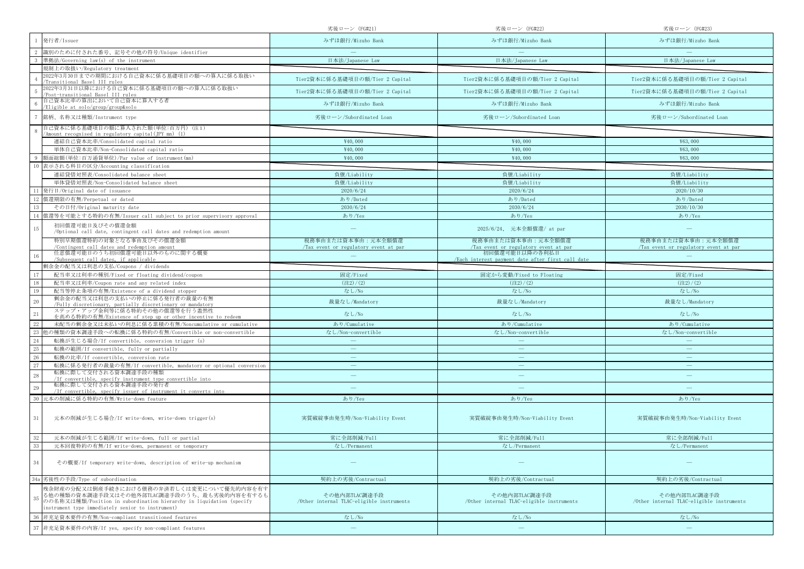|                                                                                                                                                                                                                             | 劣後ローン (FG#21)                                              | 劣後ローン (FG#22)                                                       | 劣後ローン (FG#23)                                              |
|-----------------------------------------------------------------------------------------------------------------------------------------------------------------------------------------------------------------------------|------------------------------------------------------------|---------------------------------------------------------------------|------------------------------------------------------------|
| 発行者/Issuer                                                                                                                                                                                                                  | みずほ銀行/Mizuho Bank                                          | みずほ銀行/Mizuho Bank                                                   | みずほ銀行/Mizuho Bank                                          |
| 識別のために付された番号、記号その他の符号/Unique identifier                                                                                                                                                                                     |                                                            |                                                                     |                                                            |
| 準拠法/Governing law(s) of the instrument                                                                                                                                                                                      | 日本法/Japanese Law                                           | 日本法/Japanese Law                                                    | 日本法/Japanese Law                                           |
| 規制上の取扱い/Regulatory treatment                                                                                                                                                                                                |                                                            |                                                                     |                                                            |
| 2022年3月30日までの期間における自己資本に係る基礎項目の額への算入に係る取扱い<br>Transitional Basel III rules                                                                                                                                                  | Tier2資本に係る基礎項目の額/Tier 2 Capital                            | Tier2資本に係る基礎項目の額/Tier 2 Capital                                     | Tier2資本に係る基礎項目の額/Tier 2 Capital                            |
| 2022年3月31日以降における自己資本に係る基礎項目の額への算入に係る取扱い<br>Post-transitional Basel III rules                                                                                                                                                | Tier2資本に係る基礎項目の額/Tier 2 Capital                            | Tier2資本に係る基礎項目の額/Tier 2 Capital                                     | Tier2資本に係る基礎項目の額/Tier 2 Capital                            |
| 自己資本比率の算出において自己資本に算入する者<br>Eligible at solo/group/group&solo                                                                                                                                                                | みずほ銀行/Mizuho Bank                                          | みずほ銀行/Mizuho Bank                                                   | みずほ銀行/Mizuho Bank                                          |
| 銘柄、名称又は種類/Instrument type                                                                                                                                                                                                   | 劣後ローン/Subordinated Loan                                    | 劣後ローン/Subordinated Loan                                             | 劣後ローン/Subordinated Loan                                    |
| 自己資本に係る基礎項目の額に算入された額(単位:百万円)(注1)<br>'Amount recognised in regulatory capital(JPY mn) (1)                                                                                                                                    |                                                            |                                                                     |                                                            |
| 連結自己資本比率/Consolidated capital ratio                                                                                                                                                                                         | ¥40,000                                                    | ¥40,000                                                             | ¥63,000                                                    |
| 単体自己資本比率/Non-Consolidated capital ratio                                                                                                                                                                                     | ¥40,000                                                    | ¥40,000                                                             | ¥63,000                                                    |
| 額面総額(単位:百万通貨単位)/Par value of instrument(mn)                                                                                                                                                                                 | ¥40,000                                                    | ¥40,000                                                             | ¥63,000                                                    |
| 表示される科目の区分/Accounting classification                                                                                                                                                                                        |                                                            |                                                                     |                                                            |
| 連結貸借対照表/Consolidated balance sheet                                                                                                                                                                                          | 負債/Liability                                               | 負債/Liability                                                        | 負債/Liability                                               |
| 単体貸借対照表/Non-Consolidated balance sheet                                                                                                                                                                                      | 負債/Liability                                               | 負債/Liability                                                        | 負債/Liability                                               |
| 発行日/Original date of issuance                                                                                                                                                                                               | 2020/6/24                                                  | 2020/6/24                                                           | 2020/10/30                                                 |
| 償還期限の有無/Perpetual or dated                                                                                                                                                                                                  | あり/Dated                                                   | あり/Dated                                                            | あり/Dated                                                   |
| その日付/Original maturity date                                                                                                                                                                                                 | 2030/6/24                                                  | 2030/6/24                                                           | 2030/10/30                                                 |
| 償還等を可能とする特約の有無/Issuer call subject to prior supervisory approval                                                                                                                                                            | あり/Yes                                                     | あり/Yes                                                              | あり/Yes                                                     |
| 初回償還可能日及びその償還金額<br>15                                                                                                                                                                                                       |                                                            | 2025/6/24、 元本全額償還/ at par                                           |                                                            |
| /Optional call date, contingent call dates and redemption amount<br>特別早期償還特約の対象となる事由及びその償還金額                                                                                                                                | 税務事由または資本事由:元本全額償還                                         | 税務事由または資本事由:元本全額償還                                                  | 税務事由または資本事由:元本全額償還                                         |
| /Contingent call dates and redemption amount                                                                                                                                                                                | Tax event or regulatory event at par                       | /Tax event or regulatory event at par                               | /Tax event or regulatory event at par                      |
| 任意償還可能日のうち初回償還可能日以外のものに関する概要<br>/Subsequent call dates, if applicable                                                                                                                                                       |                                                            | 初回償還可能日以降の各利払日<br>/Each interest payment date after first call date |                                                            |
| 剰余金の配当又は利息の支払/Coupons / dividends                                                                                                                                                                                           |                                                            |                                                                     |                                                            |
| 配当率又は利率の種別/Fixed or floating dividend/coupon                                                                                                                                                                                | 固定/Fixed                                                   | 固定から変動/Fixed to Floating                                            | 固定/Fixed                                                   |
| 18<br>配当率又は利率/Coupon rate and any related index                                                                                                                                                                             | (22)/(2)                                                   | $(\pm 2)/(2)$                                                       | $(\pm 2)/(2)$                                              |
| 配当等停止条項の有無/Existence of a dividend stopper<br>19                                                                                                                                                                            | なし/No                                                      | なし/No                                                               | なし/No                                                      |
| 剰余金の配当又は利息の支払いの停止に係る発行者の裁量の有無<br>$20\,$<br>/Fully discretionary, partially discretionary or mandatory                                                                                                                       | 裁量なし/Mandatory                                             | 裁量なし/Mandatory                                                      | 裁量なし/Mandatory                                             |
| ステップ・アップ金利等に係る特約その他の償還等を行う蓋然性<br>21<br>を高める特約の有無/Existence of step up or other incentive to redeem                                                                                                                          | なし/No                                                      | なし/No                                                               | なし/No                                                      |
| 未配当の剰余金又は未払いの利息に係る累積の有無/Noncumulative or cumulative                                                                                                                                                                         | あり/Cumulative                                              | あり/Cumulative                                                       | あり/Cumulative                                              |
| 23<br>也の種類の資本調達手段への転換に係る特約の有無/Convertible or non-convertible                                                                                                                                                                | なし/Non-convertible                                         | なし/Non-convertible                                                  | なし/Non-convertible                                         |
| 24<br>転換が生じる場合/If convertible, conversion trigger (s)                                                                                                                                                                       |                                                            |                                                                     |                                                            |
| 25<br>転換の範囲/If convertible, fully or partially                                                                                                                                                                              |                                                            |                                                                     |                                                            |
| 26<br>転換の比率/If convertible, conversion rate                                                                                                                                                                                 | $\overline{\phantom{m}}$                                   | $\overline{\phantom{m}}$                                            | $\overline{\phantom{m}}$                                   |
| 27<br>転換に係る発行者の裁量の有無/If convertible, mandatory or optional conversion                                                                                                                                                       |                                                            |                                                                     |                                                            |
| 転換に際して交付される資本調達手段の種類<br>28<br>/If convertible, specify instrument type convertible into                                                                                                                                     |                                                            | $\qquad \qquad -$                                                   | $\qquad \qquad$                                            |
| 転換に際して交付される資本調達手段の発行者<br>29<br>/If convertible, specify issuer of instrument it converts into                                                                                                                               |                                                            |                                                                     |                                                            |
| 元本の削減に係る特約の有無/Write-down feature                                                                                                                                                                                            | あり/Yes                                                     | あり/Yes                                                              | あり/Yes                                                     |
|                                                                                                                                                                                                                             |                                                            |                                                                     |                                                            |
| $31\,$<br>元本の削減が生じる場合/If write-down, write-down trigger(s)                                                                                                                                                                  | 実質破綻事由発生時/Non-Viability Event                              | 実質破綻事由発生時/Non-Viability Event                                       | 実質破綻事由発生時/Non-Viability Event                              |
| 元本の削減が生じる範囲/If write-down, full or partial                                                                                                                                                                                  | 常に全部削減/Full                                                | 常に全部削減/Full                                                         | 常に全部削減/Full                                                |
| 33<br>元本回復特約の有無/If write-down, permanent or temporary                                                                                                                                                                       | なし/Permanent                                               | なし/Permanent                                                        | なし/Permanent                                               |
| 34<br>その概要/If temporary write-down, description of write-up mechanism                                                                                                                                                       |                                                            |                                                                     |                                                            |
| 劣後性の手段/Type of subordination<br>34a                                                                                                                                                                                         | 契約上の劣後/Contractual                                         | 契約上の劣後/Contractual                                                  | 契約上の劣後/Contractual                                         |
| 残余財産の分配又は倒産手続きにおける債務の弁済若しくは変更について優先的内容を有す<br>る他の種類の資本調達手段又はその他外部TLAC調達手段のうち、最も劣後的内容を有するも<br>35<br>のの名称又は種類/Position in subordination hierarchy in liquidation (specify<br>instrument type immediately senior to instrument) | その他内部TLAC調達手段<br>/Other internal TLAC-eligible instruments | その他内部TLAC調達手段<br>/Other internal TLAC-eligible instruments          | その他内部TLAC調達手段<br>/Other internal TLAC-eligible instruments |
| 非充足資本要件の有無/Non-compliant transitioned features                                                                                                                                                                              | なし/No                                                      |                                                                     |                                                            |
|                                                                                                                                                                                                                             |                                                            | なし/No                                                               | なし/No                                                      |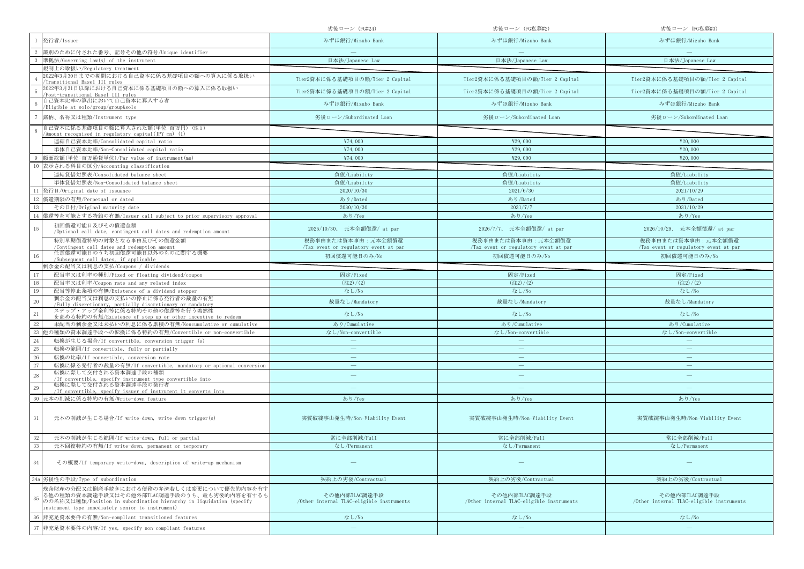|                                                                                                                                                                                                                             | 劣後ローン (FG#24)                                              | 劣後ローン(FG私募#2)                                              | 劣後ローン (FG私募#3)                                             |
|-----------------------------------------------------------------------------------------------------------------------------------------------------------------------------------------------------------------------------|------------------------------------------------------------|------------------------------------------------------------|------------------------------------------------------------|
| 発行者/Issuer                                                                                                                                                                                                                  | みずほ銀行/Mizuho Bank                                          | みずほ銀行/Mizuho Bank                                          | みずほ銀行/Mizuho Bank                                          |
| 識別のために付された番号、記号その他の符号/Unique identifier                                                                                                                                                                                     |                                                            |                                                            |                                                            |
| 準拠法/Governing law(s) of the instrument                                                                                                                                                                                      | 日本法/Japanese Law                                           | 日本法/Japanese Law                                           | 日本法/Japanese Law                                           |
| 規制上の取扱い/Regulatory treatment                                                                                                                                                                                                |                                                            |                                                            |                                                            |
| 2022年3月30日までの期間における自己資本に係る基礎項目の額への算入に係る取扱い<br>Transitional Basel III rules                                                                                                                                                  | Tier2資本に係る基礎項目の額/Tier 2 Capital                            | Tier2資本に係る基礎項目の額/Tier 2 Capital                            | Tier2資本に係る基礎項目の額/Tier 2 Capital                            |
| 2022年3月31日以降における自己資本に係る基礎項目の額への算入に係る取扱い<br>Post-transitional Basel III rules                                                                                                                                                | Tier2資本に係る基礎項目の額/Tier 2 Capital                            | Tier2資本に係る基礎項目の額/Tier 2 Capital                            | Tier2資本に係る基礎項目の額/Tier 2 Capital                            |
| 自己資本比率の算出において自己資本に算入する者<br>Eligible at solo/group/group&solo                                                                                                                                                                | みずほ銀行/Mizuho Bank                                          | みずほ銀行/Mizuho Bank                                          | みずほ銀行/Mizuho Bank                                          |
| 銘柄、名称又は種類/Instrument type                                                                                                                                                                                                   | 劣後ローン/Subordinated Loan                                    | 劣後ローン/Subordinated Loan                                    | 劣後ローン/Subordinated Loan                                    |
| 自己資本に係る基礎項目の額に算入された額(単位:百万円)(注1)<br>'Amount recognised in regulatory capital(JPY mn) (1)                                                                                                                                    |                                                            |                                                            |                                                            |
| 連結自己資本比率/Consolidated capital ratio                                                                                                                                                                                         | ¥74,000                                                    | ¥29,000                                                    | ¥20,000                                                    |
| 単体自己資本比率/Non-Consolidated capital ratio                                                                                                                                                                                     | ¥74,000                                                    | ¥29,000                                                    | ¥20,000                                                    |
| 額面総額(単位:百万通貨単位)/Par value of instrument(mn)                                                                                                                                                                                 | ¥74,000                                                    | ¥29,000                                                    | ¥20,000                                                    |
| 表示される科目の区分/Accounting classification                                                                                                                                                                                        |                                                            |                                                            |                                                            |
| 連結貸借対照表/Consolidated balance sheet                                                                                                                                                                                          | 負債/Liability                                               | 負債/Liability                                               | 負債/Liability                                               |
| 単体貸借対照表/Non-Consolidated balance sheet                                                                                                                                                                                      | 負債/Liability                                               | 負債/Liability                                               | 負債/Liability                                               |
| 発行日/Original date of issuance                                                                                                                                                                                               | 2020/10/30                                                 | 2021/6/30                                                  | 2021/10/29                                                 |
| 償還期限の有無/Perpetual or dated                                                                                                                                                                                                  | あり/Dated                                                   | あり/Dated                                                   | あり/Dated                                                   |
| その日付/Original maturity date                                                                                                                                                                                                 | 2030/10/30                                                 | 2031/7/7                                                   | 2031/10/29                                                 |
| 償還等を可能とする特約の有無/Issuer call subject to prior supervisory approval                                                                                                                                                            | あり/Yes                                                     | あり/Yes                                                     | あり/Yes                                                     |
| 初回償還可能日及びその償還金額<br>15<br>/Optional call date, contingent call dates and redemption amount                                                                                                                                   | 2025/10/30、 元本全額償還/ at par                                 | 2026/7/7、 元本全額償還/ at par                                   | 2026/10/29、 元本全額償還/ at par                                 |
| 特別早期償還特約の対象となる事由及びその償還金額                                                                                                                                                                                                    | 税務事由または資本事由:元本全額償還                                         | 税務事由または資本事由:元本全額償還                                         | 税務事由または資本事由:元本全額償還                                         |
| /Contingent call dates and redemption amount<br>任意償還可能日のうち初回償還可能日以外のものに関する概要                                                                                                                                                | Tax event or regulatory event at par<br>初回償還可能日のみ/No       | Tax event or regulatory event at par<br>初回償還可能日のみ/No       | Tax event or regulatory event at par<br>初回償還可能日のみ/No       |
| /Subsequent call dates, if applicable                                                                                                                                                                                       |                                                            |                                                            |                                                            |
| 剰余金の配当又は利息の支払/Coupons / dividends                                                                                                                                                                                           |                                                            |                                                            |                                                            |
| 配当率又は利率の種別/Fixed or floating dividend/coupon                                                                                                                                                                                | 固定/Fixed                                                   | 固定/Fixed                                                   | 固定/Fixed                                                   |
| 配当率又は利率/Coupon rate and any related index                                                                                                                                                                                   | (22)/(2)                                                   | (22)/(2)                                                   | (22)/(2)                                                   |
| 配当等停止条項の有無/Existence of a dividend stopper<br>19                                                                                                                                                                            | なし/No                                                      | なし/No                                                      | なし/No                                                      |
| 剰余金の配当又は利息の支払いの停止に係る発行者の裁量の有無<br>20<br>/Fully discretionary, partially discretionary or mandatory<br>ステップ・アップ金利等に係る特約その他の償還等を行う蓋然性                                                                                          | 裁量なし/Mandatory                                             | 裁量なし/Mandatory                                             | 裁量なし/Mandatory                                             |
| 21<br>を高める特約の有無/Existence of step up or other incentive to redeem                                                                                                                                                           | なし/No                                                      | なし/No                                                      | なし/No                                                      |
| 未配当の剰余金又は未払いの利息に係る累積の有無/Noncumulative or cumulative                                                                                                                                                                         | あり/Cumulative                                              | あり/Cumulative                                              | あり/Cumulative                                              |
| 也の種類の資本調達手段への転換に係る特約の有無/Convertible or non-convertible                                                                                                                                                                      | なし/Non-convertible                                         | なし/Non-convertible                                         | なし/Non-convertible                                         |
| 24<br>転換が生じる場合/If convertible, conversion trigger (s)                                                                                                                                                                       |                                                            |                                                            |                                                            |
| 25<br>転換の範囲/If convertible, fully or partially                                                                                                                                                                              |                                                            | $\overline{\phantom{0}}$                                   | $\overline{\phantom{0}}$                                   |
| 26<br>転換の比率/If convertible, conversion rate                                                                                                                                                                                 | $\overline{\phantom{m}}$                                   | $\overline{\phantom{m}}$                                   | $\overline{\phantom{m}}$                                   |
| 27<br>転換に係る発行者の裁量の有無/If convertible, mandatory or optional conversion                                                                                                                                                       |                                                            | $\overline{\phantom{0}}$                                   |                                                            |
| 転換に際して交付される資本調達手段の種類<br>28<br>/If convertible, specify instrument type convertible into                                                                                                                                     |                                                            | $\overline{\phantom{m}}$                                   |                                                            |
| 転換に際して交付される資本調達手段の発行者<br>29<br>/If convertible, specify issuer of instrument it converts into                                                                                                                               |                                                            |                                                            |                                                            |
| 元本の削減に係る特約の有無/Write-down feature                                                                                                                                                                                            | あり/Yes                                                     | あり/Yes                                                     | あり/Yes                                                     |
| 31<br>元本の削減が生じる場合/If write-down, write-down trigger(s)                                                                                                                                                                      | 実質破綻事由発生時/Non-Viability Event                              | 実質破綻事由発生時/Non-Viability Event                              | 実質破綻事由発生時/Non-Viability Event                              |
| 元本の削減が生じる範囲/If write-down, full or partial                                                                                                                                                                                  | 常に全部削減/Full                                                | 常に全部削減/Full                                                | 常に全部削減/Full                                                |
| 元本回復特約の有無/If write-down, permanent or temporary                                                                                                                                                                             | なし/Permanent                                               | なし/Permanent                                               | なし/Permanent                                               |
|                                                                                                                                                                                                                             |                                                            |                                                            |                                                            |
| 34<br>その概要/If temporary write-down, description of write-up mechanism                                                                                                                                                       |                                                            |                                                            |                                                            |
| 劣後性の手段/Type of subordination<br>34a                                                                                                                                                                                         | 契約上の劣後/Contractual                                         | 契約上の劣後/Contractual                                         | 契約上の劣後/Contractual                                         |
| 残余財産の分配又は倒産手続きにおける債務の弁済若しくは変更について優先的内容を有す<br>る他の種類の資本調達手段又はその他外部TLAC調達手段のうち、最も劣後的内容を有するも<br>35<br>のの名称又は種類/Position in subordination hierarchy in liquidation (specify<br>instrument type immediately senior to instrument) | その他内部TLAC調達手段<br>/Other internal TLAC-eligible instruments | その他内部TLAC調達手段<br>/Other internal TLAC-eligible instruments | その他内部TLAC調達手段<br>/Other internal TLAC-eligible instruments |
| 非充足資本要件の有無/Non-compliant transitioned features                                                                                                                                                                              | なし/No                                                      | なし/No                                                      | なし/No                                                      |
| 非充足資本要件の内容/If yes, specify non-compliant features                                                                                                                                                                           | $\overline{\phantom{m}}$                                   | $\qquad \qquad =$                                          |                                                            |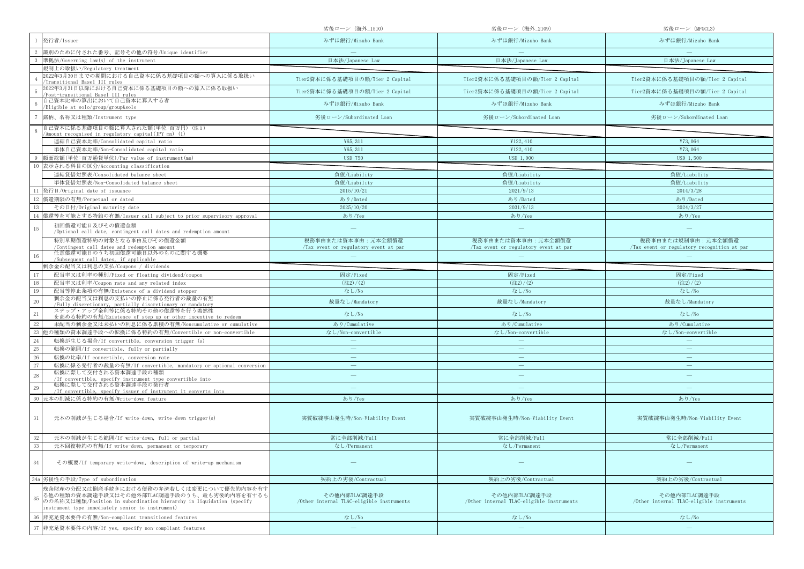|                                                                                                                                                                                                                             | 劣後ローン (海外_1510)                                            | 劣後ローン(海外_2109)                                             | 劣後ローン (MFGCL3)                                             |
|-----------------------------------------------------------------------------------------------------------------------------------------------------------------------------------------------------------------------------|------------------------------------------------------------|------------------------------------------------------------|------------------------------------------------------------|
| 発行者/Issuer                                                                                                                                                                                                                  | みずほ銀行/Mizuho Bank                                          | みずほ銀行/Mizuho Bank                                          | みずほ銀行/Mizuho Bank                                          |
| 識別のために付された番号、記号その他の符号/Unique identifier                                                                                                                                                                                     |                                                            |                                                            |                                                            |
| 準拠法/Governing law(s) of the instrument                                                                                                                                                                                      | 日本法/Japanese Law                                           | 日本法/Japanese Law                                           | 日本法/Japanese Law                                           |
| 規制上の取扱い/Regulatory treatment                                                                                                                                                                                                |                                                            |                                                            |                                                            |
| 2022年3月30日までの期間における自己資本に係る基礎項目の額への算入に係る取扱い<br>Transitional Basel III rules                                                                                                                                                  | Tier2資本に係る基礎項目の額/Tier 2 Capital                            | Tier2資本に係る基礎項目の額/Tier 2 Capital                            | Tier2資本に係る基礎項目の額/Tier 2 Capital                            |
| 2022年3月31日以降における自己資本に係る基礎項目の額への算入に係る取扱い<br>Post-transitional Basel III rules                                                                                                                                                | Tier2資本に係る基礎項目の額/Tier 2 Capital                            | Tier2資本に係る基礎項目の額/Tier 2 Capital                            | Tier2資本に係る基礎項目の額/Tier 2 Capital                            |
| 自己資本比率の算出において自己資本に算入する者<br>Eligible at solo/group/group&solo                                                                                                                                                                | みずほ銀行/Mizuho Bank                                          | みずほ銀行/Mizuho Bank                                          | みずほ銀行/Mizuho Bank                                          |
| 銘柄、名称又は種類/Instrument type                                                                                                                                                                                                   | 劣後ローン/Subordinated Loan                                    | 劣後ローン/Subordinated Loan                                    | 劣後ローン/Subordinated Loan                                    |
| 自己資本に係る基礎項目の額に算入された額(単位:百万円) (注1)                                                                                                                                                                                           |                                                            |                                                            |                                                            |
| 'Amount recognised in regulatory capital(JPY mn) (1)<br>連結自己資本比率/Consolidated capital ratio                                                                                                                                 | ¥65, 311                                                   | ¥122, 410                                                  | ¥73,064                                                    |
| 単体自己資本比率/Non-Consolidated capital ratio                                                                                                                                                                                     | ¥65, 311                                                   | ¥122, 410                                                  | ¥73,064                                                    |
| 額面総額(単位:百万通貨単位)/Par value of instrument(mn)                                                                                                                                                                                 | <b>USD 750</b>                                             | USD 1,000                                                  | USD 1,500                                                  |
| 表示される科目の区分/Accounting classification<br>10                                                                                                                                                                                  |                                                            |                                                            |                                                            |
| 連結貸借対照表/Consolidated balance sheet                                                                                                                                                                                          | 負債/Liability                                               | 負債/Liability                                               | 負債/Liability                                               |
| 単体貸借対照表/Non-Consolidated balance sheet                                                                                                                                                                                      | 負債/Liability                                               | 負債/Liability                                               | 負債/Liability                                               |
| 発行日/Original date of issuance                                                                                                                                                                                               | 2015/10/21                                                 | 2021/9/13                                                  | 2014/3/28                                                  |
| 償還期限の有無/Perpetual or dated<br>12                                                                                                                                                                                            | あり/Dated                                                   | あり/Dated                                                   | あり/Dated                                                   |
| その日付/Original maturity date                                                                                                                                                                                                 | 2025/10/20                                                 | 2031/9/13                                                  | 2024/3/27                                                  |
| 償還等を可能とする特約の有無/Issuer call subject to prior supervisory approval                                                                                                                                                            | あり/Yes                                                     | あり/Yes                                                     | あり/Yes                                                     |
| 初回償還可能日及びその償還金額<br>15                                                                                                                                                                                                       |                                                            | $\overline{\phantom{m}}$                                   |                                                            |
| /Optional call date, contingent call dates and redemption amount<br>特別早期償還特約の対象となる事由及びその償還金額                                                                                                                                | 税務事由または資本事由:元本全額償還                                         | 税務事由または資本事由:元本全額償還                                         | 税務事由または規制事由:元本全額償還                                         |
| /Contingent call dates and redemption amount<br>任意償還可能日のうち初回償還可能日以外のものに関する概要                                                                                                                                                | Tax event or regulatory event at par                       | Tax event or regulatory event at par                       | Tax event or regulatory recognition at par                 |
| /Subsequent call dates, if applicable                                                                                                                                                                                       |                                                            |                                                            |                                                            |
| 剰余金の配当又は利息の支払/Coupons / dividends                                                                                                                                                                                           |                                                            |                                                            |                                                            |
| 配当率又は利率の種別/Fixed or floating dividend/coupon                                                                                                                                                                                | 固定/Fixed                                                   | 固定/Fixed                                                   | 固定/Fixed                                                   |
| 配当率又は利率/Coupon rate and any related index                                                                                                                                                                                   | $(\pm 2)/(2)$                                              | (22)/(2)                                                   | (22)/(2)                                                   |
| 19<br>配当等停止条項の有無/Existence of a dividend stopper                                                                                                                                                                            | なし/No                                                      | なし/No                                                      | なし/No                                                      |
| 剰余金の配当又は利息の支払いの停止に係る発行者の裁量の有無<br>20<br>/Fully discretionary, partially discretionary or mandatory                                                                                                                           | 裁量なし/Mandatory                                             | 裁量なし/Mandatory                                             | 裁量なし/Mandatory                                             |
| ステップ・アップ金利等に係る特約その他の償還等を行う蓋然性<br>21<br>を高める特約の有無/Existence of step up or other incentive to redeem                                                                                                                          | なし/No                                                      | なし/No                                                      | なし/No                                                      |
| 未配当の剰余金又は未払いの利息に係る累積の有無/Noncumulative or cumulative                                                                                                                                                                         | あり/Cumulative                                              | あり/Cumulative                                              | あり/Cumulative                                              |
| 也の種類の資本調達手段への転換に係る特約の有無/Convertible or non-convertible                                                                                                                                                                      | なし/Non-convertible                                         | なし/Non-convertible                                         | なし/Non-convertible                                         |
| 転換が生じる場合/If convertible, conversion trigger (s)                                                                                                                                                                             |                                                            |                                                            |                                                            |
| 25<br>転換の範囲/If convertible, fully or partially                                                                                                                                                                              |                                                            | $\overline{\phantom{0}}$                                   | $\overline{\phantom{0}}$                                   |
| 26<br>転換の比率/If convertible, conversion rate                                                                                                                                                                                 |                                                            | $\overline{\phantom{m}}$                                   |                                                            |
| $27\,$<br>転換に係る発行者の裁量の有無/If convertible, mandatory or optional conversion                                                                                                                                                   |                                                            | $\qquad \qquad -$                                          |                                                            |
| 転換に際して交付される資本調達手段の種類<br>$\bf 28$<br>/If convertible, specify instrument type convertible into                                                                                                                               |                                                            |                                                            |                                                            |
| 転換に際して交付される資本調達手段の発行者<br>29<br>/If convertible, specify issuer of instrument it converts into                                                                                                                               |                                                            |                                                            |                                                            |
| 元本の削減に係る特約の有無/Write-down feature<br>30                                                                                                                                                                                      | あり/Yes                                                     | あり/Yes                                                     | あり/Yes                                                     |
|                                                                                                                                                                                                                             |                                                            |                                                            |                                                            |
| $31\,$<br>元本の削減が生じる場合/If write-down, write-down trigger(s)                                                                                                                                                                  | 実質破綻事由発生時/Non-Viability Event                              | 実質破綻事由発生時/Non-Viability Event                              | 実質破綻事由発生時/Non-Viability Event                              |
| 元本の削減が生じる範囲/If write-down, full or partial                                                                                                                                                                                  | 常に全部削減/Full                                                | 常に全部削減/Full                                                | 常に全部削減/Full                                                |
| 33<br>元本回復特約の有無/If write-down, permanent or temporary                                                                                                                                                                       | なし/Permanent                                               | なし/Permanent                                               | なし/Permanent                                               |
| 34<br>その概要/If temporary write-down, description of write-up mechanism                                                                                                                                                       |                                                            |                                                            |                                                            |
| 34a 劣後性の手段/Type of subordination                                                                                                                                                                                            | 契約上の劣後/Contractual                                         | 契約上の劣後/Contractual                                         | 契約上の劣後/Contractual                                         |
| 残余財産の分配又は倒産手続きにおける債務の弁済若しくは変更について優先的内容を有す<br>る他の種類の資本調達手段又はその他外部TLAC調達手段のうち、最も劣後的内容を有するも<br>35<br>のの名称又は種類/Position in subordination hierarchy in liquidation (specify<br>instrument type immediately senior to instrument) | その他内部TLAC調達手段<br>/Other internal TLAC-eligible instruments | その他内部TLAC調達手段<br>/Other internal TLAC-eligible instruments | その他内部TLAC調達手段<br>/Other internal TLAC-eligible instruments |
| 非充足資本要件の有無/Non-compliant transitioned features                                                                                                                                                                              | なし/No                                                      | なし/No                                                      | なし/No                                                      |
| 非充足資本要件の内容/If yes, specify non-compliant features<br>37                                                                                                                                                                     | $\sim$                                                     | $\qquad \qquad -$                                          |                                                            |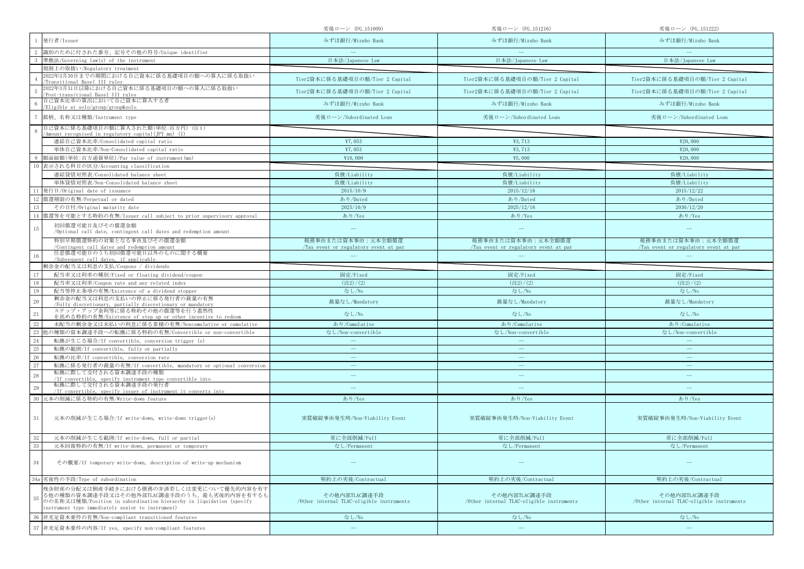|                                                                                                                                                                                                                             | 劣後ローン (FG_151009)                                          | 劣後ローン (FG_151216)                                           | 劣後ローン (FG_151222)                                           |
|-----------------------------------------------------------------------------------------------------------------------------------------------------------------------------------------------------------------------------|------------------------------------------------------------|-------------------------------------------------------------|-------------------------------------------------------------|
| 発行者/Issuer                                                                                                                                                                                                                  | みずほ銀行/Mizuho Bank                                          | みずほ銀行/Mizuho Bank                                           | みずほ銀行/Mizuho Bank                                           |
| 識別のために付された番号、記号その他の符号/Unique identifier                                                                                                                                                                                     |                                                            |                                                             |                                                             |
| 準拠法/Governing law(s) of the instrument                                                                                                                                                                                      | 日本法/Japanese Law                                           | 日本法/Japanese Law                                            | 日本法/Japanese Law                                            |
| 規制上の取扱い/Regulatory treatment                                                                                                                                                                                                |                                                            |                                                             |                                                             |
| 2022年3月30日までの期間における自己資本に係る基礎項目の額への算入に係る取扱い<br>Transitional Basel III rules                                                                                                                                                  | Tier2資本に係る基礎項目の額/Tier 2 Capital                            | Tier2資本に係る基礎項目の額/Tier 2 Capital                             | Tier2資本に係る基礎項目の額/Tier 2 Capital                             |
| 2022年3月31日以降における自己資本に係る基礎項目の額への算入に係る取扱い<br>Post-transitional Basel III rules                                                                                                                                                | Tier2資本に係る基礎項目の額/Tier 2 Capital                            | Tier2資本に係る基礎項目の額/Tier 2 Capital                             | Tier2資本に係る基礎項目の額/Tier 2 Capital                             |
| 自己資本比率の算出において自己資本に算入する者<br>Eligible at solo/group/group&solo                                                                                                                                                                | みずほ銀行/Mizuho Bank                                          | みずほ銀行/Mizuho Bank                                           | みずほ銀行/Mizuho Bank                                           |
| 銘柄、名称又は種類/Instrument type                                                                                                                                                                                                   | 劣後ローン/Subordinated Loan                                    | 劣後ローン/Subordinated Loan                                     | 劣後ローン/Subordinated Loan                                     |
| 自己資本に係る基礎項目の額に算入された額(単位:百万円)(注1)<br>'Amount recognised in regulatory capital(JPY mn) (1)                                                                                                                                    |                                                            |                                                             |                                                             |
| 連結自己資本比率/Consolidated capital ratio                                                                                                                                                                                         | ¥7,053                                                     | ¥3,713                                                      | ¥20,000                                                     |
| 単体自己資本比率/Non-Consolidated capital ratio                                                                                                                                                                                     | ¥7,053                                                     | ¥3,713                                                      | ¥20,000                                                     |
| 額面総額(単位:百万通貨単位)/Par value of instrument(mn)                                                                                                                                                                                 | ¥10,000                                                    | ¥5,000                                                      | ¥20,000                                                     |
| 表示される科目の区分/Accounting classification                                                                                                                                                                                        |                                                            |                                                             |                                                             |
| 連結貸借対照表/Consolidated balance sheet                                                                                                                                                                                          | 負債/Liability                                               | 負債/Liability                                                | 負債/Liability                                                |
| 単体貸借対照表/Non-Consolidated balance sheet                                                                                                                                                                                      | 負債/Liability                                               | 負債/Liability                                                | 負債/Liability                                                |
| 発行日/Original date of issuance                                                                                                                                                                                               | 2015/10/9                                                  | 2015/12/16                                                  | 2015/12/22                                                  |
| 償還期限の有無/Perpetual or dated                                                                                                                                                                                                  | あり/Dated                                                   | あり/Dated                                                    | あり/Dated                                                    |
| その日付/Original maturity date                                                                                                                                                                                                 | 2025/10/9                                                  | 2025/12/16                                                  | 2030/12/20                                                  |
| 償還等を可能とする特約の有無/Issuer call subject to prior supervisory approval                                                                                                                                                            | あり/Yes                                                     | あり/Yes                                                      | あり/Yes                                                      |
| 初回償還可能日及びその償還金額<br>15<br>/Optional call date, contingent call dates and redemption amount                                                                                                                                   |                                                            |                                                             |                                                             |
| 特別早期償還特約の対象となる事由及びその償還金額<br>/Contingent call dates and redemption amount                                                                                                                                                    | 税務事由または資本事由:元本全額償還<br>Tax event or regulatory event at par | 税務事由または資本事由:元本全額償還<br>/Tax event or regulatory event at par | 税務事由または資本事由:元本全額償還<br>/Tax event or regulatory event at par |
| 任意償還可能日のうち初回償還可能日以外のものに関する概要<br>/Subsequent call dates, if applicable                                                                                                                                                       |                                                            |                                                             |                                                             |
| 剰余金の配当又は利息の支払/Coupons / dividends                                                                                                                                                                                           |                                                            |                                                             |                                                             |
| 配当率又は利率の種別/Fixed or floating dividend/coupon                                                                                                                                                                                | 固定/Fixed                                                   | 固定/Fixed                                                    | 固定/Fixed                                                    |
| 配当率又は利率/Coupon rate and any related index<br>18                                                                                                                                                                             | (22)/(2)                                                   | (22)/(2)                                                    | $(\pm 2)/(2)$                                               |
| 配当等停止条項の有無/Existence of a dividend stopper<br>19                                                                                                                                                                            | なし/No                                                      | なし/No                                                       | なし/No                                                       |
| 剰余金の配当又は利息の支払いの停止に係る発行者の裁量の有無<br>$20\,$<br>/Fully discretionary, partially discretionary or mandatory                                                                                                                       | 裁量なし/Mandatory                                             | 裁量なし/Mandatory                                              | 裁量なし/Mandatory                                              |
| ステップ・アップ金利等に係る特約その他の償還等を行う蓋然性<br>21<br>を高める特約の有無/Existence of step up or other incentive to redeem                                                                                                                          | なし/No                                                      | なし/No                                                       | なし/No                                                       |
| 未配当の剰余金又は未払いの利息に係る累積の有無/Noncumulative or cumulative                                                                                                                                                                         | あり/Cumulative                                              | あり/Cumulative                                               | あり/Cumulative                                               |
| 也の種類の資本調達手段への転換に係る特約の有無/Convertible or non-convertible<br>23                                                                                                                                                                | なし/Non-convertible                                         | なし/Non-convertible                                          | なし/Non-convertible                                          |
| 24<br>転換が生じる場合/If convertible, conversion trigger (s)                                                                                                                                                                       |                                                            |                                                             |                                                             |
| 25<br>転換の範囲/If convertible, fully or partially                                                                                                                                                                              |                                                            |                                                             |                                                             |
| 26<br>転換の比率/If convertible, conversion rate                                                                                                                                                                                 | $\overline{\phantom{m}}$                                   | $\overline{\phantom{m}}$                                    | $\overline{\phantom{m}}$                                    |
| 27<br>転換に係る発行者の裁量の有無/If convertible, mandatory or optional conversion                                                                                                                                                       |                                                            |                                                             |                                                             |
| 転換に際して交付される資本調達手段の種類<br>28<br>/If convertible, specify instrument type convertible into                                                                                                                                     |                                                            | $\qquad \qquad -$                                           | $\qquad \qquad$                                             |
| 転換に際して交付される資本調達手段の発行者<br>29<br>/If convertible, specify issuer of instrument it converts into                                                                                                                               |                                                            |                                                             |                                                             |
| 元本の削減に係る特約の有無/Write-down feature                                                                                                                                                                                            | あり/Yes                                                     | あり/Yes                                                      | あり/Yes                                                      |
| $31\,$<br>元本の削減が生じる場合/If write-down, write-down trigger(s)                                                                                                                                                                  | 実質破綻事由発生時/Non-Viability Event                              | 実質破綻事由発生時/Non-Viability Event                               | 実質破綻事由発生時/Non-Viability Event                               |
| 元本の削減が生じる範囲/If write-down, full or partial                                                                                                                                                                                  | 常に全部削減/Full                                                | 常に全部削減/Full                                                 | 常に全部削減/Full                                                 |
| 33<br>元本回復特約の有無/If write-down, permanent or temporary                                                                                                                                                                       | なし/Permanent                                               | なし/Permanent                                                | なし/Permanent                                                |
| 34<br>その概要/If temporary write-down, description of write-up mechanism                                                                                                                                                       |                                                            |                                                             |                                                             |
| 劣後性の手段/Type of subordination<br>34a                                                                                                                                                                                         | 契約上の劣後/Contractual                                         | 契約上の劣後/Contractual                                          | 契約上の劣後/Contractual                                          |
| 残余財産の分配又は倒産手続きにおける債務の弁済若しくは変更について優先的内容を有す<br>る他の種類の資本調達手段又はその他外部TLAC調達手段のうち、最も劣後的内容を有するも<br>35<br>のの名称又は種類/Position in subordination hierarchy in liquidation (specify<br>instrument type immediately senior to instrument) | その他内部TLAC調達手段<br>/Other internal TLAC-eligible instruments | その他内部TLAC調達手段<br>/Other internal TLAC-eligible instruments  | その他内部TLAC調達手段<br>/Other internal TLAC-eligible instruments  |
| 非充足資本要件の有無/Non-compliant transitioned features                                                                                                                                                                              | なし/No                                                      | なし/No                                                       | なし/No                                                       |
| 非充足資本要件の内容/If yes, specify non-compliant features                                                                                                                                                                           | $\overline{\phantom{m}}$                                   | $\qquad \qquad -$                                           |                                                             |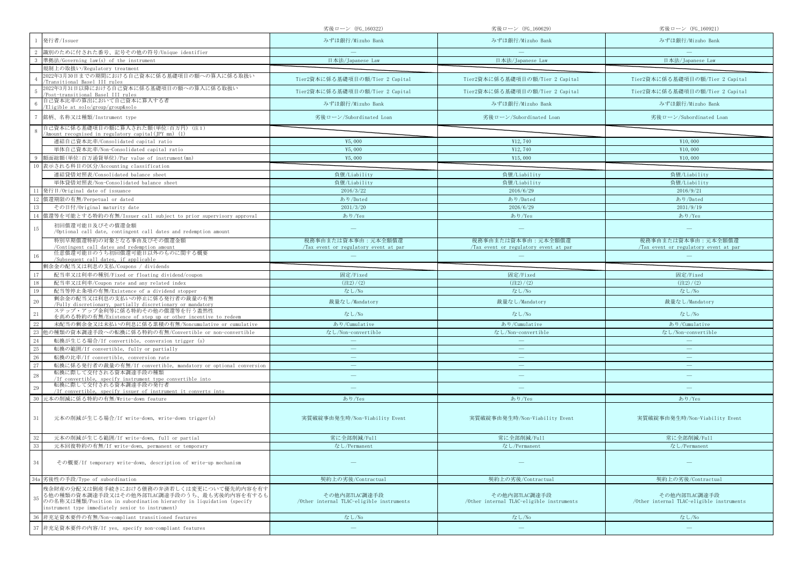|                                                                                                                                                                                                                             | 劣後ローン(FG_160322)                                           | 劣後ローン(FG_160629)                                            | 劣後ローン (FG_160921)                                          |
|-----------------------------------------------------------------------------------------------------------------------------------------------------------------------------------------------------------------------------|------------------------------------------------------------|-------------------------------------------------------------|------------------------------------------------------------|
| 発行者/Issuer                                                                                                                                                                                                                  | みずほ銀行/Mizuho Bank                                          | みずほ銀行/Mizuho Bank                                           | みずほ銀行/Mizuho Bank                                          |
| 識別のために付された番号、記号その他の符号/Unique identifier                                                                                                                                                                                     |                                                            |                                                             |                                                            |
| 準拠法/Governing law(s) of the instrument                                                                                                                                                                                      | 日本法/Japanese Law                                           | 日本法/Japanese Law                                            | 日本法/Japanese Law                                           |
| 規制上の取扱い/Regulatory treatment                                                                                                                                                                                                |                                                            |                                                             |                                                            |
| 2022年3月30日までの期間における自己資本に係る基礎項目の額への算入に係る取扱い<br>Transitional Basel III rules                                                                                                                                                  | Tier2資本に係る基礎項目の額/Tier 2 Capital                            | Tier2資本に係る基礎項目の額/Tier 2 Capital                             | Tier2資本に係る基礎項目の額/Tier 2 Capital                            |
| 2022年3月31日以降における自己資本に係る基礎項目の額への算入に係る取扱い<br>Post-transitional Basel III rules                                                                                                                                                | Tier2資本に係る基礎項目の額/Tier 2 Capital                            | Tier2資本に係る基礎項目の額/Tier 2 Capital                             | Tier2資本に係る基礎項目の額/Tier 2 Capital                            |
| 自己資本比率の算出において自己資本に算入する者<br>Eligible at solo/group/group&solo                                                                                                                                                                | みずほ銀行/Mizuho Bank                                          | みずほ銀行/Mizuho Bank                                           | みずほ銀行/Mizuho Bank                                          |
| 銘柄、名称又は種類/Instrument type                                                                                                                                                                                                   | 劣後ローン/Subordinated Loan                                    | 劣後ローン/Subordinated Loan                                     | 劣後ローン/Subordinated Loan                                    |
| 自己資本に係る基礎項目の額に算入された額(単位:百万円)(注1)<br>'Amount recognised in regulatory capital(IPY mn) (1)                                                                                                                                    |                                                            |                                                             |                                                            |
| 連結自己資本比率/Consolidated capital ratio                                                                                                                                                                                         | ¥5,000                                                     | ¥12,740                                                     | ¥10,000                                                    |
| 単体自己資本比率/Non-Consolidated capital ratio                                                                                                                                                                                     | 45,000                                                     | ¥12,740                                                     | ¥10,000                                                    |
| 額面総額(単位:百万通貨単位)/Par value of instrument(mn)                                                                                                                                                                                 | 45,000                                                     | ¥15,000                                                     | ¥10,000                                                    |
| 表示される科目の区分/Accounting classification                                                                                                                                                                                        |                                                            |                                                             |                                                            |
| 連結貸借対照表/Consolidated balance sheet                                                                                                                                                                                          | 負債/Liability                                               | 負債/Liability                                                | 負債/Liability                                               |
| 単体貸借対照表/Non-Consolidated balance sheet                                                                                                                                                                                      | 負債/Liability                                               | 負債/Liability                                                | 負債/Liability                                               |
| 発行日/Original date of issuance                                                                                                                                                                                               | 2016/3/22                                                  | 2016/6/29                                                   | 2016/9/21                                                  |
| 償還期限の有無/Perpetual or dated                                                                                                                                                                                                  | あり/Dated                                                   | あり/Dated                                                    | あり/Dated                                                   |
| その日付/Original maturity date                                                                                                                                                                                                 | 2031/3/20                                                  | 2026/6/29                                                   | 2031/9/19                                                  |
| 償還等を可能とする特約の有無/Issuer call subject to prior supervisory approval                                                                                                                                                            | あり/Yes                                                     | あり/Yes                                                      | あり/Yes                                                     |
| 初回償還可能日及びその償還金額<br>15<br>/Optional call date, contingent call dates and redemption amount                                                                                                                                   |                                                            |                                                             |                                                            |
| 特別早期償還特約の対象となる事由及びその償還金額<br>/Contingent call dates and redemption amount                                                                                                                                                    | 税務事由または資本事由:元本全額償還<br>Tax event or regulatory event at par | 税務事由または資本事由:元本全額償還<br>/Tax event or regulatory event at par | 税務事由または資本事由:元本全額償還<br>Tax event or regulatory event at par |
| 任意償還可能日のうち初回償還可能日以外のものに関する概要<br>/Subsequent call dates, if applicable                                                                                                                                                       |                                                            |                                                             |                                                            |
| 剰余金の配当又は利息の支払/Coupons / dividends                                                                                                                                                                                           |                                                            |                                                             |                                                            |
| 配当率又は利率の種別/Fixed or floating dividend/coupon                                                                                                                                                                                | 固定/Fixed                                                   | 固定/Fixed                                                    | 固定/Fixed                                                   |
| 配当率又は利率/Coupon rate and any related index                                                                                                                                                                                   | (22)/(2)                                                   | $(\pm 2)/(2)$                                               | (22)/(2)                                                   |
| 配当等停止条項の有無/Existence of a dividend stopper<br>19                                                                                                                                                                            | なし/No                                                      | なし/No                                                       | なし/No                                                      |
| 剰余金の配当又は利息の支払いの停止に係る発行者の裁量の有無<br>20<br>/Fully discretionary, partially discretionary or mandatory                                                                                                                           | 裁量なし/Mandatory                                             | 裁量なし/Mandatory                                              | 裁量なし/Mandatory                                             |
| ステップ・アップ金利等に係る特約その他の償還等を行う蓋然性<br>21<br>を高める特約の有無/Existence of step up or other incentive to redeem                                                                                                                          | なし/No                                                      | なし/No                                                       | なし/No                                                      |
| 未配当の剰余金又は未払いの利息に係る累積の有無/Noncumulative or cumulative                                                                                                                                                                         | あり/Cumulative                                              | あり/Cumulative                                               | あり/Cumulative                                              |
| 23<br>也の種類の資本調達手段への転換に係る特約の有無/Convertible or non-convertible                                                                                                                                                                | なし/Non-convertible                                         | なし/Non-convertible                                          | なし/Non-convertible                                         |
| 24<br>転換が生じる場合/If convertible, conversion trigger (s)                                                                                                                                                                       |                                                            |                                                             |                                                            |
| 25<br>転換の範囲/If convertible, fully or partially                                                                                                                                                                              |                                                            | $\overline{\phantom{m}}$                                    | $\overline{\phantom{0}}$                                   |
| 26<br>転換の比率/If convertible, conversion rate                                                                                                                                                                                 | $\overline{\phantom{m}}$                                   | $\overline{\phantom{m}}$                                    | $\overline{\phantom{m}}$                                   |
| 27<br>転換に係る発行者の裁量の有無/If convertible, mandatory or optional conversion                                                                                                                                                       |                                                            | $\overline{\phantom{0}}$                                    |                                                            |
| 転換に際して交付される資本調達手段の種類<br>28<br>/If convertible, specify instrument type convertible into                                                                                                                                     |                                                            | $\overline{\phantom{m}}$                                    |                                                            |
| 転換に際して交付される資本調達手段の発行者<br>29<br>/If convertible, specify issuer of instrument it converts into                                                                                                                               |                                                            |                                                             |                                                            |
| 元本の削減に係る特約の有無/Write-down feature                                                                                                                                                                                            | あり/Yes                                                     | あり/Yes                                                      | あり/Yes                                                     |
| $31\,$<br>元本の削減が生じる場合/If write-down, write-down trigger(s)                                                                                                                                                                  | 実質破綻事由発生時/Non-Viability Event                              | 実質破綻事由発生時/Non-Viability Event                               | 実質破綻事由発生時/Non-Viability Event                              |
| 元本の削減が生じる範囲/If write-down, full or partial                                                                                                                                                                                  | 常に全部削減/Full                                                | 常に全部削減/Full                                                 | 常に全部削減/Full                                                |
| 元本回復特約の有無/If write-down, permanent or temporary                                                                                                                                                                             | なし/Permanent                                               | なし/Permanent                                                | なし/Permanent                                               |
|                                                                                                                                                                                                                             |                                                            |                                                             |                                                            |
| 34<br>その概要/If temporary write-down, description of write-up mechanism                                                                                                                                                       |                                                            |                                                             |                                                            |
| 劣後性の手段/Type of subordination<br>34a                                                                                                                                                                                         | 契約上の劣後/Contractual                                         | 契約上の劣後/Contractual                                          | 契約上の劣後/Contractual                                         |
| 残余財産の分配又は倒産手続きにおける債務の弁済若しくは変更について優先的内容を有す<br>る他の種類の資本調達手段又はその他外部TLAC調達手段のうち、最も劣後的内容を有するも<br>35<br>のの名称又は種類/Position in subordination hierarchy in liquidation (specify<br>instrument type immediately senior to instrument) | その他内部TLAC調達手段<br>/Other internal TLAC-eligible instruments | その他内部TLAC調達手段<br>/Other internal TLAC-eligible instruments  | その他内部TLAC調達手段<br>/Other internal TLAC-eligible instruments |
| 非充足資本要件の有無/Non-compliant transitioned features                                                                                                                                                                              | なし/No                                                      | なし/No                                                       | なし/No                                                      |
| 非充足資本要件の内容/If yes, specify non-compliant features                                                                                                                                                                           | $\overline{\phantom{m}}$                                   | $\qquad \qquad =$                                           |                                                            |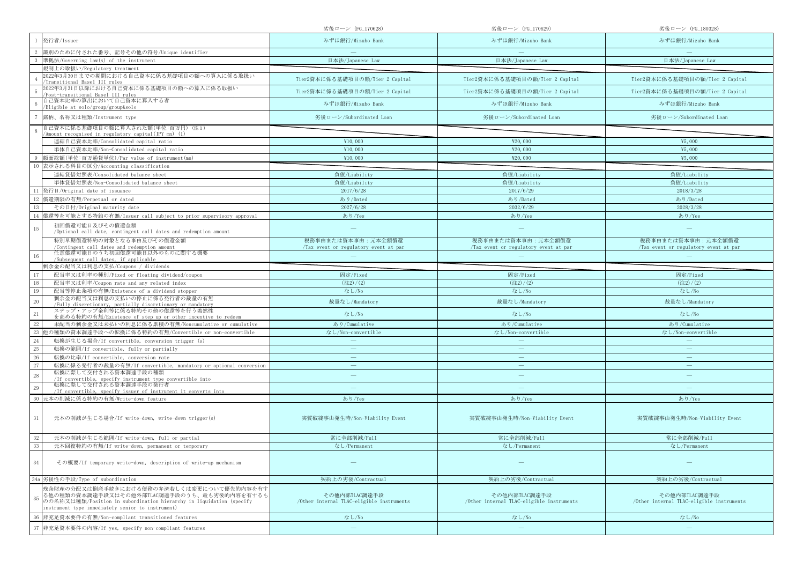|                                                                                                                                                                                                                             | 劣後ローン(FG_170628)                                           | 劣後ローン(FG_170629)                                            | 劣後ローン (FG_180328)                                          |
|-----------------------------------------------------------------------------------------------------------------------------------------------------------------------------------------------------------------------------|------------------------------------------------------------|-------------------------------------------------------------|------------------------------------------------------------|
| 発行者/Issuer                                                                                                                                                                                                                  | みずほ銀行/Mizuho Bank                                          | みずほ銀行/Mizuho Bank                                           | みずほ銀行/Mizuho Bank                                          |
| 識別のために付された番号、記号その他の符号/Unique identifier                                                                                                                                                                                     |                                                            |                                                             |                                                            |
| 準拠法/Governing law(s) of the instrument                                                                                                                                                                                      | 日本法/Japanese Law                                           | 日本法/Japanese Law                                            | 日本法/Japanese Law                                           |
| 規制上の取扱い/Regulatory treatment                                                                                                                                                                                                |                                                            |                                                             |                                                            |
| 2022年3月30日までの期間における自己資本に係る基礎項目の額への算入に係る取扱い<br>Transitional Basel III rules                                                                                                                                                  | Tier2資本に係る基礎項目の額/Tier 2 Capital                            | Tier2資本に係る基礎項目の額/Tier 2 Capital                             | Tier2資本に係る基礎項目の額/Tier 2 Capital                            |
| 2022年3月31日以降における自己資本に係る基礎項目の額への算入に係る取扱い<br>Post-transitional Basel III rules                                                                                                                                                | Tier2資本に係る基礎項目の額/Tier 2 Capital                            | Tier2資本に係る基礎項目の額/Tier 2 Capital                             | Tier2資本に係る基礎項目の額/Tier 2 Capital                            |
| 自己資本比率の算出において自己資本に算入する者<br>Eligible at solo/group/group&solo                                                                                                                                                                | みずほ銀行/Mizuho Bank                                          | みずほ銀行/Mizuho Bank                                           | みずほ銀行/Mizuho Bank                                          |
| 銘柄、名称又は種類/Instrument type                                                                                                                                                                                                   | 劣後ローン/Subordinated Loan                                    | 劣後ローン/Subordinated Loan                                     | 劣後ローン/Subordinated Loan                                    |
| 自己資本に係る基礎項目の額に算入された額(単位:百万円)(注1)<br>'Amount recognised in regulatory capital(JPY mn) (1)                                                                                                                                    |                                                            |                                                             |                                                            |
| 連結自己資本比率/Consolidated capital ratio                                                                                                                                                                                         | ¥10,000                                                    | ¥20,000                                                     | ¥5,000                                                     |
| 単体自己資本比率/Non-Consolidated capital ratio                                                                                                                                                                                     | ¥10,000                                                    | ¥20,000                                                     | ¥5,000                                                     |
| 額面総額(単位:百万通貨単位)/Par value of instrument(mn)                                                                                                                                                                                 | ¥10,000                                                    | ¥20,000                                                     | ¥5,000                                                     |
| 表示される科目の区分/Accounting classification                                                                                                                                                                                        |                                                            |                                                             |                                                            |
| 連結貸借対照表/Consolidated balance sheet                                                                                                                                                                                          | 負債/Liability                                               | 負債/Liability                                                | 負債/Liability                                               |
| 単体貸借対照表/Non-Consolidated balance sheet                                                                                                                                                                                      | 負債/Liability                                               | 負債/Liability                                                | 負債/Liability                                               |
| 発行日/Original date of issuance                                                                                                                                                                                               | 2017/6/28                                                  | 2017/6/29                                                   | 2018/3/28                                                  |
| 償還期限の有無/Perpetual or dated                                                                                                                                                                                                  | あり/Dated                                                   | あり/Dated                                                    | あり/Dated                                                   |
| その日付/Original maturity date                                                                                                                                                                                                 | 2027/6/28                                                  | 2032/6/29                                                   | 2028/3/28                                                  |
| 償還等を可能とする特約の有無/Issuer call subject to prior supervisory approval                                                                                                                                                            | あり/Yes                                                     | あり/Yes                                                      | あり/Yes                                                     |
| 初回償還可能日及びその償還金額<br>15<br>/Optional call date, contingent call dates and redemption amount                                                                                                                                   |                                                            |                                                             |                                                            |
| 特別早期償還特約の対象となる事由及びその償還金額<br>/Contingent call dates and redemption amount                                                                                                                                                    | 税務事由または資本事由:元本全額償還<br>Tax event or regulatory event at par | 税務事由または資本事由:元本全額償還<br>/Tax event or regulatory event at par | 税務事由または資本事由:元本全額償還<br>Tax event or regulatory event at par |
| 任意償還可能日のうち初回償還可能日以外のものに関する概要<br>/Subsequent call dates, if applicable                                                                                                                                                       |                                                            |                                                             |                                                            |
| 剰余金の配当又は利息の支払/Coupons / dividends                                                                                                                                                                                           |                                                            |                                                             |                                                            |
| 配当率又は利率の種別/Fixed or floating dividend/coupon                                                                                                                                                                                | 固定/Fixed                                                   | 固定/Fixed                                                    | 固定/Fixed                                                   |
| 配当率又は利率/Coupon rate and any related index                                                                                                                                                                                   | (22)/(2)                                                   | $(\pm 2)/(2)$                                               | (22)/(2)                                                   |
| 配当等停止条項の有無/Existence of a dividend stopper<br>19                                                                                                                                                                            | なし/No                                                      | なし/No                                                       | なし/No                                                      |
| 剰余金の配当又は利息の支払いの停止に係る発行者の裁量の有無<br>20<br>/Fully discretionary, partially discretionary or mandatory                                                                                                                           | 裁量なし/Mandatory                                             | 裁量なし/Mandatory                                              | 裁量なし/Mandatory                                             |
| ステップ・アップ金利等に係る特約その他の償還等を行う蓋然性<br>21<br>を高める特約の有無/Existence of step up or other incentive to redeem                                                                                                                          | なし/No                                                      | なし/No                                                       | なし/No                                                      |
| 未配当の剰余金又は未払いの利息に係る累積の有無/Noncumulative or cumulative                                                                                                                                                                         | あり/Cumulative                                              | あり/Cumulative                                               | あり/Cumulative                                              |
| 23<br>也の種類の資本調達手段への転換に係る特約の有無/Convertible or non-convertible                                                                                                                                                                | なし/Non-convertible                                         | なし/Non-convertible                                          | なし/Non-convertible                                         |
| 24<br>転換が生じる場合/If convertible, conversion trigger (s)                                                                                                                                                                       |                                                            |                                                             |                                                            |
| 25<br>転換の範囲/If convertible, fully or partially                                                                                                                                                                              |                                                            | $\overline{\phantom{m}}$                                    | $\overline{\phantom{0}}$                                   |
| 26<br>転換の比率/If convertible, conversion rate                                                                                                                                                                                 | $\overline{\phantom{m}}$                                   | $\overline{\phantom{m}}$                                    | $\overline{\phantom{m}}$                                   |
| 27<br>転換に係る発行者の裁量の有無/If convertible, mandatory or optional conversion                                                                                                                                                       |                                                            | $\overline{\phantom{0}}$                                    |                                                            |
| 転換に際して交付される資本調達手段の種類<br>28<br>/If convertible, specify instrument type convertible into                                                                                                                                     |                                                            | $\overline{\phantom{m}}$                                    |                                                            |
| 転換に際して交付される資本調達手段の発行者<br>29<br>/If convertible, specify issuer of instrument it converts into                                                                                                                               |                                                            |                                                             |                                                            |
| 元本の削減に係る特約の有無/Write-down feature                                                                                                                                                                                            | あり/Yes                                                     | あり/Yes                                                      | あり/Yes                                                     |
| $31\,$<br>元本の削減が生じる場合/If write-down, write-down trigger(s)                                                                                                                                                                  | 実質破綻事由発生時/Non-Viability Event                              | 実質破綻事由発生時/Non-Viability Event                               | 実質破綻事由発生時/Non-Viability Event                              |
| 元本の削減が生じる範囲/If write-down, full or partial                                                                                                                                                                                  | 常に全部削減/Full                                                | 常に全部削減/Full                                                 | 常に全部削減/Full                                                |
| 元本回復特約の有無/If write-down, permanent or temporary                                                                                                                                                                             | なし/Permanent                                               | なし/Permanent                                                | なし/Permanent                                               |
|                                                                                                                                                                                                                             |                                                            |                                                             |                                                            |
| 34<br>その概要/If temporary write-down, description of write-up mechanism                                                                                                                                                       |                                                            |                                                             |                                                            |
| 劣後性の手段/Type of subordination<br>34a                                                                                                                                                                                         | 契約上の劣後/Contractual                                         | 契約上の劣後/Contractual                                          | 契約上の劣後/Contractual                                         |
| 残余財産の分配又は倒産手続きにおける債務の弁済若しくは変更について優先的内容を有す<br>る他の種類の資本調達手段又はその他外部TLAC調達手段のうち、最も劣後的内容を有するも<br>35<br>のの名称又は種類/Position in subordination hierarchy in liquidation (specify<br>instrument type immediately senior to instrument) | その他内部TLAC調達手段<br>/Other internal TLAC-eligible instruments | その他内部TLAC調達手段<br>/Other internal TLAC-eligible instruments  | その他内部TLAC調達手段<br>/Other internal TLAC-eligible instruments |
| 非充足資本要件の有無/Non-compliant transitioned features                                                                                                                                                                              | なし/No                                                      | なし/No                                                       | なし/No                                                      |
| 非充足資本要件の内容/If yes, specify non-compliant features                                                                                                                                                                           | $\overline{\phantom{m}}$                                   | $\qquad \qquad =$                                           |                                                            |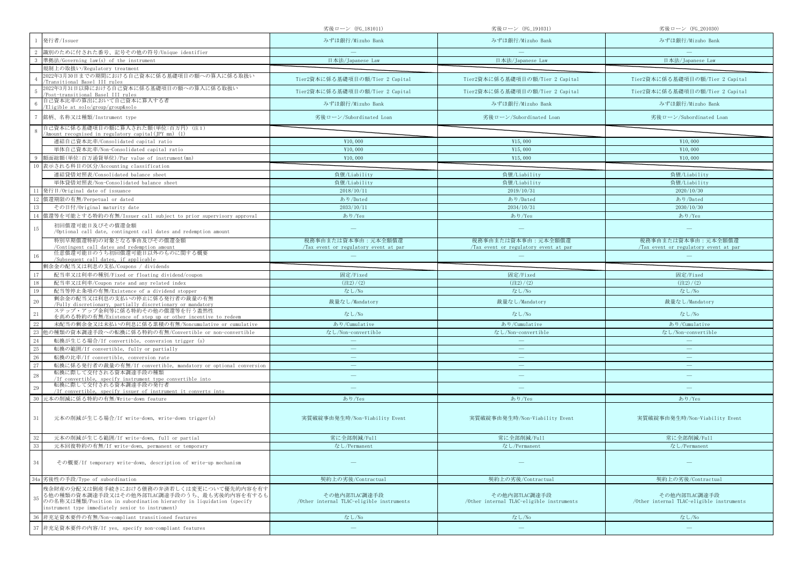|                                                                                                                                                                                                                             | 劣後ローン (FG_181011)                                          | 劣後ローン(FG_191031)                                            | 劣後ローン (FG_201030)                                           |
|-----------------------------------------------------------------------------------------------------------------------------------------------------------------------------------------------------------------------------|------------------------------------------------------------|-------------------------------------------------------------|-------------------------------------------------------------|
| 発行者/Issuer                                                                                                                                                                                                                  | みずほ銀行/Mizuho Bank                                          | みずほ銀行/Mizuho Bank                                           | みずほ銀行/Mizuho Bank                                           |
| 識別のために付された番号、記号その他の符号/Unique identifier                                                                                                                                                                                     |                                                            |                                                             |                                                             |
| 準拠法/Governing law(s) of the instrument                                                                                                                                                                                      | 日本法/Japanese Law                                           | 日本法/Japanese Law                                            | 日本法/Japanese Law                                            |
| 規制上の取扱い/Regulatory treatment                                                                                                                                                                                                |                                                            |                                                             |                                                             |
| 2022年3月30日までの期間における自己資本に係る基礎項目の額への算入に係る取扱い<br>Transitional Basel III rules                                                                                                                                                  | Tier2資本に係る基礎項目の額/Tier 2 Capital                            | Tier2資本に係る基礎項目の額/Tier 2 Capital                             | Tier2資本に係る基礎項目の額/Tier 2 Capital                             |
| 2022年3月31日以降における自己資本に係る基礎項目の額への算入に係る取扱い<br>Post-transitional Basel III rules                                                                                                                                                | Tier2資本に係る基礎項目の額/Tier 2 Capital                            | Tier2資本に係る基礎項目の額/Tier 2 Capital                             | Tier2資本に係る基礎項目の額/Tier 2 Capital                             |
| 自己資本比率の算出において自己資本に算入する者<br>Eligible at solo/group/group&solo                                                                                                                                                                | みずほ銀行/Mizuho Bank                                          | みずほ銀行/Mizuho Bank                                           | みずほ銀行/Mizuho Bank                                           |
| 銘柄、名称又は種類/Instrument type                                                                                                                                                                                                   | 劣後ローン/Subordinated Loan                                    | 劣後ローン/Subordinated Loan                                     | 劣後ローン/Subordinated Loan                                     |
| 自己資本に係る基礎項目の額に算入された額(単位:百万円)(注1)<br>'Amount recognised in regulatory capital(JPY mn) (1)                                                                                                                                    |                                                            |                                                             |                                                             |
| 連結自己資本比率/Consolidated capital ratio                                                                                                                                                                                         | ¥10,000                                                    | ¥15,000                                                     | ¥10,000                                                     |
| 単体自己資本比率/Non-Consolidated capital ratio                                                                                                                                                                                     | ¥10,000                                                    | ¥15,000                                                     | ¥10,000                                                     |
| 額面総額(単位:百万通貨単位)/Par value of instrument(mn)                                                                                                                                                                                 | ¥10,000                                                    | ¥15,000                                                     | ¥10,000                                                     |
| 表示される科目の区分/Accounting classification                                                                                                                                                                                        |                                                            |                                                             |                                                             |
| 連結貸借対照表/Consolidated balance sheet                                                                                                                                                                                          | 負債/Liability                                               | 負債/Liability                                                | 負債/Liability                                                |
| 単体貸借対照表/Non-Consolidated balance sheet                                                                                                                                                                                      | 負債/Liability                                               | 負債/Liability                                                | 負債/Liability                                                |
| 発行日/Original date of issuance                                                                                                                                                                                               | 2018/10/11                                                 | 2019/10/31                                                  | 2020/10/30                                                  |
| 償還期限の有無/Perpetual or dated                                                                                                                                                                                                  | あり/Dated                                                   | あり/Dated                                                    | あり/Dated                                                    |
| その日付/Original maturity date                                                                                                                                                                                                 | 2033/10/11                                                 | 2034/10/31                                                  | 2030/10/30                                                  |
| 償還等を可能とする特約の有無/Issuer call subject to prior supervisory approval                                                                                                                                                            | あり/Yes                                                     | あり/Yes                                                      | あり/Yes                                                      |
| 初回償還可能日及びその償還金額<br>15<br>/Optional call date, contingent call dates and redemption amount                                                                                                                                   |                                                            |                                                             |                                                             |
| 特別早期償還特約の対象となる事由及びその償還金額<br>/Contingent call dates and redemption amount                                                                                                                                                    | 税務事由または資本事由:元本全額償還<br>Tax event or regulatory event at par | 税務事由または資本事由:元本全額償還<br>/Tax event or regulatory event at par | 税務事由または資本事由:元本全額償還<br>/Tax event or regulatory event at par |
| 任意償還可能日のうち初回償還可能日以外のものに関する概要<br>/Subsequent call dates, if applicable                                                                                                                                                       |                                                            |                                                             |                                                             |
| 剰余金の配当又は利息の支払/Coupons / dividends                                                                                                                                                                                           |                                                            |                                                             |                                                             |
| 配当率又は利率の種別/Fixed or floating dividend/coupon                                                                                                                                                                                | 固定/Fixed                                                   | 固定/Fixed                                                    | 固定/Fixed                                                    |
| 18<br>配当率又は利率/Coupon rate and any related index                                                                                                                                                                             | (22)/(2)                                                   | $(\pm 2) / (2)$                                             | $(\pm 2)/(2)$                                               |
| 配当等停止条項の有無/Existence of a dividend stopper<br>19                                                                                                                                                                            | なし/No                                                      | なし/No                                                       | なし/No                                                       |
| 剰余金の配当又は利息の支払いの停止に係る発行者の裁量の有無<br>$20\,$<br>/Fully discretionary, partially discretionary or mandatory                                                                                                                       | 裁量なし/Mandatory                                             | 裁量なし/Mandatory                                              | 裁量なし/Mandatory                                              |
| ステップ・アップ金利等に係る特約その他の償還等を行う蓋然性<br>21<br>を高める特約の有無/Existence of step up or other incentive to redeem                                                                                                                          | なし/No                                                      | なし/No                                                       | なし/No                                                       |
| 未配当の剰余金又は未払いの利息に係る累積の有無/Noncumulative or cumulative                                                                                                                                                                         | あり/Cumulative                                              | あり/Cumulative                                               | あり/Cumulative                                               |
| 也の種類の資本調達手段への転換に係る特約の有無/Convertible or non-convertible<br>23                                                                                                                                                                | なし/Non-convertible                                         | なし/Non-convertible                                          | なし/Non-convertible                                          |
| 24<br>転換が生じる場合/If convertible, conversion trigger (s)                                                                                                                                                                       |                                                            |                                                             |                                                             |
| 25<br>転換の範囲/If convertible, fully or partially                                                                                                                                                                              |                                                            |                                                             |                                                             |
| 26<br>転換の比率/If convertible, conversion rate                                                                                                                                                                                 | $\overline{\phantom{m}}$                                   | $\overline{\phantom{m}}$                                    | $\overline{\phantom{m}}$                                    |
| 27<br>転換に係る発行者の裁量の有無/If convertible, mandatory or optional conversion                                                                                                                                                       |                                                            |                                                             |                                                             |
| 転換に際して交付される資本調達手段の種類<br>28<br>/If convertible, specify instrument type convertible into                                                                                                                                     |                                                            | $\qquad \qquad -$                                           | $\qquad \qquad$                                             |
| 転換に際して交付される資本調達手段の発行者<br>29<br>/If convertible, specify issuer of instrument it converts into                                                                                                                               |                                                            |                                                             |                                                             |
| 元本の削減に係る特約の有無/Write-down feature                                                                                                                                                                                            | あり/Yes                                                     | あり/Yes                                                      | あり/Yes                                                      |
|                                                                                                                                                                                                                             |                                                            |                                                             |                                                             |
| $31\,$<br>元本の削減が生じる場合/If write-down, write-down trigger(s)                                                                                                                                                                  | 実質破綻事由発生時/Non-Viability Event                              | 実質破綻事由発生時/Non-Viability Event                               | 実質破綻事由発生時/Non-Viability Event                               |
| 元本の削減が生じる範囲/If write-down, full or partial                                                                                                                                                                                  | 常に全部削減/Full                                                | 常に全部削減/Full                                                 | 常に全部削減/Full                                                 |
| 33<br>元本回復特約の有無/If write-down, permanent or temporary                                                                                                                                                                       | なし/Permanent                                               | なし/Permanent                                                | なし/Permanent                                                |
| 34<br>その概要/If temporary write-down, description of write-up mechanism                                                                                                                                                       |                                                            |                                                             |                                                             |
| 劣後性の手段/Type of subordination<br>34a                                                                                                                                                                                         | 契約上の劣後/Contractual                                         | 契約上の劣後/Contractual                                          | 契約上の劣後/Contractual                                          |
| 残余財産の分配又は倒産手続きにおける債務の弁済若しくは変更について優先的内容を有す<br>る他の種類の資本調達手段又はその他外部TLAC調達手段のうち、最も劣後的内容を有するも<br>35<br>のの名称又は種類/Position in subordination hierarchy in liquidation (specify<br>instrument type immediately senior to instrument) | その他内部TLAC調達手段<br>/Other internal TLAC-eligible instruments | その他内部TLAC調達手段<br>/Other internal TLAC-eligible instruments  | その他内部TLAC調達手段<br>/Other internal TLAC-eligible instruments  |
| 非充足資本要件の有無/Non-compliant transitioned features                                                                                                                                                                              | なし/No                                                      | なし/No                                                       | なし/No                                                       |
| 非充足資本要件の内容/If yes, specify non-compliant features                                                                                                                                                                           | $\overline{\phantom{m}}$                                   | $\qquad \qquad -$                                           |                                                             |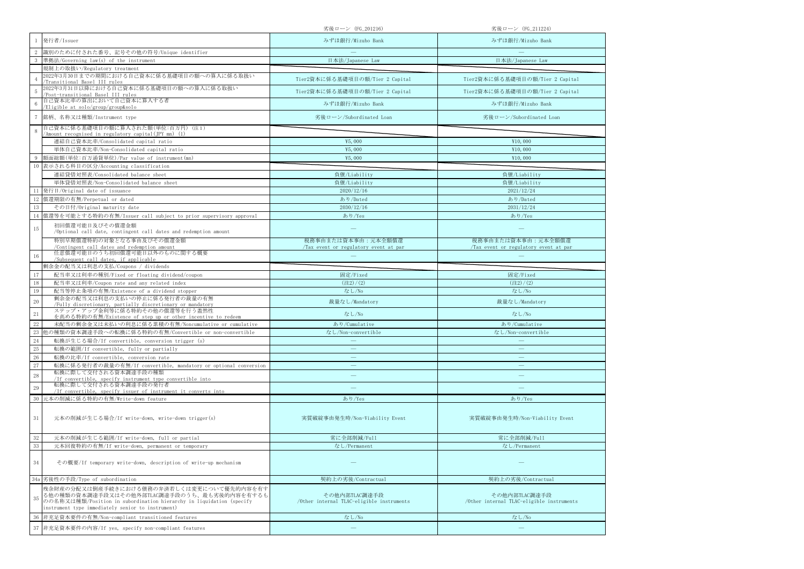|          |                                                                                                                                                                                                                       | 劣後ローン(FG_201216)                                           | 劣後ローン (FG_211224)                                          |
|----------|-----------------------------------------------------------------------------------------------------------------------------------------------------------------------------------------------------------------------|------------------------------------------------------------|------------------------------------------------------------|
|          | 発行者/Issuer                                                                                                                                                                                                            | みずほ銀行/Mizuho Bank                                          | みずほ銀行/Mizuho Bank                                          |
|          | 識別のために付された番号、記号その他の符号/Unique identifier                                                                                                                                                                               |                                                            |                                                            |
|          | 準拠法/Governing law(s) of the instrument                                                                                                                                                                                | 日本法/Japanese Law                                           | 日本法/Japanese Law                                           |
|          | 規制上の取扱い/Regulatory treatment                                                                                                                                                                                          |                                                            |                                                            |
|          | 2022年3月30日までの期間における自己資本に係る基礎項目の額への算入に係る取扱い<br>Transitional Basel III rules                                                                                                                                            | Tier2資本に係る基礎項目の額/Tier 2 Capital                            | Tier2資本に係る基礎項目の額/Tier 2 Capital                            |
|          | 2022年3月31日以降における自己資本に係る基礎項目の額への算入に係る取扱い<br>Post-transitional Basel III rules                                                                                                                                          | Tier2資本に係る基礎項目の額/Tier 2 Capital                            | Tier2資本に係る基礎項目の額/Tier 2 Capital                            |
|          | 自己資本比率の算出において自己資本に算入する者<br>/Eligible at solo/group/group&solo                                                                                                                                                         | みずほ銀行/Mizuho Bank                                          | みずほ銀行/Mizuho Bank                                          |
|          | 銘柄、名称又は種類/Instrument type                                                                                                                                                                                             | 劣後ローン/Subordinated Loan                                    | 劣後ローン/Subordinated Loan                                    |
|          | 自己資本に係る基礎項目の額に算入された額(単位:百万円) (注1)                                                                                                                                                                                     |                                                            |                                                            |
|          | /Amount recognised in regulatory capital(JPY mn) (1)                                                                                                                                                                  |                                                            |                                                            |
|          | 連結自己資本比率/Consolidated capital ratio                                                                                                                                                                                   | ¥5,000                                                     | ¥10,000                                                    |
|          | 単体自己資本比率/Non-Consolidated capital ratio                                                                                                                                                                               | ¥5,000                                                     | ¥10,000                                                    |
|          | 額面総額(単位:百万通貨単位)/Par value of instrument(mn)                                                                                                                                                                           | ¥5,000                                                     | ¥10,000                                                    |
| 10       | 表示される科目の区分/Accounting classification                                                                                                                                                                                  |                                                            |                                                            |
|          | 連結貸借対照表/Consolidated balance sheet                                                                                                                                                                                    | 負債/Liability                                               | 負債/Liability                                               |
|          | 単体貸借対照表/Non-Consolidated balance sheet                                                                                                                                                                                | 負債/Liability                                               | 負債/Liability                                               |
|          | 11 発行日/Original date of issuance                                                                                                                                                                                      | 2020/12/16                                                 | 2021/12/24                                                 |
| 12       | 償還期限の有無/Perpetual or dated                                                                                                                                                                                            | あり/Dated                                                   | あり/Dated                                                   |
| 13       | その日付/Original maturity date                                                                                                                                                                                           | 2030/12/16                                                 | 2031/12/24                                                 |
| 14       | 償還等を可能とする特約の有無/Issuer call subject to prior supervisory approval                                                                                                                                                      | あり/Yes                                                     | あり/Yes                                                     |
| 15       | 初回償還可能日及びその償還金額<br>/Optional call date, contingent call dates and redemption amount                                                                                                                                   |                                                            |                                                            |
|          | 特別早期償還特約の対象となる事由及びその償還金額                                                                                                                                                                                              | 税務事由または資本事由:元本全額償還                                         | 税務事由または資本事由:元本全額償還                                         |
| 16       | /Contingent call dates and redemption amount<br>任意償還可能日のうち初回償還可能日以外のものに関する概要                                                                                                                                          | Tax event or regulatory event at par                       | Tax event or regulatory event at par                       |
|          | /Subsequent call dates, if applicable<br>剰余金の配当又は利息の支払/Coupons / dividends                                                                                                                                            |                                                            |                                                            |
| 17       | 配当率又は利率の種別/Fixed or floating dividend/coupon                                                                                                                                                                          | 固定/Fixed                                                   | 固定/Fixed                                                   |
|          |                                                                                                                                                                                                                       |                                                            |                                                            |
|          |                                                                                                                                                                                                                       |                                                            |                                                            |
| 18       | 配当率又は利率/Coupon rate and any related index                                                                                                                                                                             | $(\pm 2)/(2)$                                              | $(\pm 2)/(2)$                                              |
| 19       | 配当等停止条項の有無/Existence of a dividend stopper<br>剰余金の配当又は利息の支払いの停止に係る発行者の裁量の有無                                                                                                                                           | なし/No                                                      | なし/No                                                      |
| $20\,$   | /Fully discretionary, partially discretionary or mandatory                                                                                                                                                            | 裁量なし/Mandatory                                             | 裁量なし/Mandatory                                             |
| 21       | ステップ・アップ金利等に係る特約その他の償還等を行う蓋然性<br>を高める特約の有無/Existence of step up or other incentive to redeem                                                                                                                          | なし/No                                                      | なし/No                                                      |
| 22       | 未配当の剰余金又は未払いの利息に係る累積の有無/Noncumulative or cumulative                                                                                                                                                                   | あり/Cumulative                                              | あり/Cumulative                                              |
| 23       | 他の種類の資本調達手段への転換に係る特約の有無/Convertible or non-convertible                                                                                                                                                                | なし/Non-convertible                                         | なし/Non-convertible                                         |
| 24       | 転換が生じる場合/If convertible, conversion trigger (s)                                                                                                                                                                       |                                                            |                                                            |
| $25\,$   | 転換の範囲/If convertible, fully or partially                                                                                                                                                                              | $\qquad \qquad -$                                          | $\overline{\phantom{m}}$                                   |
| 26       | 転換の比率/If convertible, conversion rate                                                                                                                                                                                 | $\qquad \qquad -$                                          | $\qquad \qquad -$                                          |
| 27       | 転換に係る発行者の裁量の有無/If convertible, mandatory or optional conversion                                                                                                                                                       | $\overline{\phantom{0}}$                                   |                                                            |
| $\bf 28$ | 転換に際して交付される資本調達手段の種類<br>/If convertible, specify instrument type convertible into                                                                                                                                     |                                                            |                                                            |
| 29       | 転換に際して交付される資本調達手段の発行者<br>/If convertible, specify issuer of instrument it converts into                                                                                                                               |                                                            |                                                            |
| 30       | 元本の削減に係る特約の有無/Write-down feature                                                                                                                                                                                      | あり/Yes                                                     | あり/Yes                                                     |
| 31       | 元本の削減が生じる場合/If write-down, write-down trigger(s)                                                                                                                                                                      | 実質破綻事由発生時/Non-Viability Event                              | 実質破綻事由発生時/Non-Viability Event                              |
| 32       | 元本の削減が生じる範囲/If write-down, full or partial                                                                                                                                                                            | 常に全部削減/Full                                                | 常に全部削減/Full                                                |
| 33       | 元本回復特約の有無/If write-down, permanent or temporary                                                                                                                                                                       | なし/Permanent                                               | なし/Permanent                                               |
| 34       | その概要/If temporary write-down, description of write-up mechanism                                                                                                                                                       |                                                            |                                                            |
|          | 34a 劣後性の手段/Type of subordination                                                                                                                                                                                      | 契約上の劣後/Contractual                                         | 契約上の劣後/Contractual                                         |
| 35       | 残余財産の分配又は倒産手続きにおける債務の弁済若しくは変更について優先的内容を有す<br>る他の種類の資本調達手段又はその他外部TLAC調達手段のうち、最も劣後的内容を有するも<br>のの名称又は種類/Position in subordination hierarchy in liquidation (specify<br>instrument type immediately senior to instrument) | その他内部TLAC調達手段<br>/Other internal TLAC-eligible instruments | その他内部TLAC調達手段<br>/Other internal TLAC-eligible instruments |
| 36       | 非充足資本要件の有無/Non-compliant transitioned features                                                                                                                                                                        | なし/No                                                      | なし/No                                                      |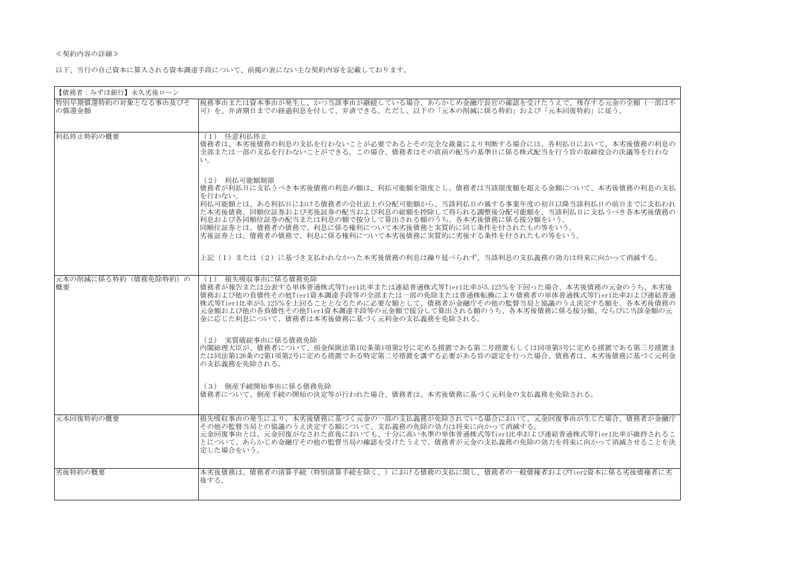## ≪契約内容の詳細≫

以下、当行の自己資本に算入される資本調達手段について、前掲の表にない主な契約内容を記載しております。

| 【債務者:みずほ銀行】永久劣後ローン           |                                                                                                                                                                                                                                                                                                                                                                                                                           |
|------------------------------|---------------------------------------------------------------------------------------------------------------------------------------------------------------------------------------------------------------------------------------------------------------------------------------------------------------------------------------------------------------------------------------------------------------------------|
| 特別早期償還特約の対象となる事由及びそ<br>の償還金額 | 税務事由または資本事由が発生し、かつ当該事由が継続している場合、あらかじめ金融庁長官の確認を受けたうえで、残存する元金の全額(一部は不<br>可)を、弁済期日までの経過利息を付して、弁済できる。ただし、以下の「元本の削減に係る特約」および「元本回復特約」に従う。                                                                                                                                                                                                                                                                                       |
| 利払停止特約の概要                    | (1) 任意利払停止<br> 債務者は、本劣後債務の利息の支払を行わないことが必要であるとその完全な裁量により判断する場合には、各利払日において、本劣後債務の利息の<br> 全部または一部の支払を行わないことができる。この場合、債務者はその直前の配当の基準日に係る株式配当を行う旨の取締役会の決議等を行わな<br>$V_{\alpha}$                                                                                                                                                                                                                                                 |
|                              | (2) 利払可能額制限<br> 債務者が利払日に支払うべき本劣後債務の利息の額は、利払可能額を限度とし、債務者は当該限度額を超える金額について、本劣後債務の利息の支払<br>を行わない。<br> 利払可能額とは、ある利払日における債務者の会社法上の分配可能額から、当該利払日の属する事業年度の初日以降当該利払日の前日までに支払われ<br> た本劣後債務、同順位証券および劣後証券の配当および利息の総額を控除して得られる調整後分配可能額を、当該利払日に支払うべき各本劣後債務の<br>利息および各同順位証券の配当または利息の額で按分して算出される額のうち、各本劣後債務に係る按分額をいう。<br> 同順位証券とは、債務者の債務で、利息に係る権利について本劣後債務と実質的に同じ条件を付されたもの等をいう。<br>劣後証券とは、債務者の債務で、利息に係る権利について本劣後債務に実質的に劣後する条件を付されたもの等をいう。 |
|                              | 上記(1)または(2)に基づき支払われなかった本劣後債務の利息は繰り延べられず、当該利息の支払義務の効力は将来に向かって消滅する。                                                                                                                                                                                                                                                                                                                                                         |
| 元本の削減に係る特約(債務免除特約)の<br>概要    | (1) 損失吸収事由に係る債務免除<br> 債務者が報告または公表する単体普通株式等Tier1比率または連結普通株式等Tier1比率が5.125%を下回った場合、本劣後債務の元金のうち、本劣後<br> 債務および他の負債性その他Tier1資本調達手段等の全部または一部の免除または普通株転換により債務者の単体普通株式等Tier1比率および連結普通<br>株式等Tier1比率が5.125%を上回ることとなるために必要な額として、債務者が金融庁その他の監督当局と協議のうえ決定する額を、各本劣後債務の<br>元金額および他の各負債性その他Tier1資本調達手段等の元金額で按分して算出される額のうち、各本劣後債務に係る按分額、ならびに当該金額の元<br> 金に応じた利息について、債務者は本劣後債務に基づく元利金の支払義務を免除される。                                           |
|                              | (2) 実質破綻事由に係る債務免除<br> 内閣総理大臣が、債務者について、預金保険法第102条第1項第2号に定める措置である第二号措置もしくは同項第3号に定める措置である第三号措置ま<br> たは同法第126条の2第1項第2号に定める措置である特定第二号措置を講ずる必要がある旨の認定を行った場合、債務者は、本劣後債務に基づく元利金 <br>の支払義務を免除される。                                                                                                                                                                                                                                  |
|                              | (3) 倒産手続開始事由に係る債務免除<br> 債務者について、倒産手続の開始の決定等が行われた場合、債務者は、本劣後債務に基づく元利金の支払義務を免除される。                                                                                                                                                                                                                                                                                                                                          |
| 元本回復特約の概要                    | 損失吸収事由の発生により、本劣後債務に基づく元金の一部の支払義務が免除されている場合において、元金回復事由が生じた場合、債務者が金融庁<br> その他の監督当局との協議のうえ決定する額について、支払義務の免除の効力は将来に向かって消滅する。<br> 元金回復事由とは、元金回復がなされた直後においても、十分に高い水準の単体普通株式等Tier1比率および連結普通株式等Tier1比率が維持されるこ<br> とについて、あらかじめ金融庁その他の監督当局の確認を受けたうえで、債務者が元金の支払義務の免除の効力を将来に向かって消滅させることを決<br>定した場合をいう。                                                                                                                                |
| 劣後特約の概要                      | 本劣後債務は、債務者の清算手続(特別清算手続を除く。)における債務の支払に関し、債務者の一般債権者およびTier2資本に係る劣後債権者に劣<br>後する。                                                                                                                                                                                                                                                                                                                                             |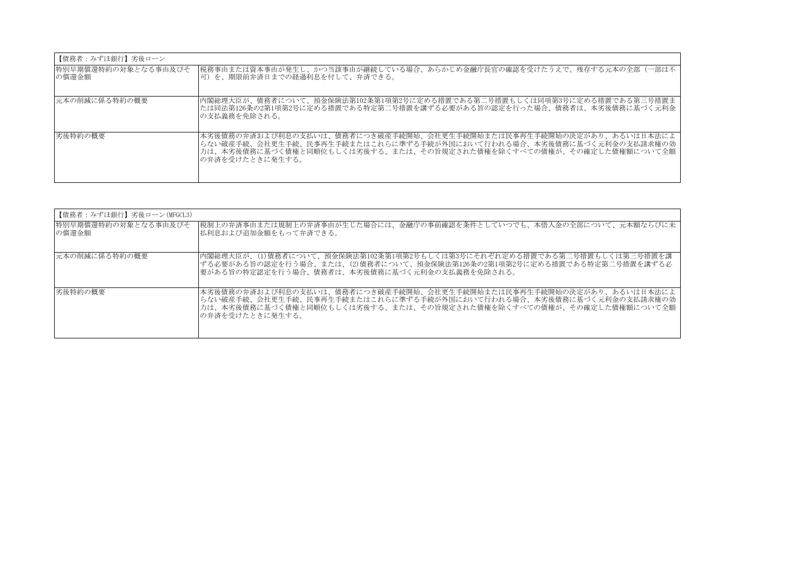| 【債務者:みずほ銀行】劣後ローン             |                                                                                                                                                                                                                                         |
|------------------------------|-----------------------------------------------------------------------------------------------------------------------------------------------------------------------------------------------------------------------------------------|
| 特別早期償還特約の対象となる事由及びそ<br>の償還金額 | 税務事由または資本事由が発生し、かつ当該事由が継続している場合、あらかじめ金融庁長官の確認を受けたうえで、残存する元本の全部(一部は不<br> 可)を、期限前弁済日までの経過利息を付して、弁済できる。                                                                                                                                    |
| 元本の削減に係る特約の概要                | 内閣総理大臣が、債務者について、預金保険法第102条第1項第2号に定める措置である第二号措置もしくは同項第3号に定める措置である第三号措置ま<br> たは同法第126条の2第1項第2号に定める措置である特定第二号措置を講ずる必要がある旨の認定を行った場合、債務者は、本劣後債務に基づく元利金<br> の支払義務を免除される。                                                                      |
| 劣後特約の概要                      | 本劣後債務の弁済および利息の支払いは、債務者につき破産手続開始、会社更生手続開始または民事再生手続開始の決定があり、あるいは日本法によ<br> らない破産手続、会社更生手続、民事再生手続またはこれらに準ずる手続が外国において行われる場合、本劣後債務に基づく元利金の支払請求権の効<br> 力は、本劣後債務に基づく債権と同順位もしくは劣後する、または、その旨規定された債権を除くすべての債権が、その確定した債権額について全額 <br>の弁済を受けたときに発生する。 |

| 【債務者:みずほ銀行】劣後ローン(MFGCL3)     |                                                                                                                                                                                                                                         |
|------------------------------|-----------------------------------------------------------------------------------------------------------------------------------------------------------------------------------------------------------------------------------------|
| 特別早期償還特約の対象となる事由及びそ<br>の償還金額 | 税制上の弁済事由または規制上の弁済事由が生じた場合には、金融庁の事前確認を条件としていつでも、本借入金の全部について、元本額ならびに未  <br>払利息および追加金額をもって弁済できる。                                                                                                                                           |
| 元本の削減に係る特約の概要                | 内閣総理大臣が、(1)債務者について、預金保険法第102条第1項第2号もしくは第3号にそれぞれ定める措置である第二号措置もしくは第三号措置を講<br> ずる必要がある旨の認定を行う場合、または、(2)債務者について、預金保険法第126条の2第1項第2号に定める措置である特定第二号措置を講ずる必<br> 要がある旨の特定認定を行う場合、債務者は、本劣後債務に基づく元利金の支払義務を免除される。                                   |
| 劣後特約の概要                      | 本劣後債務の弁済および利息の支払いは、債務者につき破産手続開始、会社更生手続開始または民事再生手続開始の決定があり、あるいは日本法によ<br> らない破産手続、会社更生手続、民事再生手続またはこれらに準ずる手続が外国において行われる場合、本劣後債務に基づく元利金の支払請求権の効<br> 力は、本劣後債務に基づく債権と同順位もしくは劣後する、または、その旨規定された債権を除くすべての債権が、その確定した債権額について全額 <br>の弁済を受けたときに発生する。 |